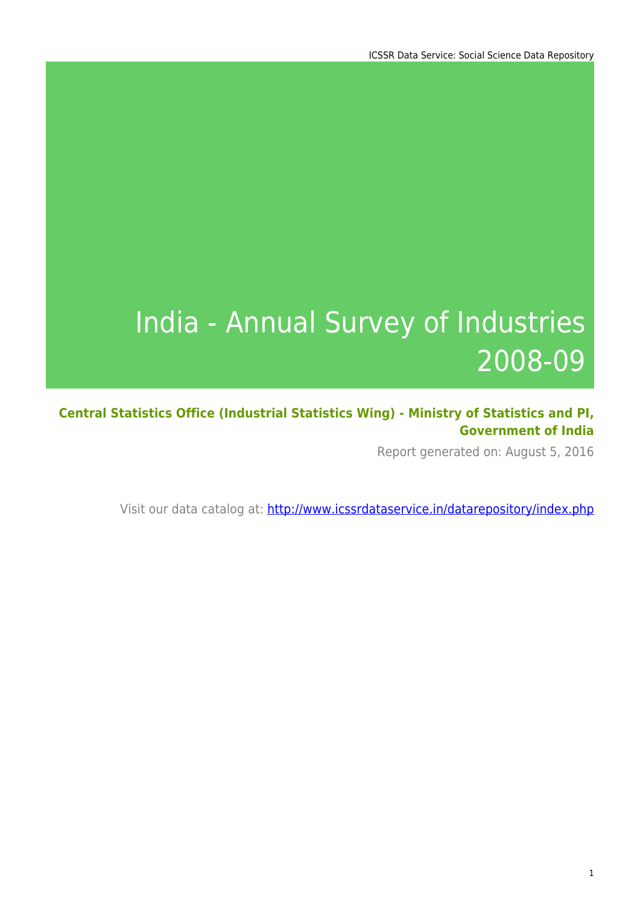# India - Annual Survey of Industries 2008-09

**Central Statistics Office (Industrial Statistics Wing) - Ministry of Statistics and PI, Government of India**

Report generated on: August 5, 2016

Visit our data catalog at: http://www.icssrdataservice.in/datarepository/index.php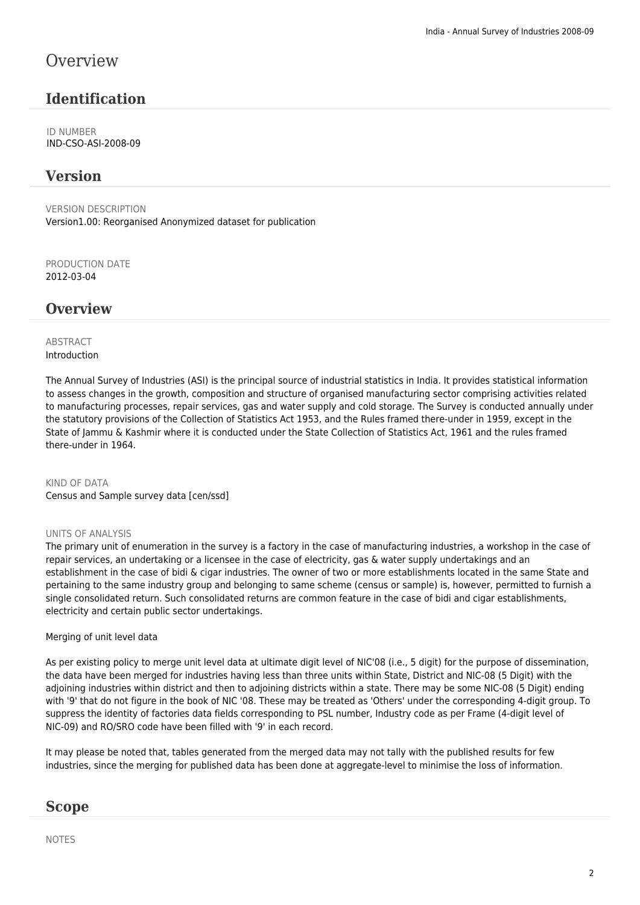### **Overview**

### **Identification**

ID NUMBER IND-CSO-ASI-2008-09

### **Version**

VERSION DESCRIPTION Version1.00: Reorganised Anonymized dataset for publication

PRODUCTION DATE 2012-03-04

### **Overview**

### **ABSTRACT** Introduction

The Annual Survey of Industries (ASI) is the principal source of industrial statistics in India. It provides statistical information to assess changes in the growth, composition and structure of organised manufacturing sector comprising activities related to manufacturing processes, repair services, gas and water supply and cold storage. The Survey is conducted annually under the statutory provisions of the Collection of Statistics Act 1953, and the Rules framed there-under in 1959, except in the State of Jammu & Kashmir where it is conducted under the State Collection of Statistics Act, 1961 and the rules framed there-under in 1964.

KIND OF DATA Census and Sample survey data [cen/ssd]

### UNITS OF ANALYSIS

The primary unit of enumeration in the survey is a factory in the case of manufacturing industries, a workshop in the case of repair services, an undertaking or a licensee in the case of electricity, gas & water supply undertakings and an establishment in the case of bidi & cigar industries. The owner of two or more establishments located in the same State and pertaining to the same industry group and belonging to same scheme (census or sample) is, however, permitted to furnish a single consolidated return. Such consolidated returns are common feature in the case of bidi and cigar establishments, electricity and certain public sector undertakings.

### Merging of unit level data

As per existing policy to merge unit level data at ultimate digit level of NIC'08 (i.e., 5 digit) for the purpose of dissemination, the data have been merged for industries having less than three units within State, District and NIC-08 (5 Digit) with the adjoining industries within district and then to adjoining districts within a state. There may be some NIC-08 (5 Digit) ending with '9' that do not figure in the book of NIC '08. These may be treated as 'Others' under the corresponding 4-digit group. To suppress the identity of factories data fields corresponding to PSL number, Industry code as per Frame (4-digit level of NIC-09) and RO/SRO code have been filled with '9' in each record.

It may please be noted that, tables generated from the merged data may not tally with the published results for few industries, since the merging for published data has been done at aggregate-level to minimise the loss of information.

### **Scope**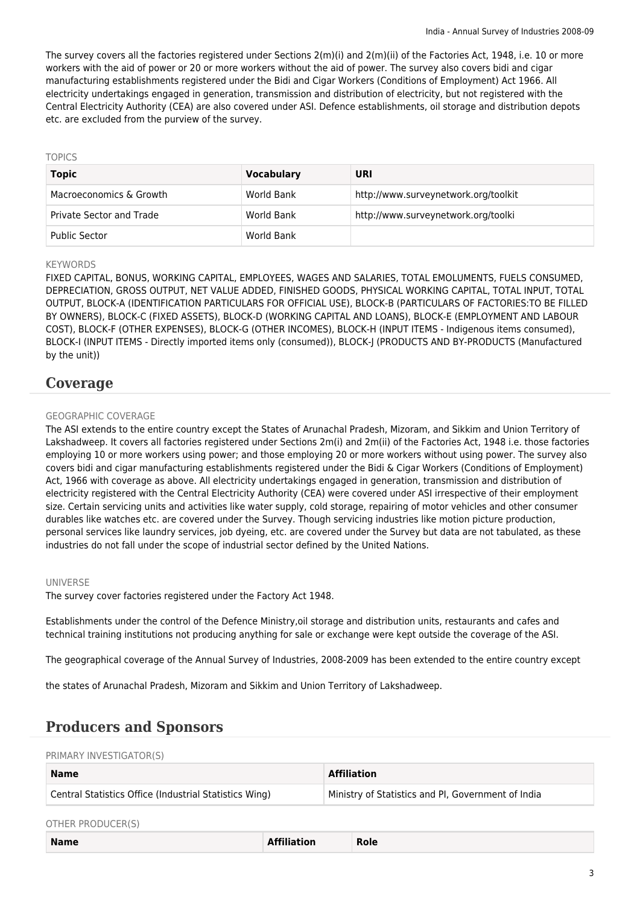The survey covers all the factories registered under Sections 2(m)(i) and 2(m)(ii) of the Factories Act, 1948, i.e. 10 or more workers with the aid of power or 20 or more workers without the aid of power. The survey also covers bidi and cigar manufacturing establishments registered under the Bidi and Cigar Workers (Conditions of Employment) Act 1966. All electricity undertakings engaged in generation, transmission and distribution of electricity, but not registered with the Central Electricity Authority (CEA) are also covered under ASI. Defence establishments, oil storage and distribution depots etc. are excluded from the purview of the survey.

#### TOPICS

| <b>Topic</b>             | <b>Vocabulary</b> | URI                                  |
|--------------------------|-------------------|--------------------------------------|
| Macroeconomics & Growth  | World Bank        | http://www.surveynetwork.org/toolkit |
| Private Sector and Trade | World Bank        | http://www.surveynetwork.org/toolki  |
| <b>Public Sector</b>     | World Bank        |                                      |

#### **KEYWORDS**

FIXED CAPITAL, BONUS, WORKING CAPITAL, EMPLOYEES, WAGES AND SALARIES, TOTAL EMOLUMENTS, FUELS CONSUMED, DEPRECIATION, GROSS OUTPUT, NET VALUE ADDED, FINISHED GOODS, PHYSICAL WORKING CAPITAL, TOTAL INPUT, TOTAL OUTPUT, BLOCK-A (IDENTIFICATION PARTICULARS FOR OFFICIAL USE), BLOCK-B (PARTICULARS OF FACTORIES:TO BE FILLED BY OWNERS), BLOCK-C (FIXED ASSETS), BLOCK-D (WORKING CAPITAL AND LOANS), BLOCK-E (EMPLOYMENT AND LABOUR COST), BLOCK-F (OTHER EXPENSES), BLOCK-G (OTHER INCOMES), BLOCK-H (INPUT ITEMS - Indigenous items consumed), BLOCK-I (INPUT ITEMS - Directly imported items only (consumed)), BLOCK-J (PRODUCTS AND BY-PRODUCTS (Manufactured by the unit))

### **Coverage**

### GEOGRAPHIC COVERAGE

The ASI extends to the entire country except the States of Arunachal Pradesh, Mizoram, and Sikkim and Union Territory of Lakshadweep. It covers all factories registered under Sections 2m(i) and 2m(ii) of the Factories Act, 1948 i.e. those factories employing 10 or more workers using power; and those employing 20 or more workers without using power. The survey also covers bidi and cigar manufacturing establishments registered under the Bidi & Cigar Workers (Conditions of Employment) Act, 1966 with coverage as above. All electricity undertakings engaged in generation, transmission and distribution of electricity registered with the Central Electricity Authority (CEA) were covered under ASI irrespective of their employment size. Certain servicing units and activities like water supply, cold storage, repairing of motor vehicles and other consumer durables like watches etc. are covered under the Survey. Though servicing industries like motion picture production, personal services like laundry services, job dyeing, etc. are covered under the Survey but data are not tabulated, as these industries do not fall under the scope of industrial sector defined by the United Nations.

#### UNIVERSE

The survey cover factories registered under the Factory Act 1948.

Establishments under the control of the Defence Ministry,oil storage and distribution units, restaurants and cafes and technical training institutions not producing anything for sale or exchange were kept outside the coverage of the ASI.

The geographical coverage of the Annual Survey of Industries, 2008-2009 has been extended to the entire country except

the states of Arunachal Pradesh, Mizoram and Sikkim and Union Territory of Lakshadweep.

### **Producers and Sponsors**

#### PRIMARY INVESTIGATOR(S)

| Name                                                   | <b>Affiliation</b>                                 |  |
|--------------------------------------------------------|----------------------------------------------------|--|
| Central Statistics Office (Industrial Statistics Wing) | Ministry of Statistics and PI, Government of India |  |

#### OTHER PRODUCER(S)

| <b>Name</b> | .<br>ion<br>the contract of the contract of the contract of the contract of the contract of the contract of the contract of | Role |
|-------------|-----------------------------------------------------------------------------------------------------------------------------|------|
|             |                                                                                                                             |      |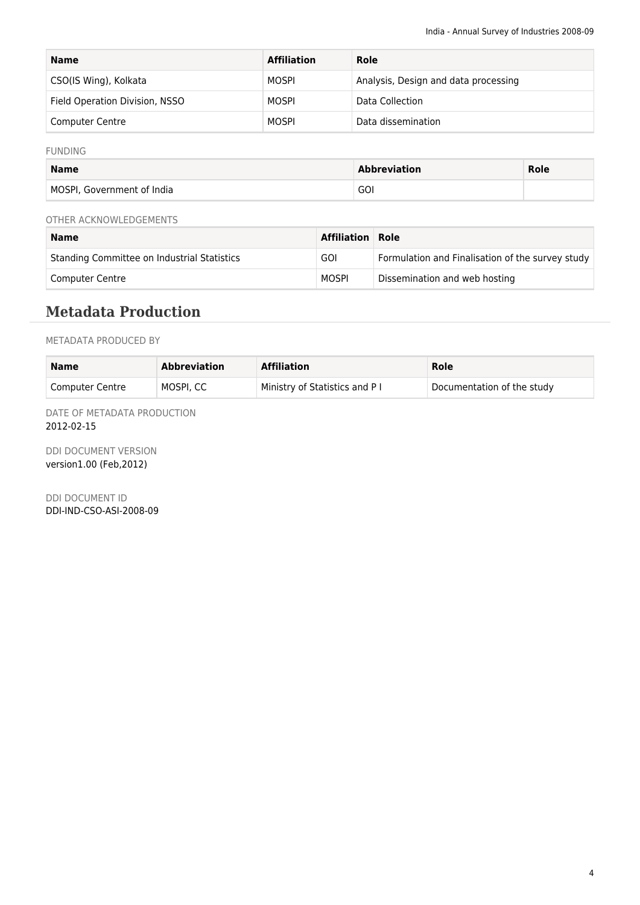| <b>Name</b>                    | <b>Affiliation</b> | Role                                 |
|--------------------------------|--------------------|--------------------------------------|
| CSO(IS Wing), Kolkata          | MOSPI              | Analysis, Design and data processing |
| Field Operation Division, NSSO | MOSPI              | Data Collection                      |
| <b>Computer Centre</b>         | MOSPI              | Data dissemination                   |

#### FUNDING

| <b>Name</b>                | <b>Abbreviation</b> | Role |
|----------------------------|---------------------|------|
| MOSPI, Government of India | GOI                 |      |

### OTHER ACKNOWLEDGEMENTS

| <b>Name</b>                                 | <b>Affiliation Role</b> |                                                  |
|---------------------------------------------|-------------------------|--------------------------------------------------|
| Standing Committee on Industrial Statistics | GOI                     | Formulation and Finalisation of the survey study |
| Computer Centre                             | MOSPI                   | Dissemination and web hosting                    |

### **Metadata Production**

### METADATA PRODUCED BY

| <b>Name</b>     | <b>Abbreviation</b> | <b>Affiliation</b>            | Role                       |
|-----------------|---------------------|-------------------------------|----------------------------|
| Computer Centre | MOSPI, CC           | Ministry of Statistics and P1 | Documentation of the study |

DATE OF METADATA PRODUCTION 2012-02-15

DDI DOCUMENT VERSION version1.00 (Feb,2012)

DDI DOCUMENT ID DDI-IND-CSO-ASI-2008-09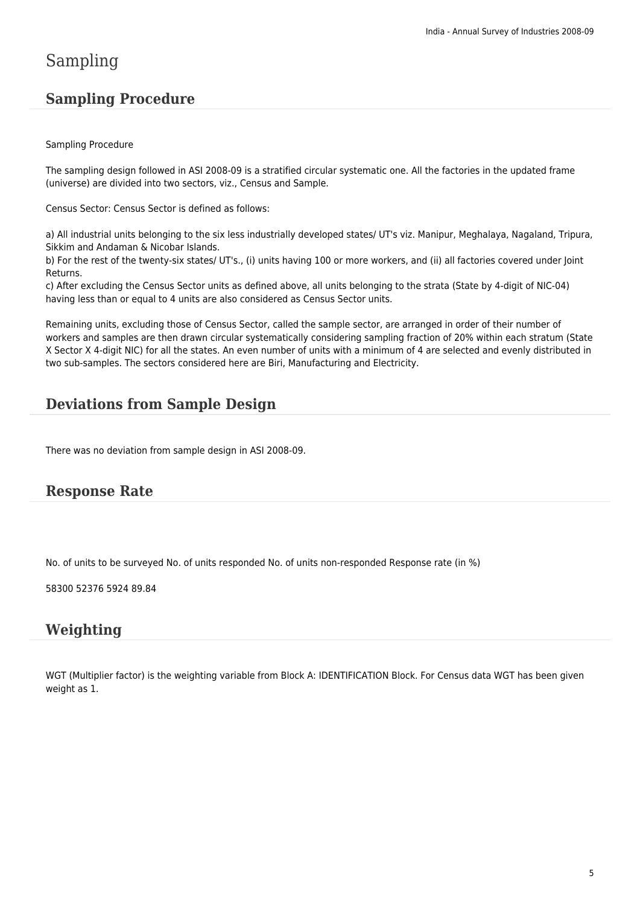## Sampling

### **Sampling Procedure**

### Sampling Procedure

The sampling design followed in ASI 2008-09 is a stratified circular systematic one. All the factories in the updated frame (universe) are divided into two sectors, viz., Census and Sample.

Census Sector: Census Sector is defined as follows:

a) All industrial units belonging to the six less industrially developed states/ UT's viz. Manipur, Meghalaya, Nagaland, Tripura, Sikkim and Andaman & Nicobar Islands.

b) For the rest of the twenty-six states/ UT's., (i) units having 100 or more workers, and (ii) all factories covered under Joint Returns.

c) After excluding the Census Sector units as defined above, all units belonging to the strata (State by 4-digit of NIC-04) having less than or equal to 4 units are also considered as Census Sector units.

Remaining units, excluding those of Census Sector, called the sample sector, are arranged in order of their number of workers and samples are then drawn circular systematically considering sampling fraction of 20% within each stratum (State X Sector X 4-digit NIC) for all the states. An even number of units with a minimum of 4 are selected and evenly distributed in two sub-samples. The sectors considered here are Biri, Manufacturing and Electricity.

### **Deviations from Sample Design**

There was no deviation from sample design in ASI 2008-09.

### **Response Rate**

No. of units to be surveyed No. of units responded No. of units non-responded Response rate (in %)

58300 52376 5924 89.84

### **Weighting**

WGT (Multiplier factor) is the weighting variable from Block A: IDENTIFICATION Block. For Census data WGT has been given weight as 1.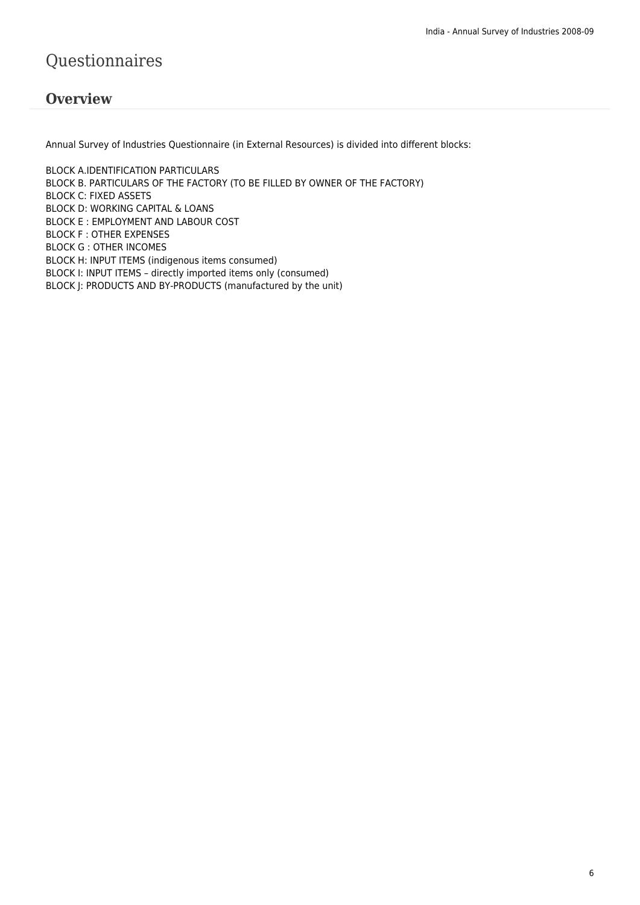## Questionnaires

### **Overview**

Annual Survey of Industries Questionnaire (in External Resources) is divided into different blocks:

BLOCK A.IDENTIFICATION PARTICULARS BLOCK B. PARTICULARS OF THE FACTORY (TO BE FILLED BY OWNER OF THE FACTORY) BLOCK C: FIXED ASSETS BLOCK D: WORKING CAPITAL & LOANS BLOCK E : EMPLOYMENT AND LABOUR COST BLOCK F : OTHER EXPENSES BLOCK G : OTHER INCOMES BLOCK H: INPUT ITEMS (indigenous items consumed) BLOCK I: INPUT ITEMS – directly imported items only (consumed) BLOCK J: PRODUCTS AND BY-PRODUCTS (manufactured by the unit)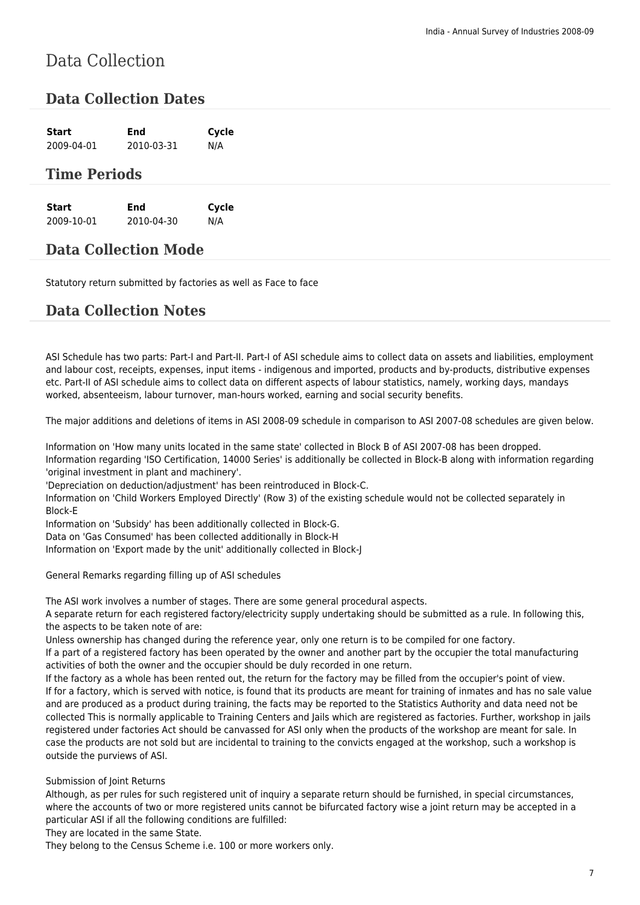## Data Collection

### **Data Collection Dates**

| <b>Start</b>          | <b>End</b> | Cycle |
|-----------------------|------------|-------|
| 2009-04-01 2010-03-31 |            | N/A   |

### **Time Periods**

| Start      | End        | Cycle |
|------------|------------|-------|
| 2009-10-01 | 2010-04-30 | N/A   |

### **Data Collection Mode**

Statutory return submitted by factories as well as Face to face

### **Data Collection Notes**

ASI Schedule has two parts: Part-I and Part-II. Part-I of ASI schedule aims to collect data on assets and liabilities, employment and labour cost, receipts, expenses, input items - indigenous and imported, products and by-products, distributive expenses etc. Part-II of ASI schedule aims to collect data on different aspects of labour statistics, namely, working days, mandays worked, absenteeism, labour turnover, man-hours worked, earning and social security benefits.

The major additions and deletions of items in ASI 2008-09 schedule in comparison to ASI 2007-08 schedules are given below.

Information on 'How many units located in the same state' collected in Block B of ASI 2007-08 has been dropped. Information regarding 'ISO Certification, 14000 Series' is additionally be collected in Block-B along with information regarding 'original investment in plant and machinery'.

'Depreciation on deduction/adjustment' has been reintroduced in Block-C.

Information on 'Child Workers Employed Directly' (Row 3) of the existing schedule would not be collected separately in Block-E

Information on 'Subsidy' has been additionally collected in Block-G.

Data on 'Gas Consumed' has been collected additionally in Block-H

Information on 'Export made by the unit' additionally collected in Block-J

General Remarks regarding filling up of ASI schedules

The ASI work involves a number of stages. There are some general procedural aspects.

A separate return for each registered factory/electricity supply undertaking should be submitted as a rule. In following this, the aspects to be taken note of are:

Unless ownership has changed during the reference year, only one return is to be compiled for one factory.

If a part of a registered factory has been operated by the owner and another part by the occupier the total manufacturing activities of both the owner and the occupier should be duly recorded in one return.

If the factory as a whole has been rented out, the return for the factory may be filled from the occupier's point of view. If for a factory, which is served with notice, is found that its products are meant for training of inmates and has no sale value and are produced as a product during training, the facts may be reported to the Statistics Authority and data need not be collected This is normally applicable to Training Centers and Jails which are registered as factories. Further, workshop in jails registered under factories Act should be canvassed for ASI only when the products of the workshop are meant for sale. In case the products are not sold but are incidental to training to the convicts engaged at the workshop, such a workshop is outside the purviews of ASI.

### Submission of Joint Returns

Although, as per rules for such registered unit of inquiry a separate return should be furnished, in special circumstances, where the accounts of two or more registered units cannot be bifurcated factory wise a joint return may be accepted in a particular ASI if all the following conditions are fulfilled:

They are located in the same State.

They belong to the Census Scheme i.e. 100 or more workers only.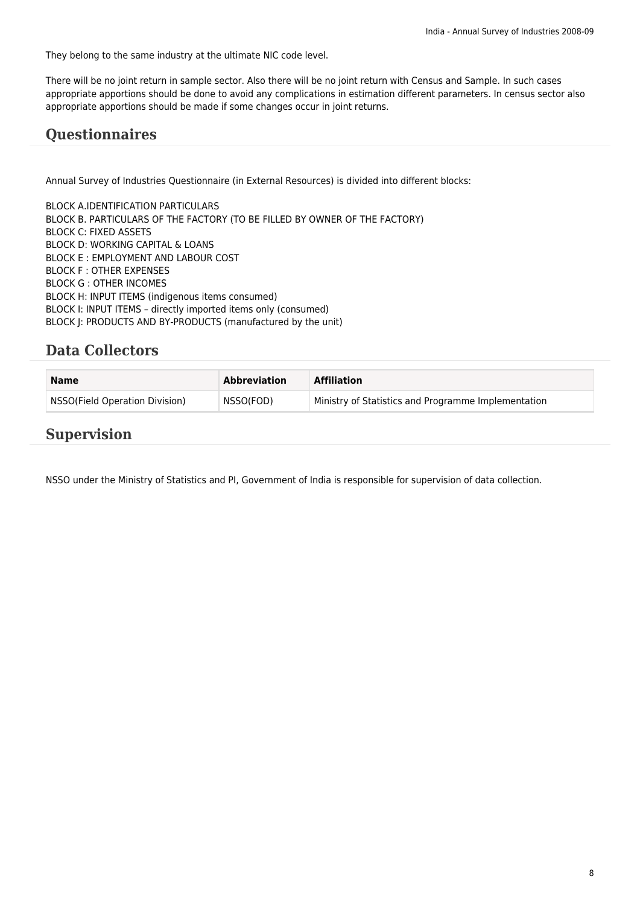They belong to the same industry at the ultimate NIC code level.

There will be no joint return in sample sector. Also there will be no joint return with Census and Sample. In such cases appropriate apportions should be done to avoid any complications in estimation different parameters. In census sector also appropriate apportions should be made if some changes occur in joint returns.

### **Questionnaires**

Annual Survey of Industries Questionnaire (in External Resources) is divided into different blocks:

BLOCK A.IDENTIFICATION PARTICULARS BLOCK B. PARTICULARS OF THE FACTORY (TO BE FILLED BY OWNER OF THE FACTORY) BLOCK C: FIXED ASSETS BLOCK D: WORKING CAPITAL & LOANS BLOCK E : EMPLOYMENT AND LABOUR COST BLOCK F : OTHER EXPENSES BLOCK G : OTHER INCOMES BLOCK H: INPUT ITEMS (indigenous items consumed) BLOCK I: INPUT ITEMS – directly imported items only (consumed) BLOCK J: PRODUCTS AND BY-PRODUCTS (manufactured by the unit)

### **Data Collectors**

| <b>Name</b>                    | Abbreviation | <b>Affiliation</b>                                  |
|--------------------------------|--------------|-----------------------------------------------------|
| NSSO(Field Operation Division) | NSSO(FOD)    | Ministry of Statistics and Programme Implementation |

### **Supervision**

NSSO under the Ministry of Statistics and PI, Government of India is responsible for supervision of data collection.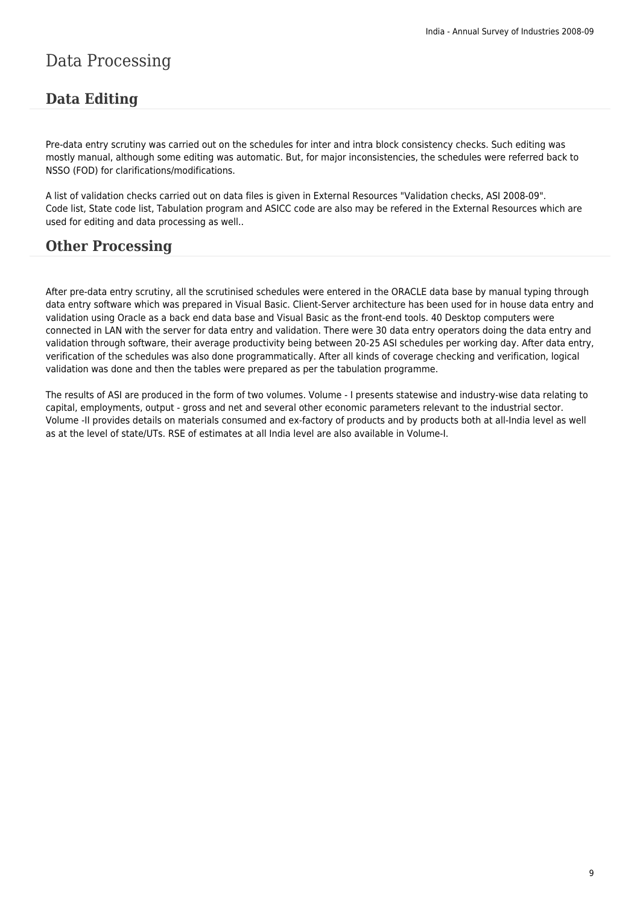## Data Processing

### **Data Editing**

Pre-data entry scrutiny was carried out on the schedules for inter and intra block consistency checks. Such editing was mostly manual, although some editing was automatic. But, for major inconsistencies, the schedules were referred back to NSSO (FOD) for clarifications/modifications.

A list of validation checks carried out on data files is given in External Resources "Validation checks, ASI 2008-09". Code list, State code list, Tabulation program and ASICC code are also may be refered in the External Resources which are used for editing and data processing as well..

### **Other Processing**

After pre-data entry scrutiny, all the scrutinised schedules were entered in the ORACLE data base by manual typing through data entry software which was prepared in Visual Basic. Client-Server architecture has been used for in house data entry and validation using Oracle as a back end data base and Visual Basic as the front-end tools. 40 Desktop computers were connected in LAN with the server for data entry and validation. There were 30 data entry operators doing the data entry and validation through software, their average productivity being between 20-25 ASI schedules per working day. After data entry, verification of the schedules was also done programmatically. After all kinds of coverage checking and verification, logical validation was done and then the tables were prepared as per the tabulation programme.

The results of ASI are produced in the form of two volumes. Volume - I presents statewise and industry-wise data relating to capital, employments, output - gross and net and several other economic parameters relevant to the industrial sector. Volume -II provides details on materials consumed and ex-factory of products and by products both at all-India level as well as at the level of state/UTs. RSE of estimates at all India level are also available in Volume-I.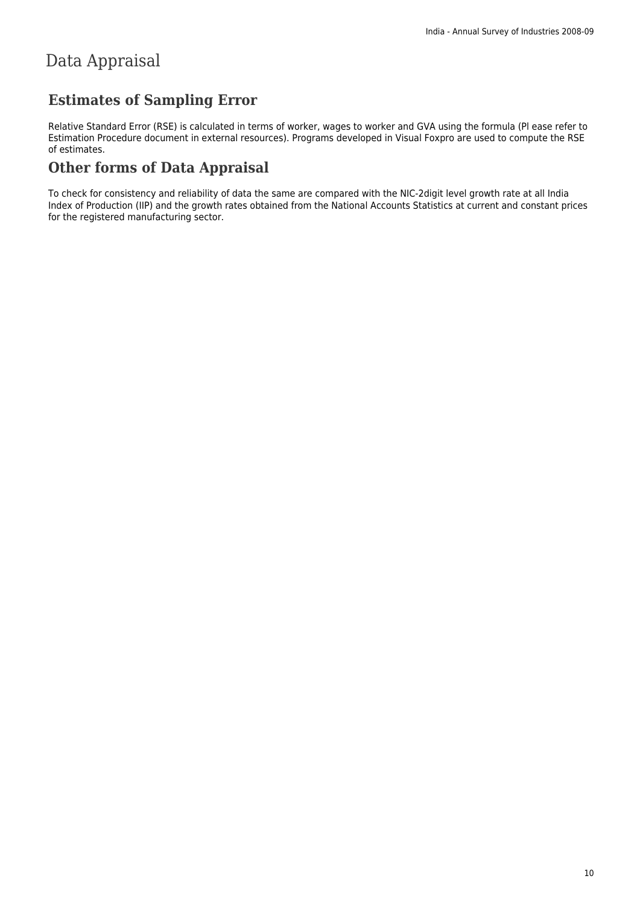## Data Appraisal

### **Estimates of Sampling Error**

Relative Standard Error (RSE) is calculated in terms of worker, wages to worker and GVA using the formula (Pl ease refer to Estimation Procedure document in external resources). Programs developed in Visual Foxpro are used to compute the RSE of estimates.

### **Other forms of Data Appraisal**

To check for consistency and reliability of data the same are compared with the NIC-2digit level growth rate at all India Index of Production (IIP) and the growth rates obtained from the National Accounts Statistics at current and constant prices for the registered manufacturing sector.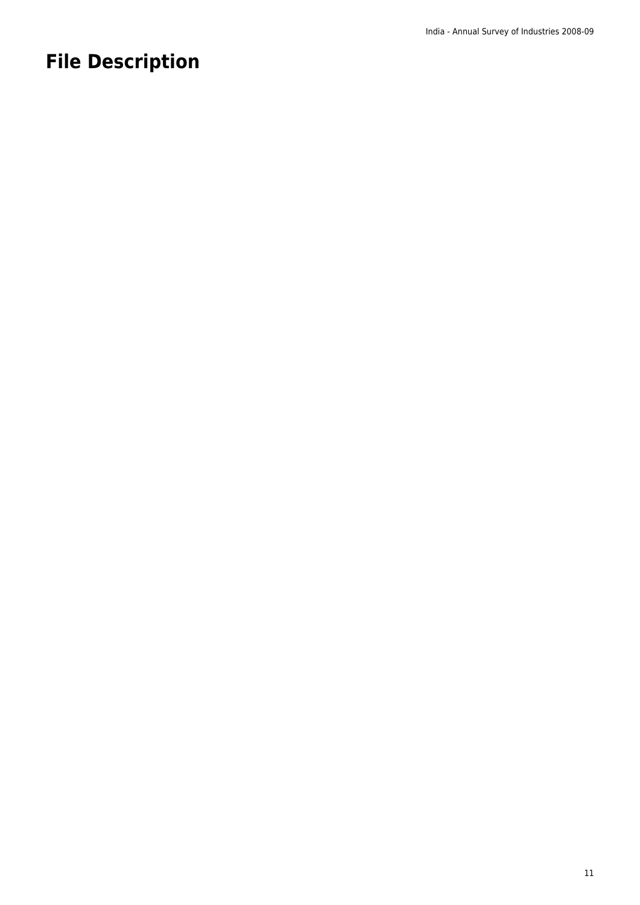## **File Description**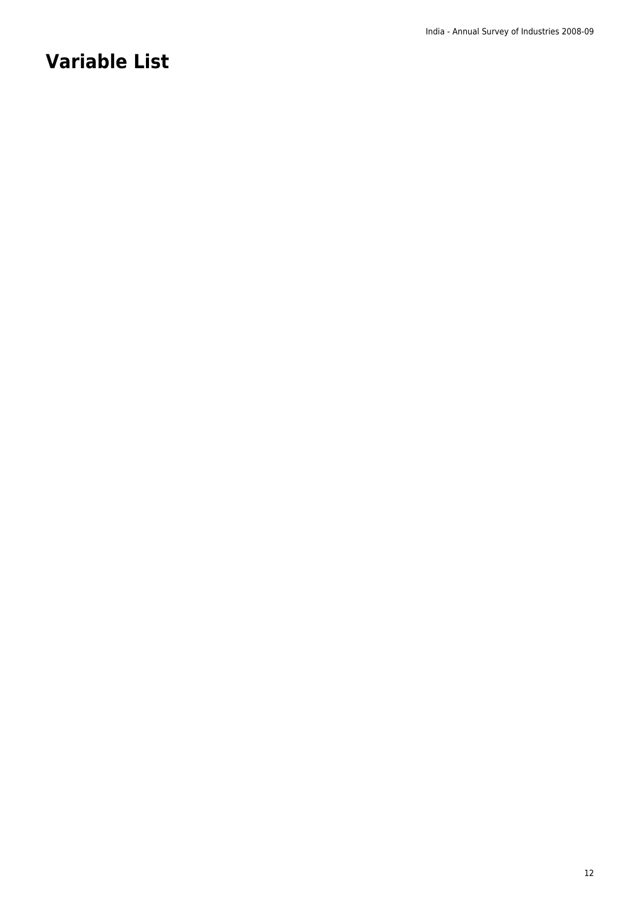## **Variable List**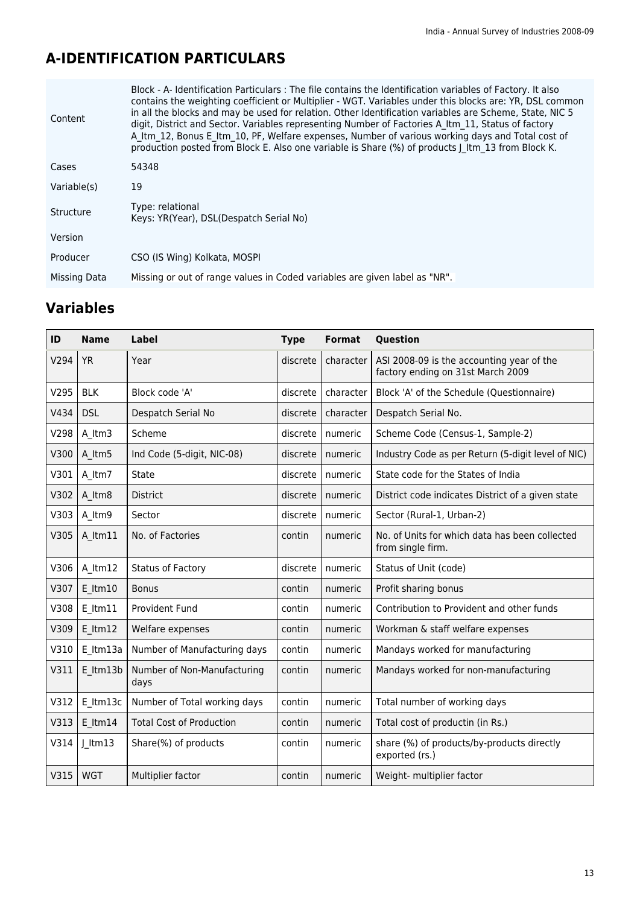## **A-IDENTIFICATION PARTICULARS**

| Block - A- Identification Particulars: The file contains the Identification variables of Factory. It also<br>contains the weighting coefficient or Multiplier - WGT. Variables under this blocks are: YR, DSL common<br>in all the blocks and may be used for relation. Other Identification variables are Scheme, State, NIC 5<br>digit, District and Sector. Variables representing Number of Factories A Itm 11, Status of factory<br>A Itm 12, Bonus E Itm 10, PF, Welfare expenses, Number of various working days and Total cost of<br>production posted from Block E. Also one variable is Share (%) of products   ltm 13 from Block K. |
|------------------------------------------------------------------------------------------------------------------------------------------------------------------------------------------------------------------------------------------------------------------------------------------------------------------------------------------------------------------------------------------------------------------------------------------------------------------------------------------------------------------------------------------------------------------------------------------------------------------------------------------------|
| 54348                                                                                                                                                                                                                                                                                                                                                                                                                                                                                                                                                                                                                                          |
| 19                                                                                                                                                                                                                                                                                                                                                                                                                                                                                                                                                                                                                                             |
| Type: relational<br>Keys: YR(Year), DSL(Despatch Serial No)                                                                                                                                                                                                                                                                                                                                                                                                                                                                                                                                                                                    |
|                                                                                                                                                                                                                                                                                                                                                                                                                                                                                                                                                                                                                                                |
| CSO (IS Wing) Kolkata, MOSPI                                                                                                                                                                                                                                                                                                                                                                                                                                                                                                                                                                                                                   |
| Missing or out of range values in Coded variables are given label as "NR".                                                                                                                                                                                                                                                                                                                                                                                                                                                                                                                                                                     |
|                                                                                                                                                                                                                                                                                                                                                                                                                                                                                                                                                                                                                                                |

| ID   | <b>Name</b>   | Label                               | <b>Type</b> | <b>Format</b> | Question                                                                       |
|------|---------------|-------------------------------------|-------------|---------------|--------------------------------------------------------------------------------|
| V294 | <b>YR</b>     | Year                                | discrete    | character     | ASI 2008-09 is the accounting year of the<br>factory ending on 31st March 2009 |
| V295 | <b>BLK</b>    | Block code 'A'                      | discrete    | character     | Block 'A' of the Schedule (Questionnaire)                                      |
| V434 | <b>DSL</b>    | Despatch Serial No                  | discrete    | character     | Despatch Serial No.                                                            |
| V298 | A Itm3        | Scheme                              | discrete    | numeric       | Scheme Code (Census-1, Sample-2)                                               |
| V300 | A Itm5        | Ind Code (5-digit, NIC-08)          | discrete    | numeric       | Industry Code as per Return (5-digit level of NIC)                             |
| V301 | A ltm7        | State                               | discrete    | numeric       | State code for the States of India                                             |
| V302 | A ltm8        | <b>District</b>                     | discrete    | numeric       | District code indicates District of a given state                              |
| V303 | A ltm9        | Sector                              | discrete    | numeric       | Sector (Rural-1, Urban-2)                                                      |
| V305 | A ltm11       | No. of Factories                    | contin      | numeric       | No. of Units for which data has been collected<br>from single firm.            |
| V306 | A ltm12       | <b>Status of Factory</b>            | discrete    | numeric       | Status of Unit (code)                                                          |
| V307 | $E$ ltm $10$  | <b>Bonus</b>                        | contin      | numeric       | Profit sharing bonus                                                           |
| V308 | $E$ ltm $11$  | Provident Fund                      | contin      | numeric       | Contribution to Provident and other funds                                      |
| V309 | $E$ ltm $12$  | Welfare expenses                    | contin      | numeric       | Workman & staff welfare expenses                                               |
| V310 | E Itm13a      | Number of Manufacturing days        | contin      | numeric       | Mandays worked for manufacturing                                               |
| V311 | $E$ ltm $13b$ | Number of Non-Manufacturing<br>days | contin      | numeric       | Mandays worked for non-manufacturing                                           |
| V312 | E Itm13c      | Number of Total working days        | contin      | numeric       | Total number of working days                                                   |
| V313 | $E$ ltm $14$  | <b>Total Cost of Production</b>     | contin      | numeric       | Total cost of productin (in Rs.)                                               |
| V314 | $J$ ltm13     | Share(%) of products                | contin      | numeric       | share (%) of products/by-products directly<br>exported (rs.)                   |
| V315 | <b>WGT</b>    | Multiplier factor                   | contin      | numeric       | Weight- multiplier factor                                                      |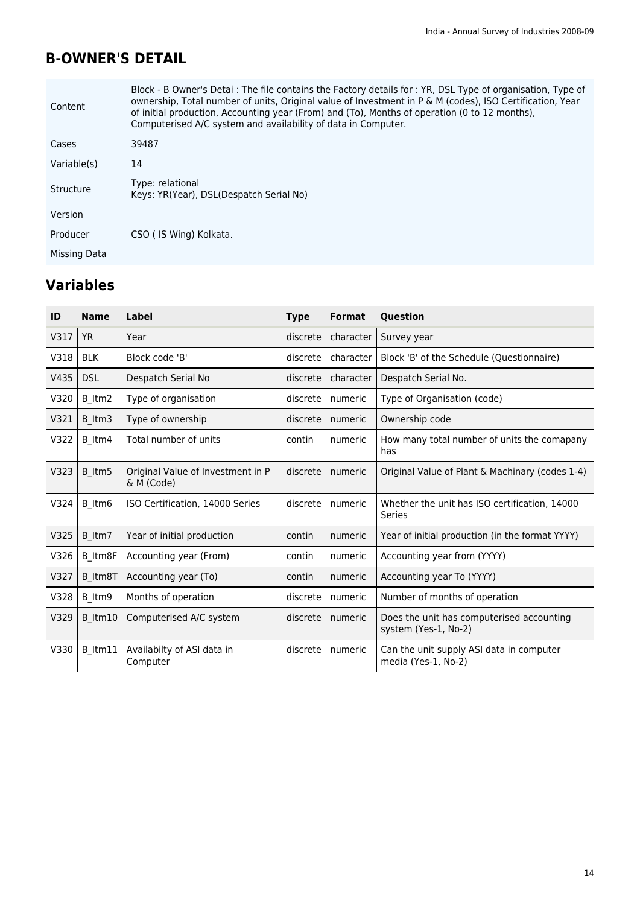### **B-OWNER'S DETAIL**

| Content      | Block - B Owner's Detai : The file contains the Factory details for : YR, DSL Type of organisation, Type of<br>ownership, Total number of units, Original value of Investment in P & M (codes), ISO Certification, Year<br>of initial production, Accounting year (From) and (To), Months of operation (0 to 12 months),<br>Computerised A/C system and availability of data in Computer. |
|--------------|-------------------------------------------------------------------------------------------------------------------------------------------------------------------------------------------------------------------------------------------------------------------------------------------------------------------------------------------------------------------------------------------|
| Cases        | 39487                                                                                                                                                                                                                                                                                                                                                                                     |
| Variable(s)  | 14                                                                                                                                                                                                                                                                                                                                                                                        |
| Structure    | Type: relational<br>Keys: YR(Year), DSL(Despatch Serial No)                                                                                                                                                                                                                                                                                                                               |
| Version      |                                                                                                                                                                                                                                                                                                                                                                                           |
| Producer     | CSO (IS Wing) Kolkata.                                                                                                                                                                                                                                                                                                                                                                    |
| Missing Data |                                                                                                                                                                                                                                                                                                                                                                                           |

| ID   | <b>Name</b> | Label                                           | <b>Type</b> | <b>Format</b> | Question                                                          |
|------|-------------|-------------------------------------------------|-------------|---------------|-------------------------------------------------------------------|
| V317 | <b>YR</b>   | Year                                            | discrete    | character     | Survey year                                                       |
| V318 | <b>BLK</b>  | Block code 'B'                                  | discrete    | character     | Block 'B' of the Schedule (Questionnaire)                         |
| V435 | <b>DSL</b>  | Despatch Serial No                              | discrete    | character     | Despatch Serial No.                                               |
| V320 | B_ltm2      | Type of organisation                            | discrete    | numeric       | Type of Organisation (code)                                       |
| V321 | B ltm3      | Type of ownership                               | discrete    | numeric       | Ownership code                                                    |
| V322 | B ltm4      | Total number of units                           | contin      | numeric       | How many total number of units the comapany<br>has                |
| V323 | B ltm5      | Original Value of Investment in P<br>& M (Code) | discrete    | numeric       | Original Value of Plant & Machinary (codes 1-4)                   |
| V324 | B ltm6      | ISO Certification, 14000 Series                 | discrete    | numeric       | Whether the unit has ISO certification, 14000<br>Series           |
| V325 | B_Itm7      | Year of initial production                      | contin      | numeric       | Year of initial production (in the format YYYY)                   |
| V326 | B Itm8F     | Accounting year (From)                          | contin      | numeric       | Accounting year from (YYYY)                                       |
| V327 | B Itm8T     | Accounting year (To)                            | contin      | numeric       | Accounting year To (YYYY)                                         |
| V328 | B ltm9      | Months of operation                             | discrete    | numeric       | Number of months of operation                                     |
| V329 | B ltm10     | Computerised A/C system                         | discrete    | numeric       | Does the unit has computerised accounting<br>system (Yes-1, No-2) |
| V330 | B ltm11     | Availabilty of ASI data in<br>Computer          | discrete    | numeric       | Can the unit supply ASI data in computer<br>media (Yes-1, No-2)   |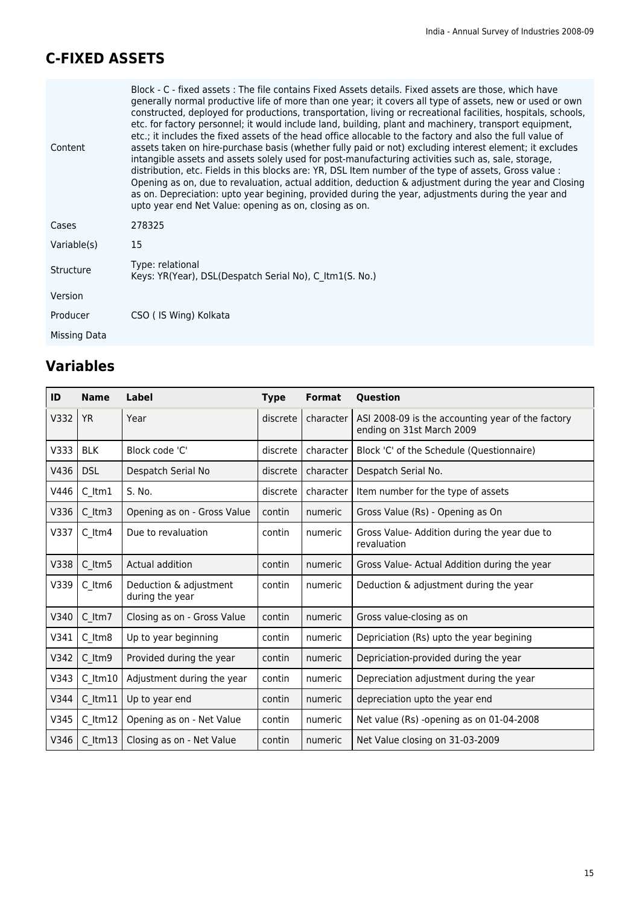### **C-FIXED ASSETS**

| Content      | Block - C - fixed assets : The file contains Fixed Assets details. Fixed assets are those, which have<br>generally normal productive life of more than one year; it covers all type of assets, new or used or own<br>constructed, deployed for productions, transportation, living or recreational facilities, hospitals, schools,<br>etc. for factory personnel; it would include land, building, plant and machinery, transport equipment,<br>etc.; it includes the fixed assets of the head office allocable to the factory and also the full value of<br>assets taken on hire-purchase basis (whether fully paid or not) excluding interest element; it excludes<br>intangible assets and assets solely used for post-manufacturing activities such as, sale, storage,<br>distribution, etc. Fields in this blocks are: YR, DSL Item number of the type of assets, Gross value :<br>Opening as on, due to revaluation, actual addition, deduction $\&$ adjustment during the year and Closing<br>as on. Depreciation: upto year begining, provided during the year, adjustments during the year and<br>upto year end Net Value: opening as on, closing as on. |
|--------------|-------------------------------------------------------------------------------------------------------------------------------------------------------------------------------------------------------------------------------------------------------------------------------------------------------------------------------------------------------------------------------------------------------------------------------------------------------------------------------------------------------------------------------------------------------------------------------------------------------------------------------------------------------------------------------------------------------------------------------------------------------------------------------------------------------------------------------------------------------------------------------------------------------------------------------------------------------------------------------------------------------------------------------------------------------------------------------------------------------------------------------------------------------------------|
| Cases        | 278325                                                                                                                                                                                                                                                                                                                                                                                                                                                                                                                                                                                                                                                                                                                                                                                                                                                                                                                                                                                                                                                                                                                                                            |
| Variable(s)  | 15                                                                                                                                                                                                                                                                                                                                                                                                                                                                                                                                                                                                                                                                                                                                                                                                                                                                                                                                                                                                                                                                                                                                                                |
| Structure    | Type: relational<br>Keys: YR(Year), DSL(Despatch Serial No), C Itm1(S. No.)                                                                                                                                                                                                                                                                                                                                                                                                                                                                                                                                                                                                                                                                                                                                                                                                                                                                                                                                                                                                                                                                                       |
| Version      |                                                                                                                                                                                                                                                                                                                                                                                                                                                                                                                                                                                                                                                                                                                                                                                                                                                                                                                                                                                                                                                                                                                                                                   |
| Producer     | CSO (IS Wing) Kolkata                                                                                                                                                                                                                                                                                                                                                                                                                                                                                                                                                                                                                                                                                                                                                                                                                                                                                                                                                                                                                                                                                                                                             |
| Missing Data |                                                                                                                                                                                                                                                                                                                                                                                                                                                                                                                                                                                                                                                                                                                                                                                                                                                                                                                                                                                                                                                                                                                                                                   |

| ID   | <b>Name</b>   | Label                                     | <b>Type</b> | <b>Format</b> | <b>Ouestion</b>                                                                |
|------|---------------|-------------------------------------------|-------------|---------------|--------------------------------------------------------------------------------|
| V332 | <b>YR</b>     | Year                                      | discrete    | character I   | ASI 2008-09 is the accounting year of the factory<br>ending on 31st March 2009 |
| V333 | <b>BLK</b>    | Block code 'C'                            | discrete    | character     | Block 'C' of the Schedule (Questionnaire)                                      |
| V436 | <b>DSL</b>    | Despatch Serial No                        | discrete    | character     | Despatch Serial No.                                                            |
| V446 | $C$ ltm $1$   | S. No.                                    | discrete    | character     | Item number for the type of assets                                             |
| V336 | C ltm3        | Opening as on - Gross Value               | contin      | numeric       | Gross Value (Rs) - Opening as On                                               |
| V337 | $C_l$ Itm4    | Due to revaluation                        | contin      | numeric       | Gross Value- Addition during the year due to<br>revaluation                    |
| V338 | C ltm5        | Actual addition                           | contin      | numeric       | Gross Value-Actual Addition during the year                                    |
| V339 | $C_l$ Itm $6$ | Deduction & adjustment<br>during the year | contin      | numeric       | Deduction & adjustment during the year                                         |
| V340 | C ltm7        | Closing as on - Gross Value               | contin      | numeric       | Gross value-closing as on                                                      |
| V341 | C ltm8        | Up to year beginning                      | contin      | numeric       | Depriciation (Rs) upto the year begining                                       |
| V342 | C ltm9        | Provided during the year                  | contin      | numeric       | Depriciation-provided during the year                                          |
| V343 | $C$ ltm $10$  | Adjustment during the year                | contin      | numeric       | Depreciation adjustment during the year                                        |
| V344 | $C$ ltm $11$  | Up to year end                            | contin      | numeric       | depreciation upto the year end                                                 |
| V345 | $C$ ltm $12$  | Opening as on - Net Value                 | contin      | numeric       | Net value (Rs) -opening as on 01-04-2008                                       |
| V346 | $C$ ltm $13$  | Closing as on - Net Value                 | contin      | numeric       | Net Value closing on 31-03-2009                                                |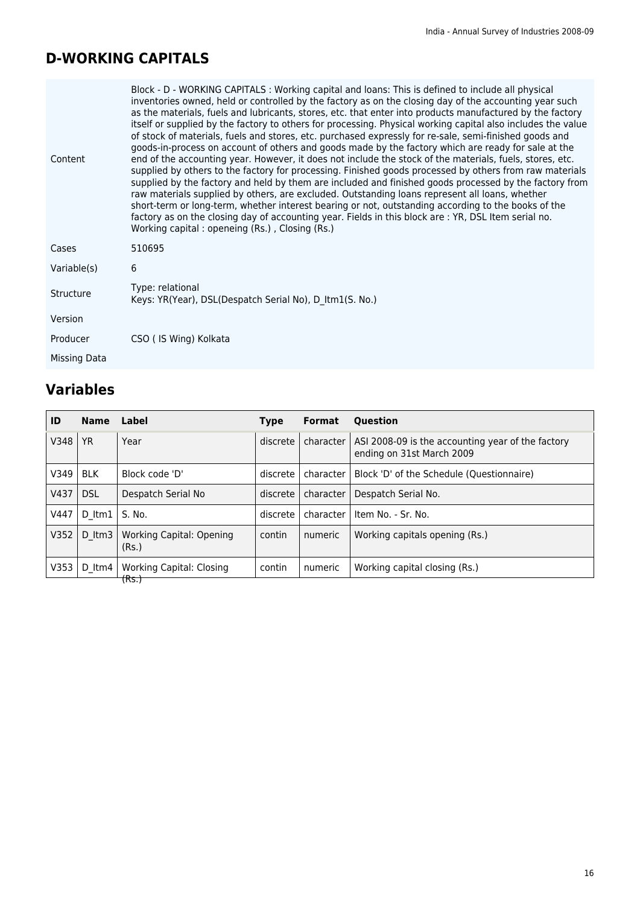### **D-WORKING CAPITALS**

| Content      | Block - D - WORKING CAPITALS : Working capital and loans: This is defined to include all physical<br>inventories owned, held or controlled by the factory as on the closing day of the accounting year such<br>as the materials, fuels and lubricants, stores, etc. that enter into products manufactured by the factory<br>itself or supplied by the factory to others for processing. Physical working capital also includes the value<br>of stock of materials, fuels and stores, etc. purchased expressly for re-sale, semi-finished goods and<br>goods-in-process on account of others and goods made by the factory which are ready for sale at the<br>end of the accounting year. However, it does not include the stock of the materials, fuels, stores, etc.<br>supplied by others to the factory for processing. Finished goods processed by others from raw materials<br>supplied by the factory and held by them are included and finished goods processed by the factory from<br>raw materials supplied by others, are excluded. Outstanding loans represent all loans, whether<br>short-term or long-term, whether interest bearing or not, outstanding according to the books of the<br>factory as on the closing day of accounting year. Fields in this block are : YR, DSL Item serial no.<br>Working capital: openeing (Rs.), Closing (Rs.) |  |
|--------------|---------------------------------------------------------------------------------------------------------------------------------------------------------------------------------------------------------------------------------------------------------------------------------------------------------------------------------------------------------------------------------------------------------------------------------------------------------------------------------------------------------------------------------------------------------------------------------------------------------------------------------------------------------------------------------------------------------------------------------------------------------------------------------------------------------------------------------------------------------------------------------------------------------------------------------------------------------------------------------------------------------------------------------------------------------------------------------------------------------------------------------------------------------------------------------------------------------------------------------------------------------------------------------------------------------------------------------------------------------------|--|
| Cases        | 510695                                                                                                                                                                                                                                                                                                                                                                                                                                                                                                                                                                                                                                                                                                                                                                                                                                                                                                                                                                                                                                                                                                                                                                                                                                                                                                                                                        |  |
| Variable(s)  | 6                                                                                                                                                                                                                                                                                                                                                                                                                                                                                                                                                                                                                                                                                                                                                                                                                                                                                                                                                                                                                                                                                                                                                                                                                                                                                                                                                             |  |
| Structure    | Type: relational<br>Keys: YR(Year), DSL(Despatch Serial No), D Itm1(S. No.)                                                                                                                                                                                                                                                                                                                                                                                                                                                                                                                                                                                                                                                                                                                                                                                                                                                                                                                                                                                                                                                                                                                                                                                                                                                                                   |  |
| Version      |                                                                                                                                                                                                                                                                                                                                                                                                                                                                                                                                                                                                                                                                                                                                                                                                                                                                                                                                                                                                                                                                                                                                                                                                                                                                                                                                                               |  |
| Producer     | CSO (IS Wing) Kolkata                                                                                                                                                                                                                                                                                                                                                                                                                                                                                                                                                                                                                                                                                                                                                                                                                                                                                                                                                                                                                                                                                                                                                                                                                                                                                                                                         |  |
| Missing Data |                                                                                                                                                                                                                                                                                                                                                                                                                                                                                                                                                                                                                                                                                                                                                                                                                                                                                                                                                                                                                                                                                                                                                                                                                                                                                                                                                               |  |

| ID   | <b>Name</b>        | Label                                    | <b>Type</b> | <b>Format</b> | <b>Ouestion</b>                                                                |
|------|--------------------|------------------------------------------|-------------|---------------|--------------------------------------------------------------------------------|
| V348 | <b>YR</b>          | Year                                     | discrete    | character     | ASI 2008-09 is the accounting year of the factory<br>ending on 31st March 2009 |
| V349 | <b>BLK</b>         | Block code 'D'                           | discrete    | character     | Block 'D' of the Schedule (Questionnaire)                                      |
| V437 | <b>DSL</b>         | Despatch Serial No                       | discrete    | character     | Despatch Serial No.                                                            |
| V447 | D Itm $1$ I S. No. |                                          | discrete    | character     | Item No. - Sr. No.                                                             |
| V352 | D ltm3             | <b>Working Capital: Opening</b><br>(Rs.) | contin      | numeric       | Working capitals opening (Rs.)                                                 |
| V353 | D ltm4 l           | <b>Working Capital: Closing</b>          | contin      | numeric       | Working capital closing (Rs.)                                                  |
|      |                    | <del>(Rs.)</del>                         |             |               |                                                                                |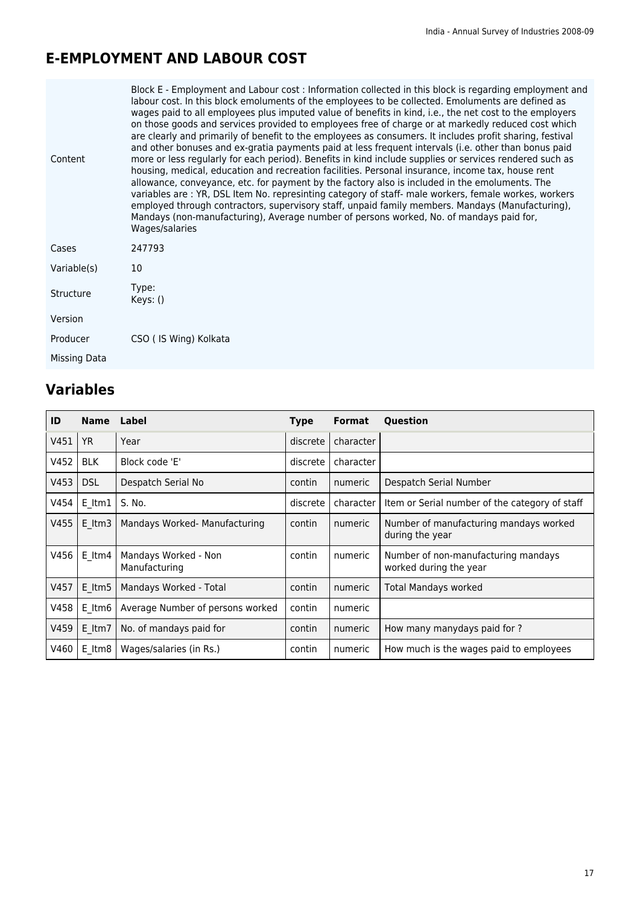### **E-EMPLOYMENT AND LABOUR COST**

| Content      | Block E - Employment and Labour cost : Information collected in this block is regarding employment and<br>labour cost. In this block emoluments of the employees to be collected. Emoluments are defined as<br>wages paid to all employees plus imputed value of benefits in kind, i.e., the net cost to the employers<br>on those goods and services provided to employees free of charge or at markedly reduced cost which<br>are clearly and primarily of benefit to the employees as consumers. It includes profit sharing, festival<br>and other bonuses and ex-gratia payments paid at less frequent intervals (i.e. other than bonus paid<br>more or less regularly for each period). Benefits in kind include supplies or services rendered such as<br>housing, medical, education and recreation facilities. Personal insurance, income tax, house rent<br>allowance, conveyance, etc. for payment by the factory also is included in the emoluments. The<br>variables are : YR, DSL Item No. represinting category of staff- male workers, female workes, workers<br>employed through contractors, supervisory staff, unpaid family members. Mandays (Manufacturing),<br>Mandays (non-manufacturing), Average number of persons worked, No. of mandays paid for,<br>Wages/salaries |
|--------------|----------------------------------------------------------------------------------------------------------------------------------------------------------------------------------------------------------------------------------------------------------------------------------------------------------------------------------------------------------------------------------------------------------------------------------------------------------------------------------------------------------------------------------------------------------------------------------------------------------------------------------------------------------------------------------------------------------------------------------------------------------------------------------------------------------------------------------------------------------------------------------------------------------------------------------------------------------------------------------------------------------------------------------------------------------------------------------------------------------------------------------------------------------------------------------------------------------------------------------------------------------------------------------------------|
| Cases        | 247793                                                                                                                                                                                                                                                                                                                                                                                                                                                                                                                                                                                                                                                                                                                                                                                                                                                                                                                                                                                                                                                                                                                                                                                                                                                                                       |
| Variable(s)  | 10                                                                                                                                                                                                                                                                                                                                                                                                                                                                                                                                                                                                                                                                                                                                                                                                                                                                                                                                                                                                                                                                                                                                                                                                                                                                                           |
| Structure    | Type:<br>Keys: ()                                                                                                                                                                                                                                                                                                                                                                                                                                                                                                                                                                                                                                                                                                                                                                                                                                                                                                                                                                                                                                                                                                                                                                                                                                                                            |
| Version      |                                                                                                                                                                                                                                                                                                                                                                                                                                                                                                                                                                                                                                                                                                                                                                                                                                                                                                                                                                                                                                                                                                                                                                                                                                                                                              |
| Producer     | CSO (IS Wing) Kolkata                                                                                                                                                                                                                                                                                                                                                                                                                                                                                                                                                                                                                                                                                                                                                                                                                                                                                                                                                                                                                                                                                                                                                                                                                                                                        |
| Missing Data |                                                                                                                                                                                                                                                                                                                                                                                                                                                                                                                                                                                                                                                                                                                                                                                                                                                                                                                                                                                                                                                                                                                                                                                                                                                                                              |
|              |                                                                                                                                                                                                                                                                                                                                                                                                                                                                                                                                                                                                                                                                                                                                                                                                                                                                                                                                                                                                                                                                                                                                                                                                                                                                                              |

| ID   | <b>Name</b> | Label                                 | Type     | Format    | Question                                                      |
|------|-------------|---------------------------------------|----------|-----------|---------------------------------------------------------------|
| V451 | <b>YR</b>   | Year                                  | discrete | character |                                                               |
| V452 | <b>BLK</b>  | Block code 'E'                        | discrete | character |                                                               |
| V453 | <b>DSL</b>  | Despatch Serial No                    | contin   | numeric   | Despatch Serial Number                                        |
| V454 | E Itm1      | S. No.                                | discrete | character | Item or Serial number of the category of staff                |
| V455 | $E$ ltm $3$ | Mandays Worked- Manufacturing         | contin   | numeric   | Number of manufacturing mandays worked<br>during the year     |
| V456 | E ltm4      | Mandays Worked - Non<br>Manufacturing | contin   | numeric   | Number of non-manufacturing mandays<br>worked during the year |
| V457 | E ltm5      | Mandays Worked - Total                | contin   | numeric   | Total Mandays worked                                          |
| V458 | E Itm6      | Average Number of persons worked      | contin   | numeric   |                                                               |
| V459 | E Itm7      | No. of mandays paid for               | contin   | numeric   | How many manydays paid for ?                                  |
| V460 | E Itm8      | Wages/salaries (in Rs.)               | contin   | numeric   | How much is the wages paid to employees                       |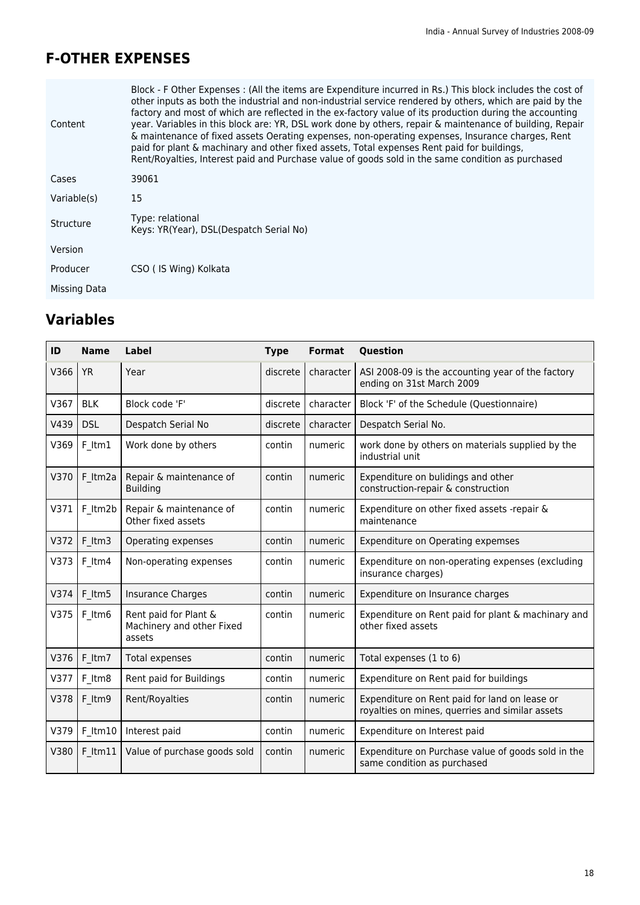### **F-OTHER EXPENSES**

| Content      | Block - F Other Expenses : (All the items are Expenditure incurred in Rs.) This block includes the cost of<br>other inputs as both the industrial and non-industrial service rendered by others, which are paid by the<br>factory and most of which are reflected in the ex-factory value of its production during the accounting<br>year. Variables in this block are: YR, DSL work done by others, repair & maintenance of building, Repair<br>& maintenance of fixed assets Oerating expenses, non-operating expenses, Insurance charges, Rent<br>paid for plant & machinary and other fixed assets, Total expenses Rent paid for buildings,<br>Rent/Royalties, Interest paid and Purchase value of goods sold in the same condition as purchased |
|--------------|------------------------------------------------------------------------------------------------------------------------------------------------------------------------------------------------------------------------------------------------------------------------------------------------------------------------------------------------------------------------------------------------------------------------------------------------------------------------------------------------------------------------------------------------------------------------------------------------------------------------------------------------------------------------------------------------------------------------------------------------------|
| Cases        | 39061                                                                                                                                                                                                                                                                                                                                                                                                                                                                                                                                                                                                                                                                                                                                                |
| Variable(s)  | 15                                                                                                                                                                                                                                                                                                                                                                                                                                                                                                                                                                                                                                                                                                                                                   |
| Structure    | Type: relational<br>Keys: YR(Year), DSL(Despatch Serial No)                                                                                                                                                                                                                                                                                                                                                                                                                                                                                                                                                                                                                                                                                          |
| Version      |                                                                                                                                                                                                                                                                                                                                                                                                                                                                                                                                                                                                                                                                                                                                                      |
| Producer     | CSO (IS Wing) Kolkata                                                                                                                                                                                                                                                                                                                                                                                                                                                                                                                                                                                                                                                                                                                                |
| Missing Data |                                                                                                                                                                                                                                                                                                                                                                                                                                                                                                                                                                                                                                                                                                                                                      |
|              |                                                                                                                                                                                                                                                                                                                                                                                                                                                                                                                                                                                                                                                                                                                                                      |

| ID   | <b>Name</b>  | Label                                                        | <b>Type</b> | <b>Format</b> | Question                                                                                         |
|------|--------------|--------------------------------------------------------------|-------------|---------------|--------------------------------------------------------------------------------------------------|
| V366 | <b>YR</b>    | Year                                                         | discrete    | character     | ASI 2008-09 is the accounting year of the factory<br>ending on 31st March 2009                   |
| V367 | <b>BLK</b>   | Block code 'F'                                               | discrete    | character     | Block 'F' of the Schedule (Questionnaire)                                                        |
| V439 | <b>DSL</b>   | Despatch Serial No                                           | discrete    | character     | Despatch Serial No.                                                                              |
| V369 | F Itm1       | Work done by others                                          | contin      | numeric       | work done by others on materials supplied by the<br>industrial unit                              |
| V370 | F Itm2a      | Repair & maintenance of<br><b>Building</b>                   | contin      | numeric       | Expenditure on bulidings and other<br>construction-repair & construction                         |
| V371 | F Itm2b      | Repair & maintenance of<br>Other fixed assets                | contin      | numeric       | Expenditure on other fixed assets -repair &<br>maintenance                                       |
| V372 | F Itm3       | Operating expenses                                           | contin      | numeric       | Expenditure on Operating expemses                                                                |
| V373 | F ltm4       | Non-operating expenses                                       | contin      | numeric       | Expenditure on non-operating expenses (excluding<br>insurance charges)                           |
| V374 | F Itm5       | Insurance Charges                                            | contin      | numeric       | Expenditure on Insurance charges                                                                 |
| V375 | F Itm6       | Rent paid for Plant &<br>Machinery and other Fixed<br>assets | contin      | numeric       | Expenditure on Rent paid for plant & machinary and<br>other fixed assets                         |
| V376 | F Itm7       | <b>Total expenses</b>                                        | contin      | numeric       | Total expenses (1 to 6)                                                                          |
| V377 | F Itm8       | Rent paid for Buildings                                      | contin      | numeric       | Expenditure on Rent paid for buildings                                                           |
| V378 | F Itm9       | Rent/Royalties                                               | contin      | numeric       | Expenditure on Rent paid for land on lease or<br>royalties on mines, querries and similar assets |
| V379 | $F$ ltm $10$ | Interest paid                                                | contin      | numeric       | Expenditure on Interest paid                                                                     |
| V380 | $F$ ltm $11$ | Value of purchase goods sold                                 | contin      | numeric       | Expenditure on Purchase value of goods sold in the<br>same condition as purchased                |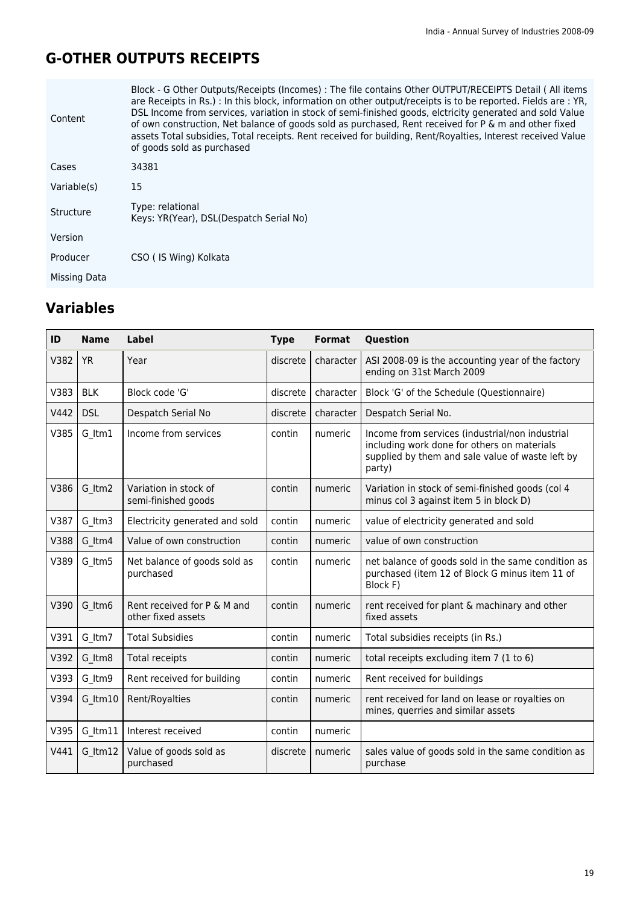### **G-OTHER OUTPUTS RECEIPTS**

| Content      | Block - G Other Outputs/Receipts (Incomes) : The file contains Other OUTPUT/RECEIPTS Detail (All items<br>are Receipts in Rs.) : In this block, information on other output/receipts is to be reported. Fields are : YR,<br>DSL Income from services, variation in stock of semi-finished goods, elctricity generated and sold Value<br>of own construction, Net balance of goods sold as purchased, Rent received for P & m and other fixed<br>assets Total subsidies, Total receipts. Rent received for building, Rent/Royalties, Interest received Value<br>of goods sold as purchased |
|--------------|-------------------------------------------------------------------------------------------------------------------------------------------------------------------------------------------------------------------------------------------------------------------------------------------------------------------------------------------------------------------------------------------------------------------------------------------------------------------------------------------------------------------------------------------------------------------------------------------|
| Cases        | 34381                                                                                                                                                                                                                                                                                                                                                                                                                                                                                                                                                                                     |
| Variable(s)  | 15                                                                                                                                                                                                                                                                                                                                                                                                                                                                                                                                                                                        |
| Structure    | Type: relational<br>Keys: YR(Year), DSL(Despatch Serial No)                                                                                                                                                                                                                                                                                                                                                                                                                                                                                                                               |
| Version      |                                                                                                                                                                                                                                                                                                                                                                                                                                                                                                                                                                                           |
| Producer     | CSO (IS Wing) Kolkata                                                                                                                                                                                                                                                                                                                                                                                                                                                                                                                                                                     |
| Missing Data |                                                                                                                                                                                                                                                                                                                                                                                                                                                                                                                                                                                           |

| ID   | <b>Name</b> | <b>Label</b>                                      | <b>Type</b> | <b>Format</b> | Question                                                                                                                                                     |
|------|-------------|---------------------------------------------------|-------------|---------------|--------------------------------------------------------------------------------------------------------------------------------------------------------------|
| V382 | <b>YR</b>   | Year                                              | discrete    | character     | ASI 2008-09 is the accounting year of the factory<br>ending on 31st March 2009                                                                               |
| V383 | <b>BLK</b>  | Block code 'G'                                    | discrete    | character     | Block 'G' of the Schedule (Questionnaire)                                                                                                                    |
| V442 | <b>DSL</b>  | Despatch Serial No                                | discrete    | character     | Despatch Serial No.                                                                                                                                          |
| V385 | G Itm1      | Income from services                              | contin      | numeric       | Income from services (industrial/non industrial<br>including work done for others on materials<br>supplied by them and sale value of waste left by<br>party) |
| V386 | G Itm2      | Variation in stock of<br>semi-finished goods      | contin      | numeric       | Variation in stock of semi-finished goods (col 4<br>minus col 3 against item 5 in block D)                                                                   |
| V387 | G Itm3      | Electricity generated and sold                    | contin      | numeric       | value of electricity generated and sold                                                                                                                      |
| V388 | G Itm4      | Value of own construction                         | contin      | numeric       | value of own construction                                                                                                                                    |
| V389 | G Itm5      | Net balance of goods sold as<br>purchased         | contin      | numeric       | net balance of goods sold in the same condition as<br>purchased (item 12 of Block G minus item 11 of<br>Block F)                                             |
| V390 | G Itm6      | Rent received for P & M and<br>other fixed assets | contin      | numeric       | rent received for plant & machinary and other<br>fixed assets                                                                                                |
| V391 | G Itm7      | <b>Total Subsidies</b>                            | contin      | numeric       | Total subsidies receipts (in Rs.)                                                                                                                            |
| V392 | G Itm8      | Total receipts                                    | contin      | numeric       | total receipts excluding item 7 (1 to 6)                                                                                                                     |
| V393 | G Itm9      | Rent received for building                        | contin      | numeric       | Rent received for buildings                                                                                                                                  |
| V394 | G ltm10     | Rent/Royalties                                    | contin      | numeric       | rent received for land on lease or royalties on<br>mines, querries and similar assets                                                                        |
| V395 | G ltm11     | Interest received                                 | contin      | numeric       |                                                                                                                                                              |
| V441 | G ltm12     | Value of goods sold as<br>purchased               | discrete    | numeric       | sales value of goods sold in the same condition as<br>purchase                                                                                               |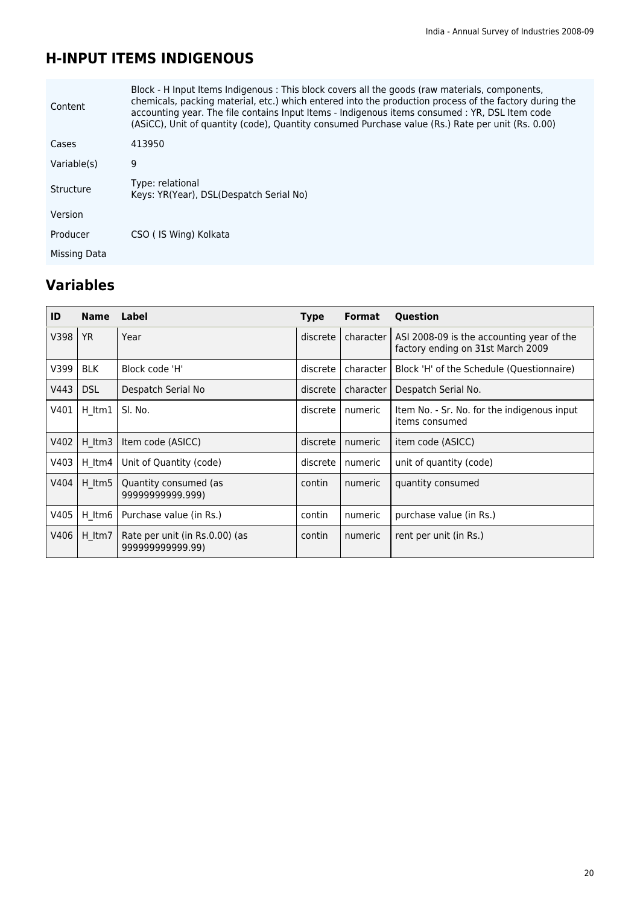### **H-INPUT ITEMS INDIGENOUS**

| Content      | Block - H Input Items Indigenous : This block covers all the goods (raw materials, components,<br>chemicals, packing material, etc.) which entered into the production process of the factory during the<br>accounting year. The file contains Input Items - Indigenous items consumed : YR, DSL Item code<br>(ASiCC), Unit of quantity (code), Quantity consumed Purchase value (Rs.) Rate per unit (Rs. 0.00) |
|--------------|-----------------------------------------------------------------------------------------------------------------------------------------------------------------------------------------------------------------------------------------------------------------------------------------------------------------------------------------------------------------------------------------------------------------|
| Cases        | 413950                                                                                                                                                                                                                                                                                                                                                                                                          |
| Variable(s)  | 9                                                                                                                                                                                                                                                                                                                                                                                                               |
| Structure    | Type: relational<br>Keys: YR(Year), DSL(Despatch Serial No)                                                                                                                                                                                                                                                                                                                                                     |
| Version      |                                                                                                                                                                                                                                                                                                                                                                                                                 |
| Producer     | CSO (IS Wing) Kolkata                                                                                                                                                                                                                                                                                                                                                                                           |
| Missing Data |                                                                                                                                                                                                                                                                                                                                                                                                                 |
|              |                                                                                                                                                                                                                                                                                                                                                                                                                 |

| ID   | <b>Name</b> | Label                                             | <b>Type</b> | <b>Format</b> | Question                                                                       |
|------|-------------|---------------------------------------------------|-------------|---------------|--------------------------------------------------------------------------------|
| V398 | <b>YR</b>   | Year                                              | discrete    | character     | ASI 2008-09 is the accounting year of the<br>factory ending on 31st March 2009 |
| V399 | <b>BLK</b>  | Block code 'H'                                    | discrete    | character     | Block 'H' of the Schedule (Questionnaire)                                      |
| V443 | <b>DSL</b>  | Despatch Serial No                                | discrete    | character     | Despatch Serial No.                                                            |
| V401 | H ltm1      | SI. No.                                           | discrete    | numeric       | Item No. - Sr. No. for the indigenous input<br>items consumed                  |
| V402 | H Itm3      | Item code (ASICC)                                 | discrete    | numeric       | item code (ASICC)                                                              |
| V403 | H Itm4      | Unit of Quantity (code)                           | discrete    | numeric       | unit of quantity (code)                                                        |
| V404 | $H$ ltm5    | Quantity consumed (as<br>9999999999.999)          | contin      | numeric       | quantity consumed                                                              |
| V405 | $H$ ltm $6$ | Purchase value (in Rs.)                           | contin      | numeric       | purchase value (in Rs.)                                                        |
| V406 | H ltm7      | Rate per unit (in Rs.0.00) (as<br>99999999999.99) | contin      | numeric       | rent per unit (in Rs.)                                                         |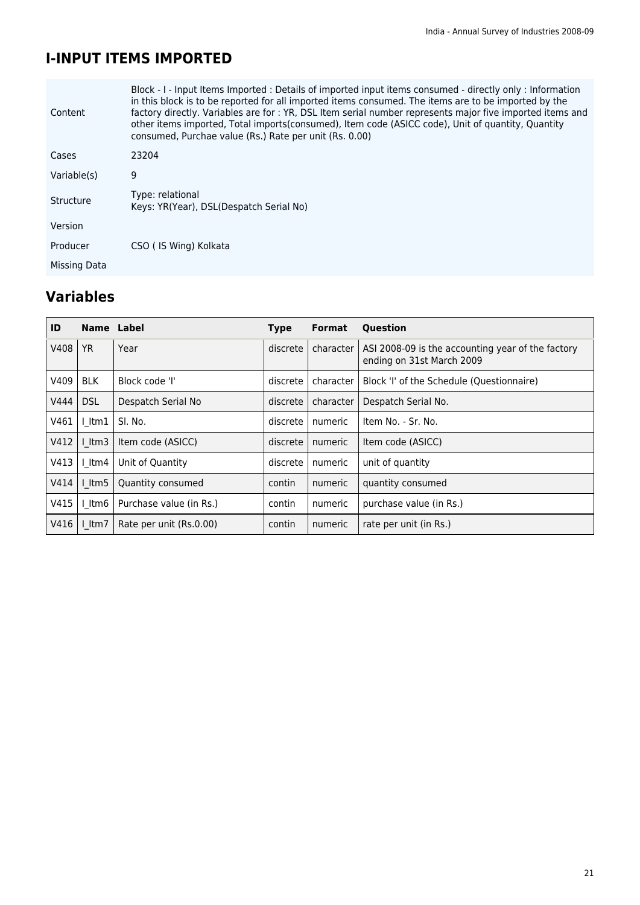### **I-INPUT ITEMS IMPORTED**

| Content      | Block - I - Input Items Imported : Details of imported input items consumed - directly only : Information<br>in this block is to be reported for all imported items consumed. The items are to be imported by the<br>factory directly. Variables are for : YR, DSL Item serial number represents major five imported items and<br>other items imported, Total imports (consumed), Item code (ASICC code), Unit of quantity, Quantity<br>consumed, Purchae value (Rs.) Rate per unit (Rs. 0.00) |
|--------------|------------------------------------------------------------------------------------------------------------------------------------------------------------------------------------------------------------------------------------------------------------------------------------------------------------------------------------------------------------------------------------------------------------------------------------------------------------------------------------------------|
| Cases        | 23204                                                                                                                                                                                                                                                                                                                                                                                                                                                                                          |
| Variable(s)  | 9                                                                                                                                                                                                                                                                                                                                                                                                                                                                                              |
| Structure    | Type: relational<br>Keys: YR(Year), DSL(Despatch Serial No)                                                                                                                                                                                                                                                                                                                                                                                                                                    |
| Version      |                                                                                                                                                                                                                                                                                                                                                                                                                                                                                                |
| Producer     | CSO (IS Wing) Kolkata                                                                                                                                                                                                                                                                                                                                                                                                                                                                          |
| Missing Data |                                                                                                                                                                                                                                                                                                                                                                                                                                                                                                |

| ID   | <b>Name</b> | Label                   | <b>Type</b> | <b>Format</b> | Question                                                                       |
|------|-------------|-------------------------|-------------|---------------|--------------------------------------------------------------------------------|
| V408 | <b>YR</b>   | Year                    | discrete    | character     | ASI 2008-09 is the accounting year of the factory<br>ending on 31st March 2009 |
| V409 | <b>BLK</b>  | Block code 'I'          | discrete    | character     | Block 'I' of the Schedule (Questionnaire)                                      |
| V444 | <b>DSL</b>  | Despatch Serial No      | discrete    | character     | Despatch Serial No.                                                            |
| V461 | $l$ ltm1    | SI. No.                 | discrete    | numeric       | Item No. - Sr. No.                                                             |
| V412 | $l$ ltm3    | Item code (ASICC)       | discrete    | numeric       | Item code (ASICC)                                                              |
| V413 | l Itm4      | Unit of Quantity        | discrete    | numeric       | unit of quantity                                                               |
| V414 | l Itm5      | Quantity consumed       | contin      | numeric       | quantity consumed                                                              |
| V415 | I Itm6      | Purchase value (in Rs.) | contin      | numeric       | purchase value (in Rs.)                                                        |
| V416 | $l$ ltm $7$ | Rate per unit (Rs.0.00) | contin      | numeric       | rate per unit (in Rs.)                                                         |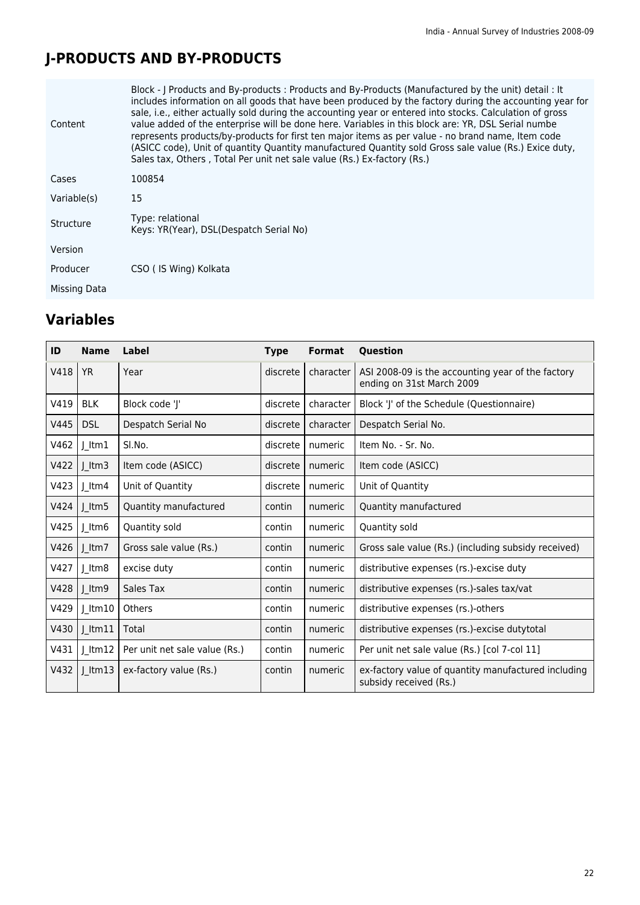## **J-PRODUCTS AND BY-PRODUCTS**

| Content      | Block - J Products and By-products : Products and By-Products (Manufactured by the unit) detail : It<br>includes information on all goods that have been produced by the factory during the accounting year for<br>sale, i.e., either actually sold during the accounting year or entered into stocks. Calculation of gross<br>value added of the enterprise will be done here. Variables in this block are: YR, DSL Serial numbe<br>represents products/by-products for first ten major items as per value - no brand name, Item code<br>(ASICC code), Unit of quantity Quantity manufactured Quantity sold Gross sale value (Rs.) Exice duty,<br>Sales tax, Others, Total Per unit net sale value (Rs.) Ex-factory (Rs.) |  |
|--------------|----------------------------------------------------------------------------------------------------------------------------------------------------------------------------------------------------------------------------------------------------------------------------------------------------------------------------------------------------------------------------------------------------------------------------------------------------------------------------------------------------------------------------------------------------------------------------------------------------------------------------------------------------------------------------------------------------------------------------|--|
| Cases        | 100854                                                                                                                                                                                                                                                                                                                                                                                                                                                                                                                                                                                                                                                                                                                     |  |
| Variable(s)  | 15                                                                                                                                                                                                                                                                                                                                                                                                                                                                                                                                                                                                                                                                                                                         |  |
| Structure    | Type: relational<br>Keys: YR(Year), DSL(Despatch Serial No)                                                                                                                                                                                                                                                                                                                                                                                                                                                                                                                                                                                                                                                                |  |
| Version      |                                                                                                                                                                                                                                                                                                                                                                                                                                                                                                                                                                                                                                                                                                                            |  |
| Producer     | CSO (IS Wing) Kolkata                                                                                                                                                                                                                                                                                                                                                                                                                                                                                                                                                                                                                                                                                                      |  |
| Missing Data |                                                                                                                                                                                                                                                                                                                                                                                                                                                                                                                                                                                                                                                                                                                            |  |
|              |                                                                                                                                                                                                                                                                                                                                                                                                                                                                                                                                                                                                                                                                                                                            |  |

| ID   | <b>Name</b>  | Label                         | <b>Type</b> | <b>Format</b> | Question                                                                       |
|------|--------------|-------------------------------|-------------|---------------|--------------------------------------------------------------------------------|
| V418 | <b>YR</b>    | Year                          | discrete    | character     | ASI 2008-09 is the accounting year of the factory<br>ending on 31st March 2009 |
| V419 | <b>BLK</b>   | Block code 'J'                | discrete    | character     | Block 'J' of the Schedule (Questionnaire)                                      |
| V445 | <b>DSL</b>   | Despatch Serial No            | discrete    | character     | Despatch Serial No.                                                            |
| V462 | $J$ ltm1     | SI.No.                        | discrete    | numeric       | Item No. - Sr. No.                                                             |
| V422 | $J$ ltm3     | Item code (ASICC)             | discrete    | numeric       | Item code (ASICC)                                                              |
| V423 | $J$ ltm4     | Unit of Quantity              | discrete    | numeric       | Unit of Quantity                                                               |
| V424 | $J$ ltm5     | Quantity manufactured         | contin      | numeric       | Quantity manufactured                                                          |
| V425 | $J$ ltm6     | Quantity sold                 | contin      | numeric       | Quantity sold                                                                  |
| V426 | $J$ ltm7     | Gross sale value (Rs.)        | contin      | numeric       | Gross sale value (Rs.) (including subsidy received)                            |
| V427 | $J$ ltm8     | excise duty                   | contin      | numeric       | distributive expenses (rs.)-excise duty                                        |
| V428 | $J$ ltm9     | Sales Tax                     | contin      | numeric       | distributive expenses (rs.)-sales tax/vat                                      |
| V429 | $J$ ltm10    | Others                        | contin      | numeric       | distributive expenses (rs.)-others                                             |
| V430 | $J$ ltm $11$ | Total                         | contin      | numeric       | distributive expenses (rs.)-excise dutytotal                                   |
| V431 | $ $ ltm12    | Per unit net sale value (Rs.) | contin      | numeric       | Per unit net sale value (Rs.) [col 7-col 11]                                   |
| V432 | $J$ ltm13    | ex-factory value (Rs.)        | contin      | numeric       | ex-factory value of quantity manufactured including<br>subsidy received (Rs.)  |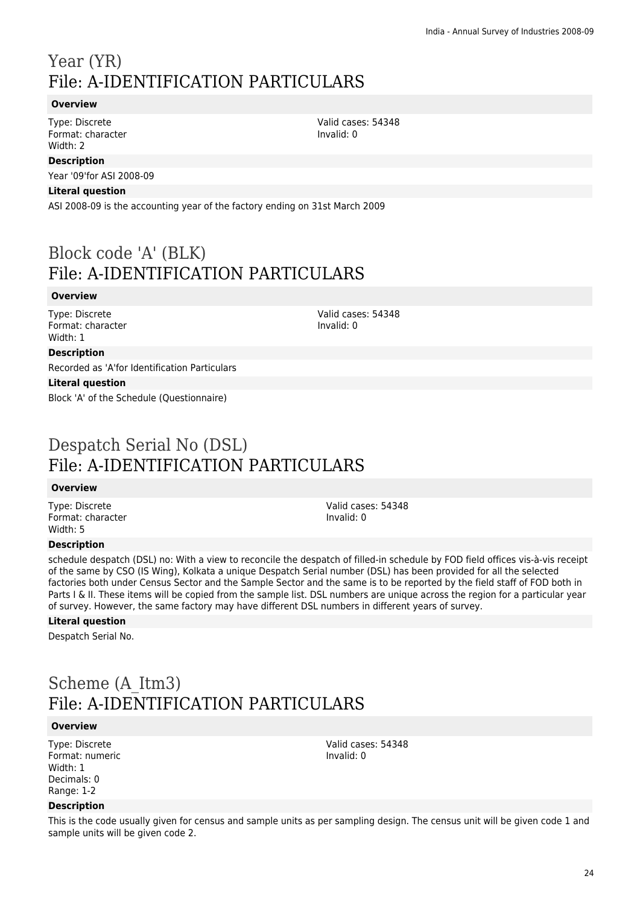### Year (YR) File: A-IDENTIFICATION PARTICULARS

### **Overview**

Type: Discrete Format: character Width: 2

### **Description**

Year '09'for ASI 2008-09

#### **Literal question**

ASI 2008-09 is the accounting year of the factory ending on 31st March 2009

## Block code 'A' (BLK) File: A-IDENTIFICATION PARTICULARS

#### **Overview**

Type: Discrete Format: character Width: 1

Valid cases: 54348 Invalid: 0

### **Description**

Recorded as 'A'for Identification Particulars

#### **Literal question**

Block 'A' of the Schedule (Questionnaire)

### Despatch Serial No (DSL) File: A-IDENTIFICATION PARTICULARS

### **Overview**

Type: Discrete Format: character Width: 5

### Valid cases: 54348 Invalid: 0

Valid cases: 54348

Invalid: 0

### **Description**

schedule despatch (DSL) no: With a view to reconcile the despatch of filled-in schedule by FOD field offices vis-à-vis receipt of the same by CSO (IS Wing), Kolkata a unique Despatch Serial number (DSL) has been provided for all the selected factories both under Census Sector and the Sample Sector and the same is to be reported by the field staff of FOD both in Parts I & II. These items will be copied from the sample list. DSL numbers are unique across the region for a particular year of survey. However, the same factory may have different DSL numbers in different years of survey.

### **Literal question**

Despatch Serial No.

## Scheme (A\_Itm3) File: A-IDENTIFICATION PARTICULARS

### **Overview**

Type: Discrete Format: numeric Width: 1 Decimals: 0 Range: 1-2

### **Description**

This is the code usually given for census and sample units as per sampling design. The census unit will be given code 1 and sample units will be given code 2.

Valid cases: 54348 Invalid: 0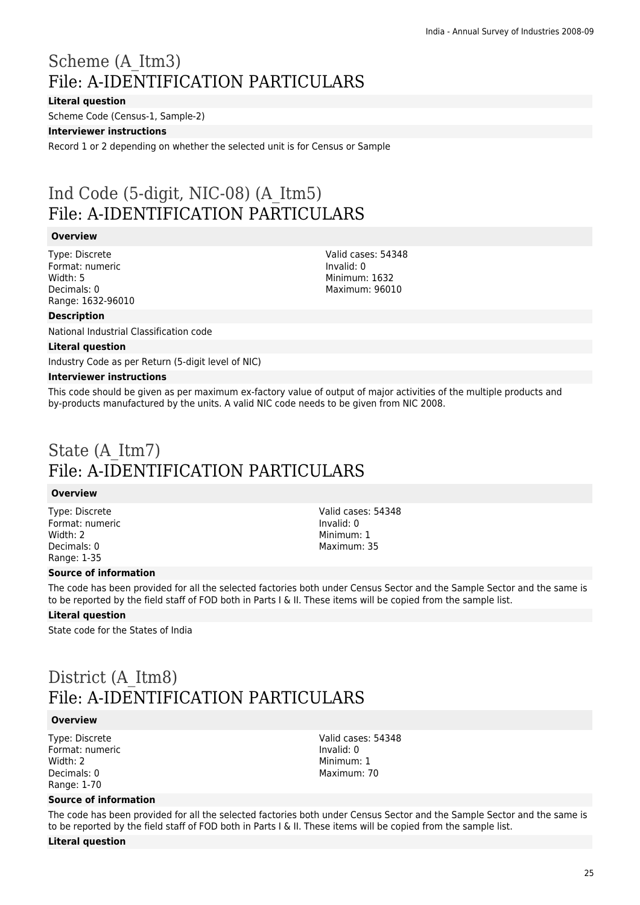## Scheme (A\_Itm3) File: A-IDENTIFICATION PARTICULARS

### **Literal question**

Scheme Code (Census-1, Sample-2)

#### **Interviewer instructions**

Record 1 or 2 depending on whether the selected unit is for Census or Sample

## Ind Code (5-digit, NIC-08) (A\_Itm5) File: A-IDENTIFICATION PARTICULARS

### **Overview**

Type: Discrete Format: numeric Width: 5 Decimals: 0 Range: 1632-96010

### Valid cases: 54348 Invalid: 0 Minimum: 1632 Maximum: 96010

### **Description**

National Industrial Classification code

#### **Literal question**

Industry Code as per Return (5-digit level of NIC)

#### **Interviewer instructions**

This code should be given as per maximum ex-factory value of output of major activities of the multiple products and by-products manufactured by the units. A valid NIC code needs to be given from NIC 2008.

### State (A\_Itm7) File: A-IDENTIFICATION PARTICULARS

### **Overview**

Type: Discrete Format: numeric Width: 2 Decimals: 0 Range: 1-35

Valid cases: 54348 Invalid: 0 Minimum: 1 Maximum: 35

### **Source of information**

The code has been provided for all the selected factories both under Census Sector and the Sample Sector and the same is to be reported by the field staff of FOD both in Parts I & II. These items will be copied from the sample list.

#### **Literal question**

State code for the States of India

### District (A\_Itm8) File: A-IDENTIFICATION PARTICULARS

#### **Overview**

Type: Discrete Format: numeric Width: 2 Decimals: 0 Range: 1-70

Valid cases: 54348 Invalid: 0 Minimum: 1 Maximum: 70

### **Source of information**

The code has been provided for all the selected factories both under Census Sector and the Sample Sector and the same is to be reported by the field staff of FOD both in Parts I & II. These items will be copied from the sample list.

#### **Literal question**

25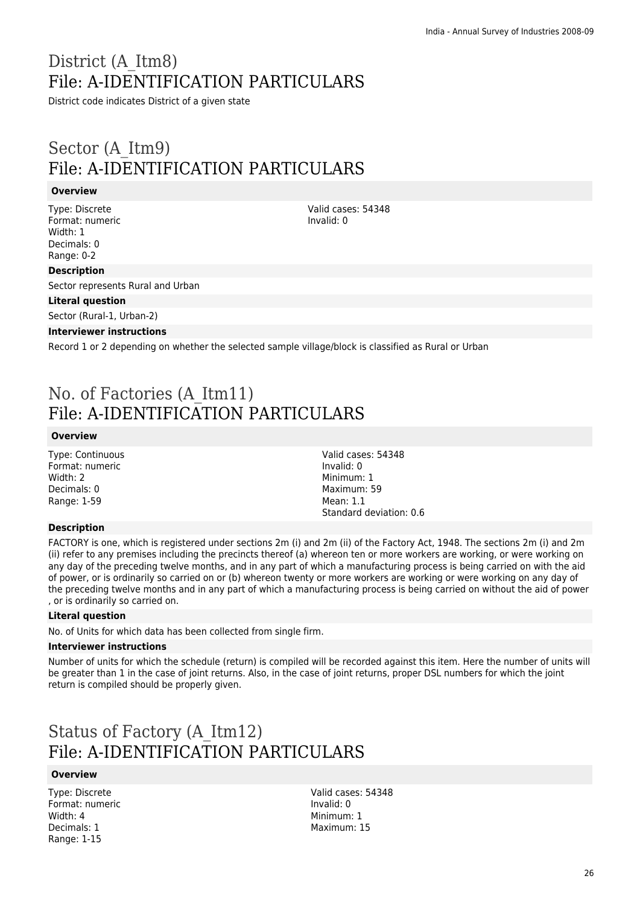## District (A\_Itm8) File: A-IDENTIFICATION PARTICULARS

District code indicates District of a given state

### Sector (A\_Itm9) File: A-IDENTIFICATION PARTICULARS

### **Overview**

Type: Discrete Format: numeric Width: 1 Decimals: 0 Range: 0-2

Valid cases: 54348 Invalid: 0

Valid cases: 54348

Standard deviation: 0.6

Invalid: 0 Minimum: 1 Maximum: 59 Mean: 1.1

### **Description**

Sector represents Rural and Urban

### **Literal question**

Sector (Rural-1, Urban-2)

### **Interviewer instructions**

Record 1 or 2 depending on whether the selected sample village/block is classified as Rural or Urban

### No. of Factories (A\_Itm11) File: A-IDENTIFICATION PARTICULARS

#### **Overview**

Type: Continuous Format: numeric Width: 2 Decimals: 0 Range: 1-59

### **Description**

FACTORY is one, which is registered under sections 2m (i) and 2m (ii) of the Factory Act, 1948. The sections 2m (i) and 2m (ii) refer to any premises including the precincts thereof (a) whereon ten or more workers are working, or were working on any day of the preceding twelve months, and in any part of which a manufacturing process is being carried on with the aid of power, or is ordinarily so carried on or (b) whereon twenty or more workers are working or were working on any day of the preceding twelve months and in any part of which a manufacturing process is being carried on without the aid of power , or is ordinarily so carried on.

### **Literal question**

No. of Units for which data has been collected from single firm.

#### **Interviewer instructions**

Number of units for which the schedule (return) is compiled will be recorded against this item. Here the number of units will be greater than 1 in the case of joint returns. Also, in the case of joint returns, proper DSL numbers for which the joint return is compiled should be properly given.

## Status of Factory (A\_Itm12) File: A-IDENTIFICATION PARTICULARS

### **Overview**

Type: Discrete Format: numeric Width: 4 Decimals: 1 Range: 1-15

Valid cases: 54348 Invalid: 0 Minimum: 1 Maximum: 15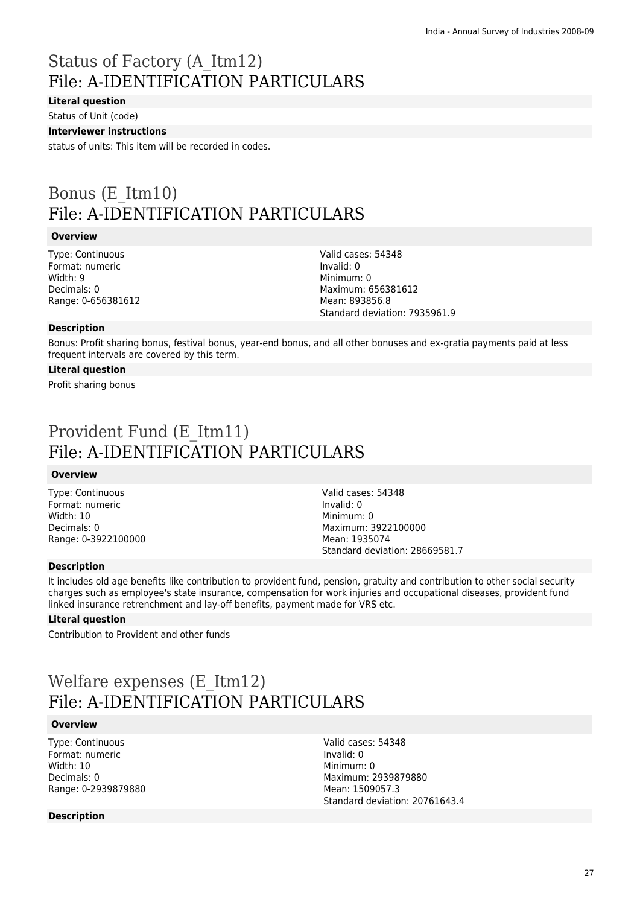## Status of Factory (A\_Itm12) File: A-IDENTIFICATION PARTICULARS

### **Literal question**

Status of Unit (code)

### **Interviewer instructions**

status of units: This item will be recorded in codes.

## Bonus (E\_Itm10) File: A-IDENTIFICATION PARTICULARS

#### **Overview**

Type: Continuous Format: numeric Width: 9 Decimals: 0 Range: 0-656381612

Valid cases: 54348 Invalid: 0 Minimum: 0 Maximum: 656381612 Mean: 893856.8 Standard deviation: 7935961.9

#### **Description**

Bonus: Profit sharing bonus, festival bonus, year-end bonus, and all other bonuses and ex-gratia payments paid at less frequent intervals are covered by this term.

#### **Literal question**

Profit sharing bonus

## Provident Fund (E\_Itm11) File: A-IDENTIFICATION PARTICULARS

#### **Overview**

Type: Continuous Format: numeric Width: 10 Decimals: 0 Range: 0-3922100000 Valid cases: 54348 Invalid: 0 Minimum: 0 Maximum: 3922100000 Mean: 1935074 Standard deviation: 28669581.7

### **Description**

It includes old age benefits like contribution to provident fund, pension, gratuity and contribution to other social security charges such as employee's state insurance, compensation for work injuries and occupational diseases, provident fund linked insurance retrenchment and lay-off benefits, payment made for VRS etc.

### **Literal question**

Contribution to Provident and other funds

## Welfare expenses (E\_Itm12) File: A-IDENTIFICATION PARTICULARS

#### **Overview**

Type: Continuous Format: numeric Width: 10 Decimals: 0 Range: 0-2939879880

Valid cases: 54348 Invalid: 0 Minimum: 0 Maximum: 2939879880 Mean: 1509057.3 Standard deviation: 20761643.4

### **Description**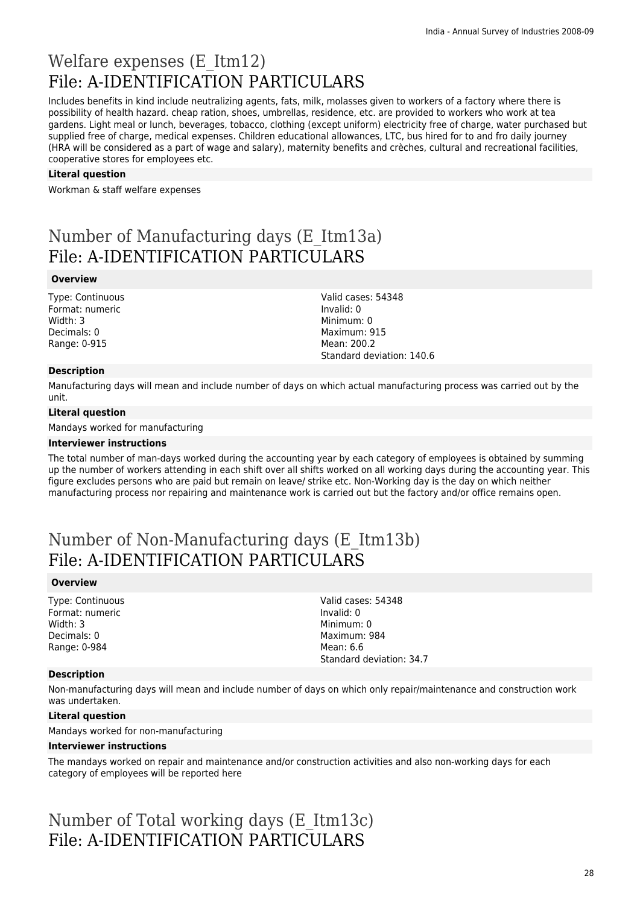### Welfare expenses (E\_Itm12) File: A-IDENTIFICATION PARTICULARS

Includes benefits in kind include neutralizing agents, fats, milk, molasses given to workers of a factory where there is possibility of health hazard. cheap ration, shoes, umbrellas, residence, etc. are provided to workers who work at tea gardens. Light meal or lunch, beverages, tobacco, clothing (except uniform) electricity free of charge, water purchased but supplied free of charge, medical expenses. Children educational allowances, LTC, bus hired for to and fro daily journey (HRA will be considered as a part of wage and salary), maternity benefits and crèches, cultural and recreational facilities, cooperative stores for employees etc.

#### **Literal question**

Workman & staff welfare expenses

## Number of Manufacturing days (E\_Itm13a) File: A-IDENTIFICATION PARTICULARS

#### **Overview**

Type: Continuous Format: numeric Width: 3 Decimals: 0 Range: 0-915

#### **Description**

Manufacturing days will mean and include number of days on which actual manufacturing process was carried out by the unit.

Valid cases: 54348

Standard deviation: 140.6

Invalid: 0 Minimum: 0 Maximum: 915 Mean: 200.2

#### **Literal question**

Mandays worked for manufacturing

#### **Interviewer instructions**

The total number of man-days worked during the accounting year by each category of employees is obtained by summing up the number of workers attending in each shift over all shifts worked on all working days during the accounting year. This figure excludes persons who are paid but remain on leave/ strike etc. Non-Working day is the day on which neither manufacturing process nor repairing and maintenance work is carried out but the factory and/or office remains open.

### Number of Non-Manufacturing days (E\_Itm13b) File: A-IDENTIFICATION PARTICULARS

#### **Overview**

Type: Continuous Format: numeric Width: 3 Decimals: 0 Range: 0-984

Valid cases: 54348 Invalid: 0 Minimum: 0 Maximum: 984 Mean: 6.6 Standard deviation: 34.7

#### **Description**

Non-manufacturing days will mean and include number of days on which only repair/maintenance and construction work was undertaken.

### **Literal question**

Mandays worked for non-manufacturing

#### **Interviewer instructions**

The mandays worked on repair and maintenance and/or construction activities and also non-working days for each category of employees will be reported here

Number of Total working days (E\_Itm13c) File: A-IDENTIFICATION PARTICULARS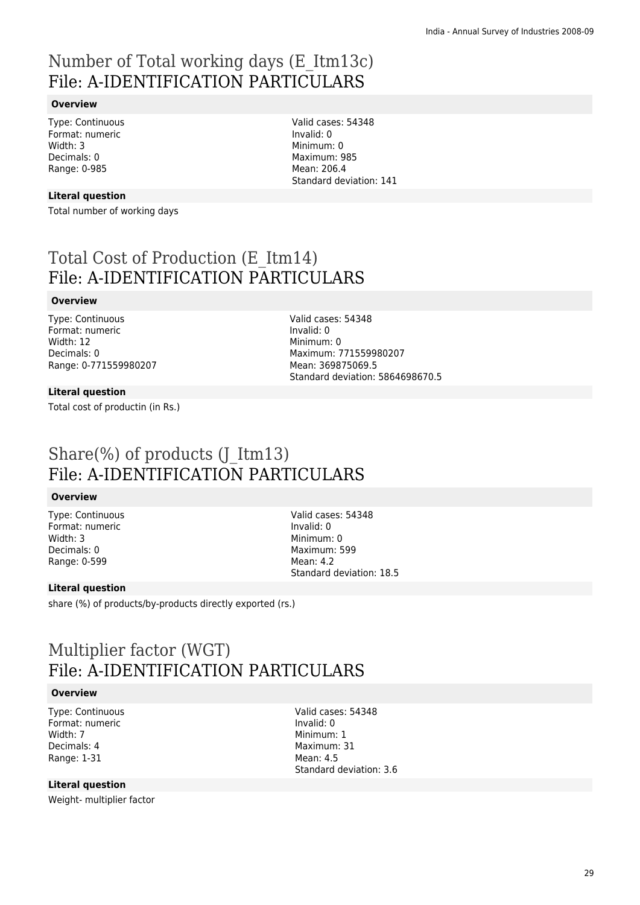## Number of Total working days (E\_Itm13c) File: A-IDENTIFICATION PARTICULARS

### **Overview**

Type: Continuous Format: numeric Width: 3 Decimals: 0 Range: 0-985

Valid cases: 54348 Invalid: 0 Minimum: 0 Maximum: 985 Mean: 206.4 Standard deviation: 141

### **Literal question**

Total number of working days

## Total Cost of Production (E\_Itm14) File: A-IDENTIFICATION PARTICULARS

### **Overview**

Type: Continuous Format: numeric Width: 12 Decimals: 0 Range: 0-771559980207 Valid cases: 54348 Invalid: 0 Minimum: 0 Maximum: 771559980207 Mean: 369875069.5 Standard deviation: 5864698670.5

### **Literal question**

Total cost of productin (in Rs.)

### Share(%) of products  $(I_1Itm13)$ File: A-IDENTIFICATION PARTICULARS

### **Overview**

Type: Continuous Format: numeric Width: 3 Decimals: 0 Range: 0-599

Valid cases: 54348 Invalid: 0 Minimum: 0 Maximum: 599 Mean: 4.2 Standard deviation: 18.5

### **Literal question**

share (%) of products/by-products directly exported (rs.)

### Multiplier factor (WGT) File: A-IDENTIFICATION PARTICULARS

### **Overview**

Type: Continuous Format: numeric Width: 7 Decimals: 4 Range: 1-31

Valid cases: 54348 Invalid: 0 Minimum: 1 Maximum: 31 Mean: 4.5 Standard deviation: 3.6

### **Literal question**

Weight- multiplier factor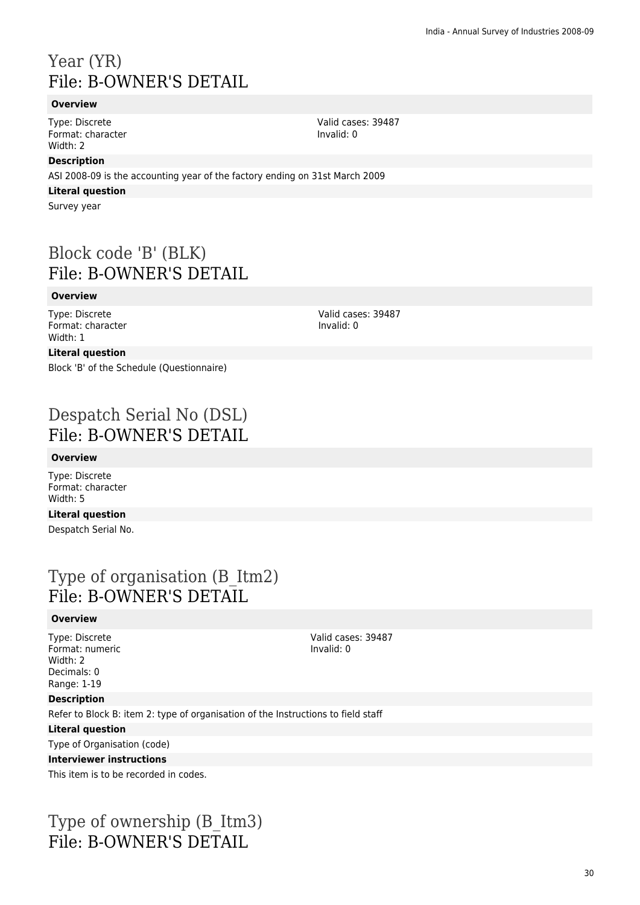## Year (YR) File: B-OWNER'S DETAIL

### **Overview**

Type: Discrete Format: character Width: 2

### **Description**

ASI 2008-09 is the accounting year of the factory ending on 31st March 2009

### **Literal question**

Survey year

### Block code 'B' (BLK) File: B-OWNER'S DETAIL

### **Overview**

Type: Discrete Format: character Width: 1

Valid cases: 39487 Invalid: 0

Valid cases: 39487

Invalid: 0

### **Literal question**

Block 'B' of the Schedule (Questionnaire)

### Despatch Serial No (DSL) File: B-OWNER'S DETAIL

### **Overview**

Type: Discrete Format: character Width: 5

### **Literal question**

Despatch Serial No.

### Type of organisation (B\_Itm2) File: B-OWNER'S DETAIL

### **Overview**

Type: Discrete Format: numeric Width: 2 Decimals: 0 Range: 1-19

Valid cases: 39487 Invalid: 0

### **Description**

Refer to Block B: item 2: type of organisation of the Instructions to field staff

### **Literal question**

Type of Organisation (code)

### **Interviewer instructions**

This item is to be recorded in codes.

### Type of ownership (B\_Itm3) File: B-OWNER'S DETAIL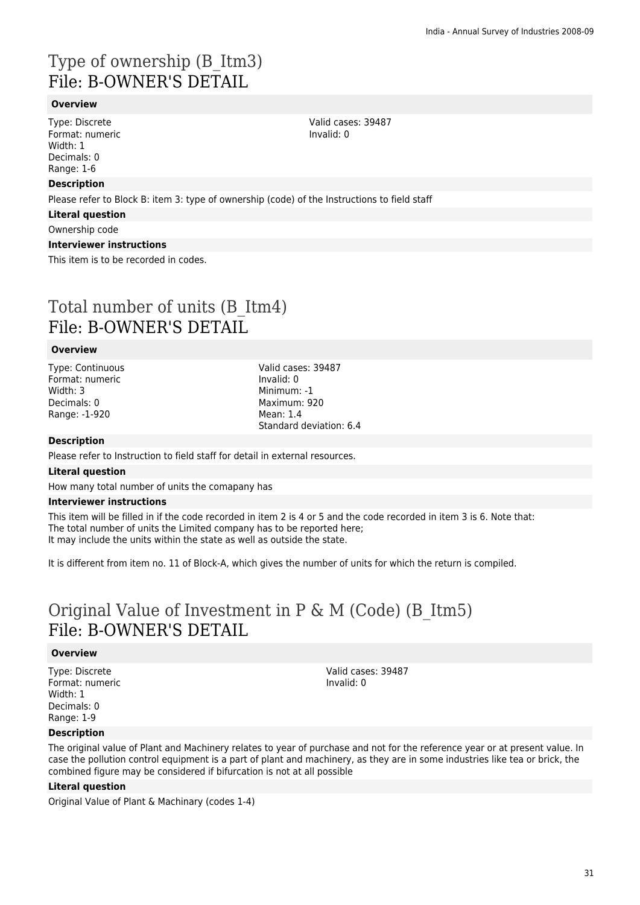## Type of ownership (B\_Itm3) File: B-OWNER'S DETAIL

### **Overview**

Type: Discrete Format: numeric Width: 1 Decimals: 0 Range: 1-6

### **Description**

Please refer to Block B: item 3: type of ownership (code) of the Instructions to field staff

### **Literal question**

Ownership code

### **Interviewer instructions**

This item is to be recorded in codes.

### Total number of units (B\_Itm4) File: B-OWNER'S DETAIL

### **Overview**

Type: Continuous Format: numeric Width: 3 Decimals: 0 Range: -1-920

Valid cases: 39487 Invalid: 0 Minimum: -1 Maximum: 920 Mean: 1.4 Standard deviation: 6.4

### **Description**

Please refer to Instruction to field staff for detail in external resources.

#### **Literal question**

How many total number of units the comapany has

#### **Interviewer instructions**

This item will be filled in if the code recorded in item 2 is 4 or 5 and the code recorded in item 3 is 6. Note that: The total number of units the Limited company has to be reported here; It may include the units within the state as well as outside the state.

It is different from item no. 11 of Block-A, which gives the number of units for which the return is compiled.

### Original Value of Investment in P & M (Code) (B\_Itm5) File: B-OWNER'S DETAIL

#### **Overview**

Type: Discrete Format: numeric Width: 1 Decimals: 0 Range: 1-9

Valid cases: 39487 Invalid: 0

### **Description**

The original value of Plant and Machinery relates to year of purchase and not for the reference year or at present value. In case the pollution control equipment is a part of plant and machinery, as they are in some industries like tea or brick, the combined figure may be considered if bifurcation is not at all possible

### **Literal question**

Original Value of Plant & Machinary (codes 1-4)

Valid cases: 39487 Invalid: 0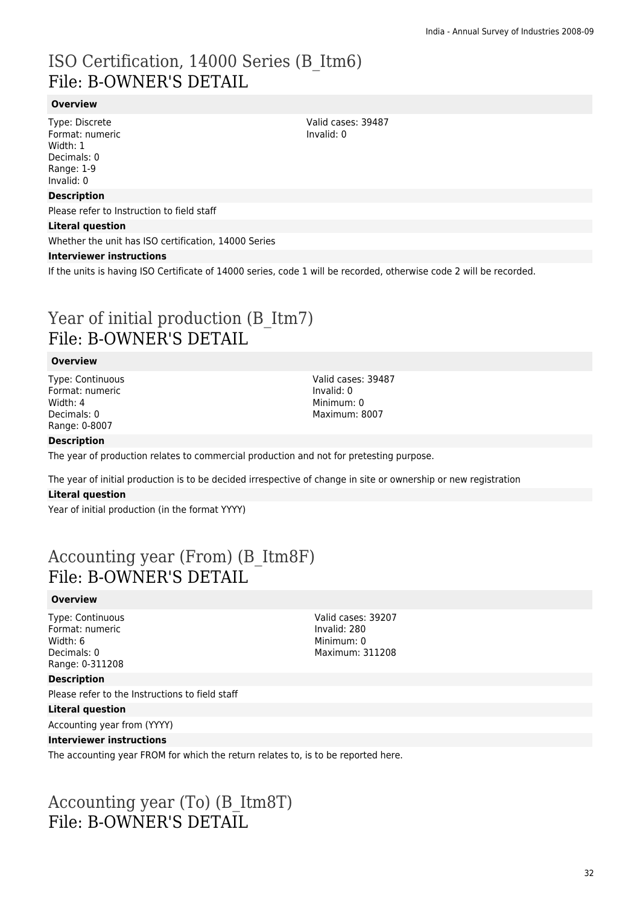## ISO Certification, 14000 Series (B\_Itm6) File: B-OWNER'S DETAIL

### **Overview**

Type: Discrete Format: numeric Width: 1 Decimals: 0 Range: 1-9 Invalid: 0

#### **Description**

Please refer to Instruction to field staff

#### **Literal question**

Whether the unit has ISO certification, 14000 Series

#### **Interviewer instructions**

If the units is having ISO Certificate of 14000 series, code 1 will be recorded, otherwise code 2 will be recorded.

### Year of initial production (B Itm7) File: B-OWNER'S DETAIL

#### **Overview**

Type: Continuous Format: numeric Width: 4 Decimals: 0 Range: 0-8007

Valid cases: 39487 Invalid: 0 Minimum: 0 Maximum: 8007

#### **Description**

The year of production relates to commercial production and not for pretesting purpose.

The year of initial production is to be decided irrespective of change in site or ownership or new registration

#### **Literal question**

Year of initial production (in the format YYYY)

### Accounting year (From) (B\_Itm8F) File: B-OWNER'S DETAIL

#### **Overview**

Type: Continuous Format: numeric Width: 6 Decimals: 0 Range: 0-311208

Invalid: 280 Minimum: 0 Maximum: 311208

Valid cases: 39207

#### **Description**

Please refer to the Instructions to field staff

#### **Literal question**

Accounting year from (YYYY)

#### **Interviewer instructions**

The accounting year FROM for which the return relates to, is to be reported here.

### Accounting year (To) (B\_Itm8T) File: B-OWNER'S DETAIL

Valid cases: 39487 Invalid: 0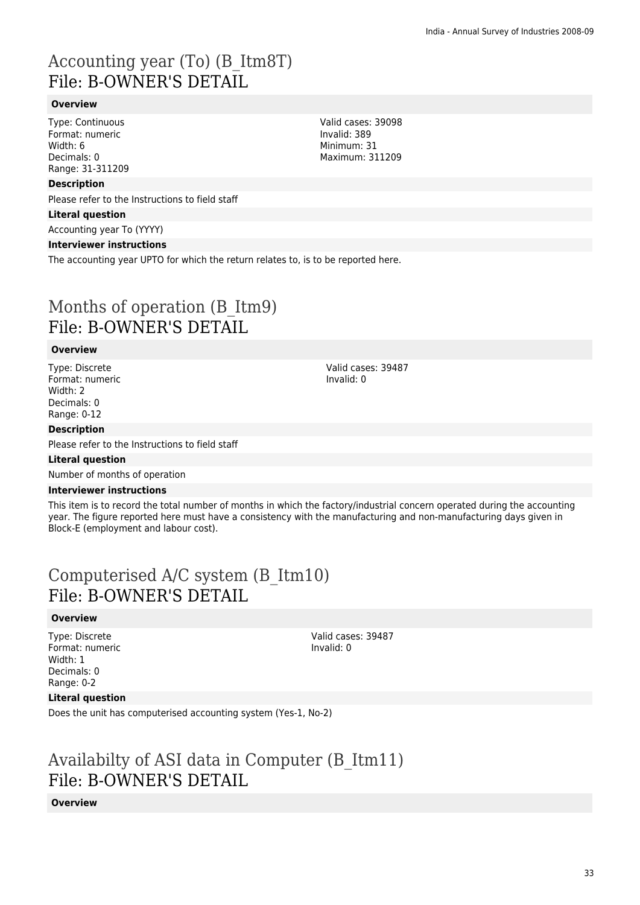## Accounting year (To) (B\_Itm8T) File: B-OWNER'S DETAIL

### **Overview**

Type: Continuous Format: numeric Width: 6 Decimals: 0 Range: 31-311209

### **Description**

Please refer to the Instructions to field staff

### **Literal question**

Accounting year To (YYYY)

### **Interviewer instructions**

The accounting year UPTO for which the return relates to, is to be reported here.

## Months of operation (B\_Itm9) File: B-OWNER'S DETAIL

### **Overview**

Type: Discrete Format: numeric Width: 2 Decimals: 0 Range: 0-12

### **Description**

Please refer to the Instructions to field staff

### **Literal question**

Number of months of operation

### **Interviewer instructions**

This item is to record the total number of months in which the factory/industrial concern operated during the accounting year. The figure reported here must have a consistency with the manufacturing and non-manufacturing days given in Block-E (employment and labour cost).

## Computerised A/C system (B\_Itm10) File: B-OWNER'S DETAIL

### **Overview**

Type: Discrete Format: numeric Width: 1 Decimals: 0 Range: 0-2

Valid cases: 39487 Invalid: 0

### **Literal question**

Does the unit has computerised accounting system (Yes-1, No-2)

### Availabilty of ASI data in Computer (B\_Itm11) File: B-OWNER'S DETAIL

### **Overview**

Valid cases: 39098 Invalid: 389 Minimum: 31 Maximum: 311209

Valid cases: 39487

Invalid: 0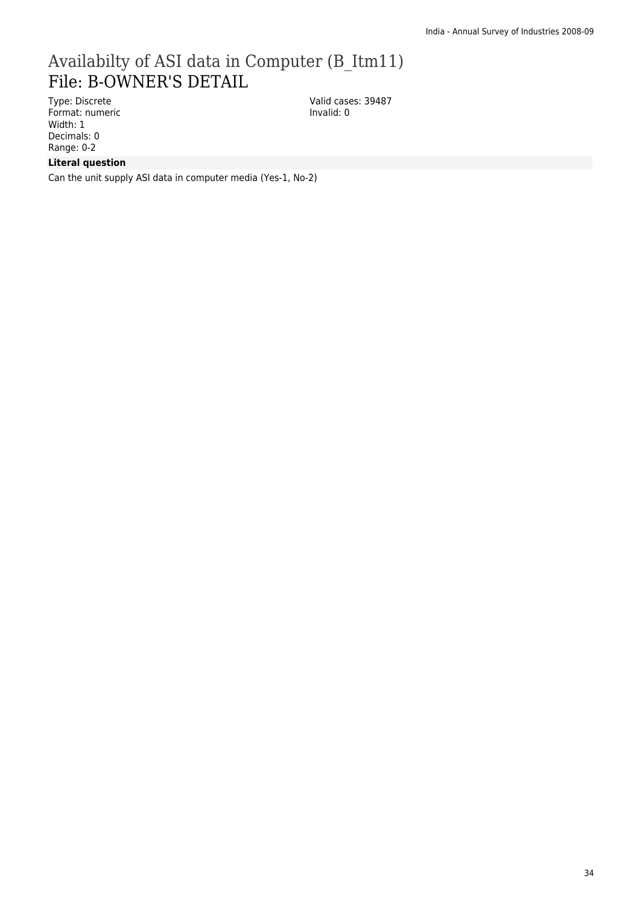## Availabilty of ASI data in Computer (B\_Itm11) File: B-OWNER'S DETAIL

Type: Discrete Format: numeric Width: 1 Decimals: 0 Range: 0-2

Valid cases: 39487 Invalid: 0

### **Literal question**

Can the unit supply ASI data in computer media (Yes-1, No-2)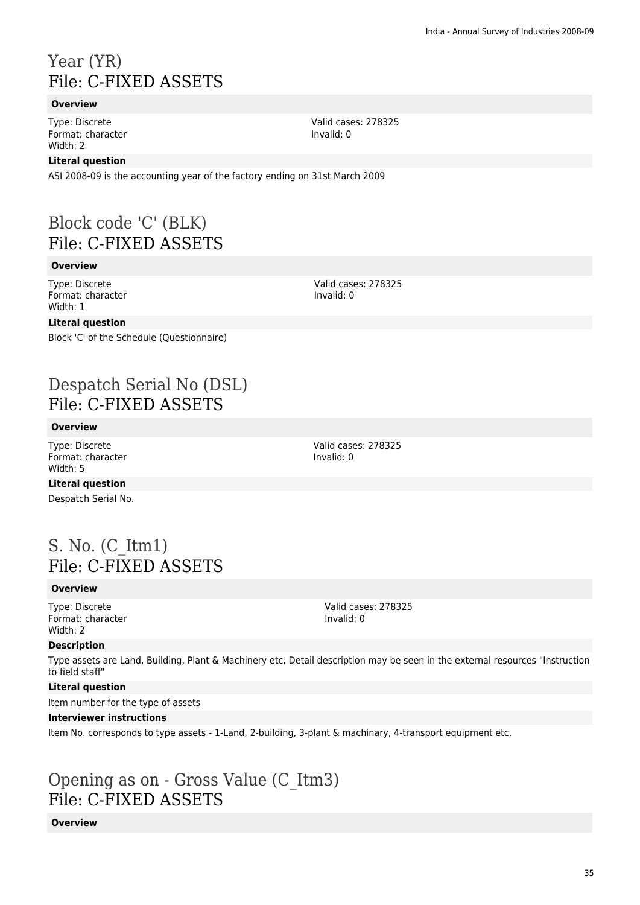### Year (YR) File: C-FIXED ASSETS

### **Overview**

Type: Discrete Format: character Width: 2

### **Literal question**

ASI 2008-09 is the accounting year of the factory ending on 31st March 2009

### Block code 'C' (BLK) File: C-FIXED ASSETS

### **Overview**

Type: Discrete Format: character Width: 1

### **Literal question**

Block 'C' of the Schedule (Questionnaire)

### Despatch Serial No (DSL) File: C-FIXED ASSETS

### **Overview**

Type: Discrete Format: character Width: 5

**Literal question** Despatch Serial No.

### S. No. (C\_Itm1) File: C-FIXED ASSETS

### **Overview**

Type: Discrete Format: character Width: 2

Valid cases: 278325 Invalid: 0

### **Description**

Type assets are Land, Building, Plant & Machinery etc. Detail description may be seen in the external resources "Instruction to field staff"

### **Literal question**

Item number for the type of assets

### **Interviewer instructions**

Item No. corresponds to type assets - 1-Land, 2-building, 3-plant & machinary, 4-transport equipment etc.

### Opening as on - Gross Value (C\_Itm3) File: C-FIXED ASSETS

### **Overview**

Valid cases: 278325 Invalid: 0

Valid cases: 278325

Valid cases: 278325

Invalid: 0

Invalid: 0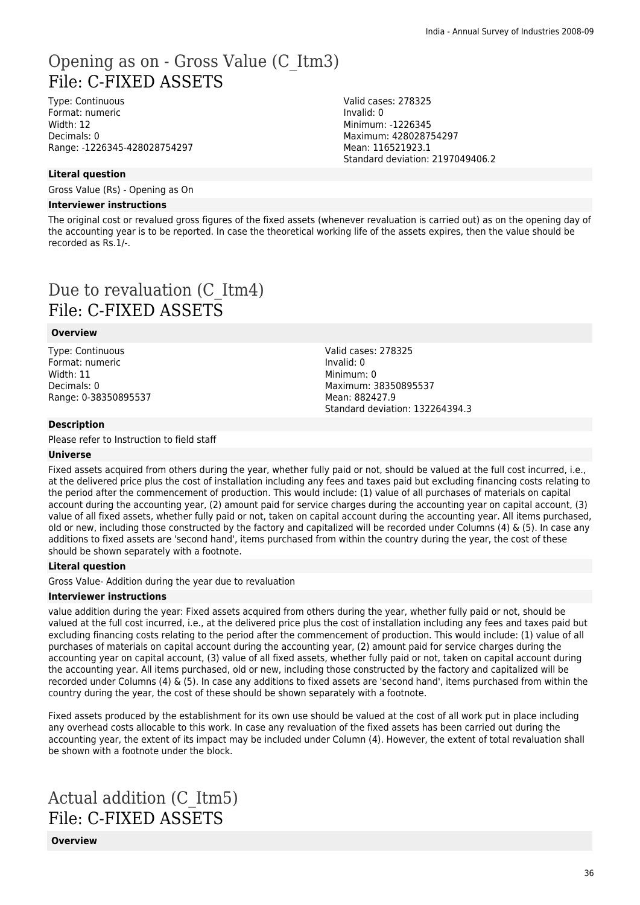### Opening as on - Gross Value (C\_Itm3) File: C-FIXED ASSETS

Type: Continuous Format: numeric Width: 12 Decimals: 0 Range: -1226345-428028754297 Valid cases: 278325 Invalid: 0 Minimum: -1226345 Maximum: 428028754297 Mean: 116521923.1 Standard deviation: 2197049406.2

### **Literal question**

Gross Value (Rs) - Opening as On

#### **Interviewer instructions**

The original cost or revalued gross figures of the fixed assets (whenever revaluation is carried out) as on the opening day of the accounting year is to be reported. In case the theoretical working life of the assets expires, then the value should be recorded as Rs.1/-.

## Due to revaluation (C\_Itm4) File: C-FIXED ASSETS

#### **Overview**

Type: Continuous Format: numeric Width: 11 Decimals: 0 Range: 0-38350895537 Valid cases: 278325 Invalid: 0 Minimum: 0 Maximum: 38350895537 Mean: 882427.9 Standard deviation: 132264394.3

#### **Description**

Please refer to Instruction to field staff

#### **Universe**

Fixed assets acquired from others during the year, whether fully paid or not, should be valued at the full cost incurred, i.e., at the delivered price plus the cost of installation including any fees and taxes paid but excluding financing costs relating to the period after the commencement of production. This would include: (1) value of all purchases of materials on capital account during the accounting year, (2) amount paid for service charges during the accounting year on capital account, (3) value of all fixed assets, whether fully paid or not, taken on capital account during the accounting year. All items purchased, old or new, including those constructed by the factory and capitalized will be recorded under Columns (4) & (5). In case any additions to fixed assets are 'second hand', items purchased from within the country during the year, the cost of these should be shown separately with a footnote.

### **Literal question**

Gross Value- Addition during the year due to revaluation

#### **Interviewer instructions**

value addition during the year: Fixed assets acquired from others during the year, whether fully paid or not, should be valued at the full cost incurred, i.e., at the delivered price plus the cost of installation including any fees and taxes paid but excluding financing costs relating to the period after the commencement of production. This would include: (1) value of all purchases of materials on capital account during the accounting year, (2) amount paid for service charges during the accounting year on capital account, (3) value of all fixed assets, whether fully paid or not, taken on capital account during the accounting year. All items purchased, old or new, including those constructed by the factory and capitalized will be recorded under Columns (4)  $\&$  (5). In case any additions to fixed assets are 'second hand', items purchased from within the country during the year, the cost of these should be shown separately with a footnote.

Fixed assets produced by the establishment for its own use should be valued at the cost of all work put in place including any overhead costs allocable to this work. In case any revaluation of the fixed assets has been carried out during the accounting year, the extent of its impact may be included under Column (4). However, the extent of total revaluation shall be shown with a footnote under the block.

## Actual addition (C\_Itm5) File: C-FIXED ASSETS

**Overview**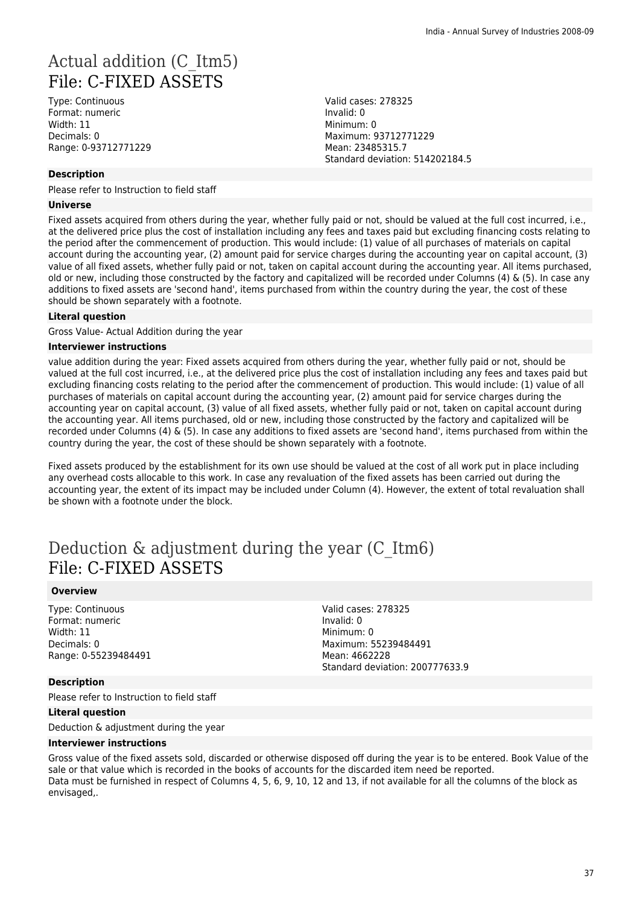## Actual addition (C\_Itm5) File: C-FIXED ASSETS

Type: Continuous Format: numeric Width: 11 Decimals: 0 Range: 0-93712771229

### **Description**

Please refer to Instruction to field staff

#### **Universe**

Fixed assets acquired from others during the year, whether fully paid or not, should be valued at the full cost incurred, i.e., at the delivered price plus the cost of installation including any fees and taxes paid but excluding financing costs relating to the period after the commencement of production. This would include: (1) value of all purchases of materials on capital account during the accounting year, (2) amount paid for service charges during the accounting year on capital account, (3) value of all fixed assets, whether fully paid or not, taken on capital account during the accounting year. All items purchased, old or new, including those constructed by the factory and capitalized will be recorded under Columns (4) & (5). In case any additions to fixed assets are 'second hand', items purchased from within the country during the year, the cost of these should be shown separately with a footnote.

### **Literal question**

Gross Value- Actual Addition during the year

### **Interviewer instructions**

value addition during the year: Fixed assets acquired from others during the year, whether fully paid or not, should be valued at the full cost incurred, i.e., at the delivered price plus the cost of installation including any fees and taxes paid but excluding financing costs relating to the period after the commencement of production. This would include: (1) value of all purchases of materials on capital account during the accounting year, (2) amount paid for service charges during the accounting year on capital account, (3) value of all fixed assets, whether fully paid or not, taken on capital account during the accounting year. All items purchased, old or new, including those constructed by the factory and capitalized will be recorded under Columns (4) & (5). In case any additions to fixed assets are 'second hand', items purchased from within the country during the year, the cost of these should be shown separately with a footnote.

Fixed assets produced by the establishment for its own use should be valued at the cost of all work put in place including any overhead costs allocable to this work. In case any revaluation of the fixed assets has been carried out during the accounting year, the extent of its impact may be included under Column (4). However, the extent of total revaluation shall be shown with a footnote under the block.

## Deduction & adjustment during the year (C\_Itm6) File: C-FIXED ASSETS

### **Overview**

Type: Continuous Format: numeric Width: 11 Decimals: 0 Range: 0-55239484491 Valid cases: 278325 Invalid: 0 Minimum: 0 Maximum: 55239484491 Mean: 4662228 Standard deviation: 200777633.9

#### **Description**

Please refer to Instruction to field staff

### **Literal question**

Deduction & adjustment during the year

#### **Interviewer instructions**

Gross value of the fixed assets sold, discarded or otherwise disposed off during the year is to be entered. Book Value of the sale or that value which is recorded in the books of accounts for the discarded item need be reported. Data must be furnished in respect of Columns 4, 5, 6, 9, 10, 12 and 13, if not available for all the columns of the block as envisaged,.

Valid cases: 278325 Invalid: 0 Minimum: 0 Maximum: 93712771229 Mean: 23485315.7 Standard deviation: 514202184.5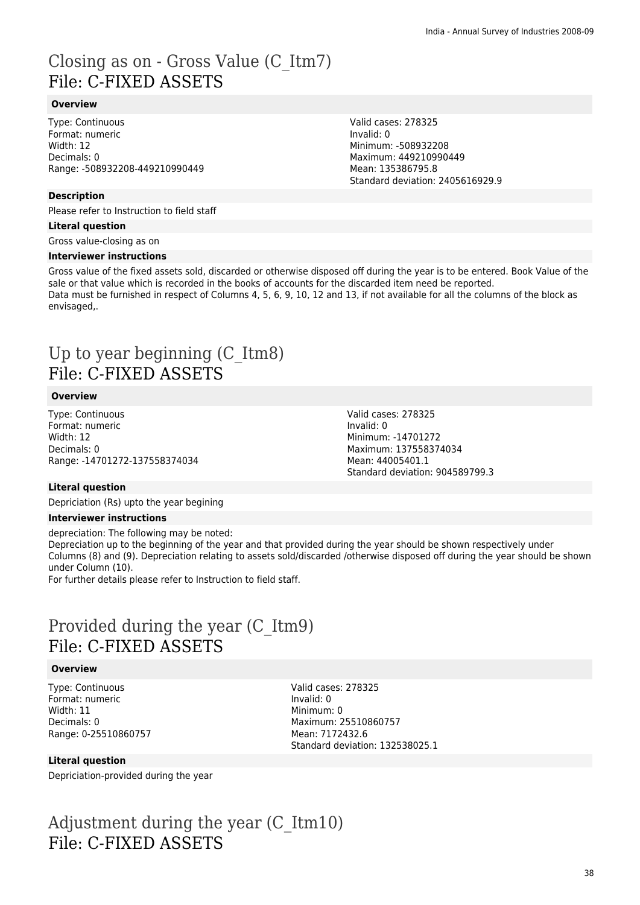## Closing as on - Gross Value (C\_Itm7) File: C-FIXED ASSETS

### **Overview**

Type: Continuous Format: numeric Width: 12 Decimals: 0 Range: -508932208-449210990449

**Description**

Please refer to Instruction to field staff

#### **Literal question**

Gross value-closing as on

#### **Interviewer instructions**

Gross value of the fixed assets sold, discarded or otherwise disposed off during the year is to be entered. Book Value of the sale or that value which is recorded in the books of accounts for the discarded item need be reported. Data must be furnished in respect of Columns 4, 5, 6, 9, 10, 12 and 13, if not available for all the columns of the block as envisaged,.

### Up to year beginning (C\_Itm8) File: C-FIXED ASSETS

### **Overview**

Type: Continuous Format: numeric Width: 12 Decimals: 0 Range: -14701272-137558374034 Valid cases: 278325 Invalid: 0 Minimum: -14701272 Maximum: 137558374034 Mean: 44005401.1 Standard deviation: 904589799.3

### **Literal question**

Depriciation (Rs) upto the year begining

### **Interviewer instructions**

depreciation: The following may be noted: Depreciation up to the beginning of the year and that provided during the year should be shown respectively under Columns (8) and (9). Depreciation relating to assets sold/discarded /otherwise disposed off during the year should be shown under Column (10). For further details please refer to Instruction to field staff.

### Provided during the year (C\_Itm9) File: C-FIXED ASSETS

### **Overview**

Type: Continuous Format: numeric Width: 11 Decimals: 0 Range: 0-25510860757 Valid cases: 278325 Invalid: 0 Minimum: 0 Maximum: 25510860757 Mean: 7172432.6 Standard deviation: 132538025.1

### **Literal question**

Depriciation-provided during the year

### Adjustment during the year (C\_Itm10) File: C-FIXED ASSETS

38

Valid cases: 278325 Invalid: 0 Minimum: -508932208 Maximum: 449210990449 Mean: 135386795.8 Standard deviation: 2405616929.9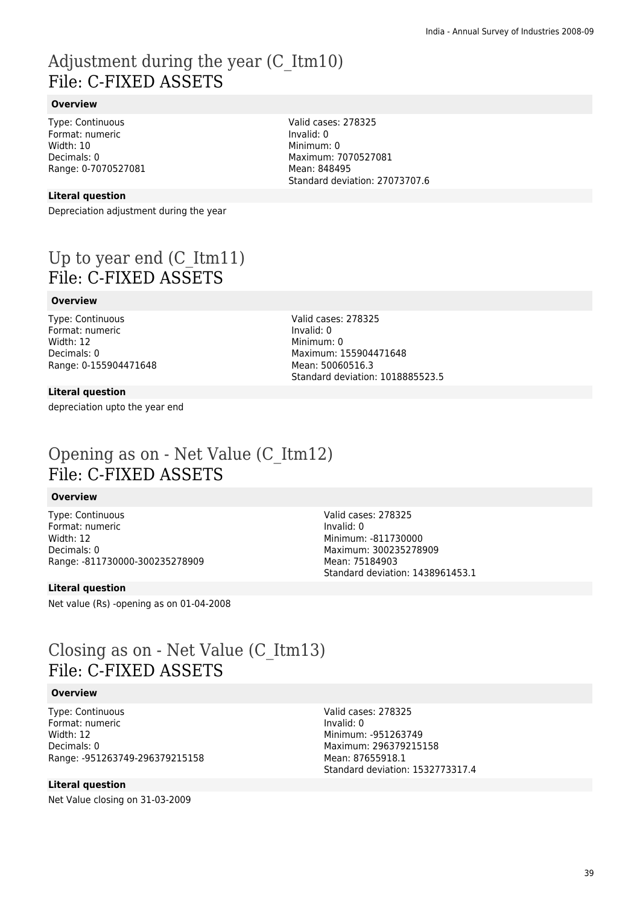### Adjustment during the year (C\_Itm10) File: C-FIXED ASSETS

### **Overview**

Type: Continuous Format: numeric Width: 10 Decimals: 0 Range: 0-7070527081

### **Literal question**

Depreciation adjustment during the year

## Up to year end (C\_Itm11) File: C-FIXED ASSETS

### **Overview**

Type: Continuous Format: numeric Width: 12 Decimals: 0 Range: 0-155904471648

**Literal question**

depreciation upto the year end

Standard deviation: 27073707.6

Valid cases: 278325

Maximum: 7070527081

Invalid: 0 Minimum: 0

Mean: 848495

Valid cases: 278325 Invalid: 0 Minimum: 0 Maximum: 155904471648 Mean: 50060516.3 Standard deviation: 1018885523.5

### Opening as on - Net Value (C\_Itm12) File: C-FIXED ASSETS

### **Overview**

Type: Continuous Format: numeric Width: 12 Decimals: 0 Range: -811730000-300235278909

**Literal question**

Net value (Rs) -opening as on 01-04-2008

Valid cases: 278325 Invalid: 0 Minimum: -811730000 Maximum: 300235278909 Mean: 75184903 Standard deviation: 1438961453.1

### Closing as on - Net Value (C\_Itm13) File: C-FIXED ASSETS

### **Overview**

Type: Continuous Format: numeric Width: 12 Decimals: 0 Range: -951263749-296379215158

### **Literal question**

Net Value closing on 31-03-2009

Valid cases: 278325 Invalid: 0 Minimum: -951263749 Maximum: 296379215158 Mean: 87655918.1 Standard deviation: 1532773317.4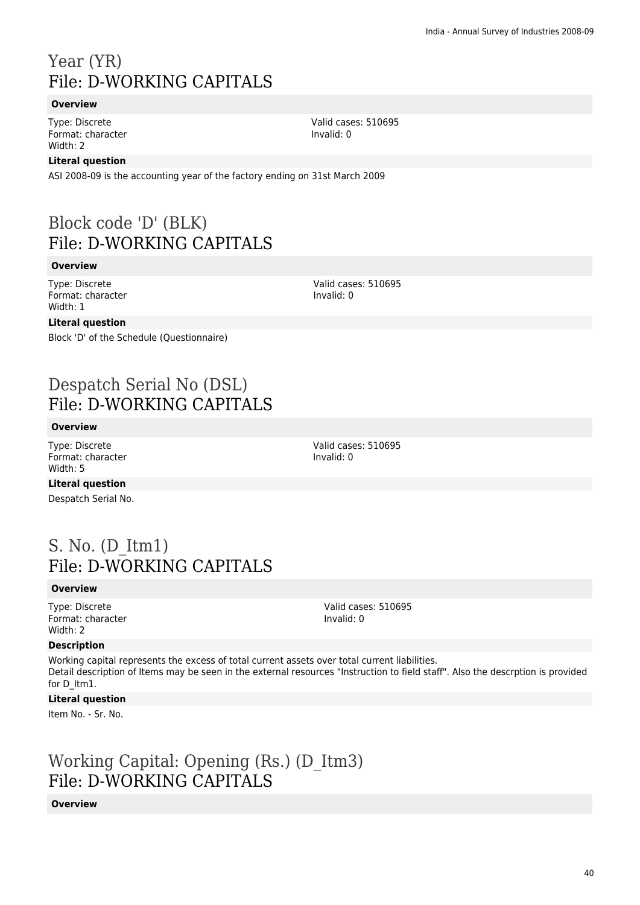## Year (YR) File: D-WORKING CAPITALS

### **Overview**

Type: Discrete Format: character Width: 2

### **Literal question**

ASI 2008-09 is the accounting year of the factory ending on 31st March 2009

## Block code 'D' (BLK) File: D-WORKING CAPITALS

### **Overview**

Type: Discrete Format: character Width: 1

### **Literal question**

Block 'D' of the Schedule (Questionnaire)

## Despatch Serial No (DSL) File: D-WORKING CAPITALS

### **Overview**

Type: Discrete Format: character Width: 5

Valid cases: 510695 Invalid: 0

**Literal question** Despatch Serial No.

### S. No. (D\_Itm1) File: D-WORKING CAPITALS

### **Overview**

Type: Discrete Format: character Width: 2

Valid cases: 510695 Invalid: 0

### **Description**

Working capital represents the excess of total current assets over total current liabilities. Detail description of Items may be seen in the external resources "Instruction to field staff". Also the descrption is provided for D\_Itm1.

### **Literal question**

Item No. - Sr. No.

Working Capital: Opening (Rs.) (D\_Itm3) File: D-WORKING CAPITALS

### **Overview**

Valid cases: 510695 Invalid: 0

Valid cases: 510695

Invalid: 0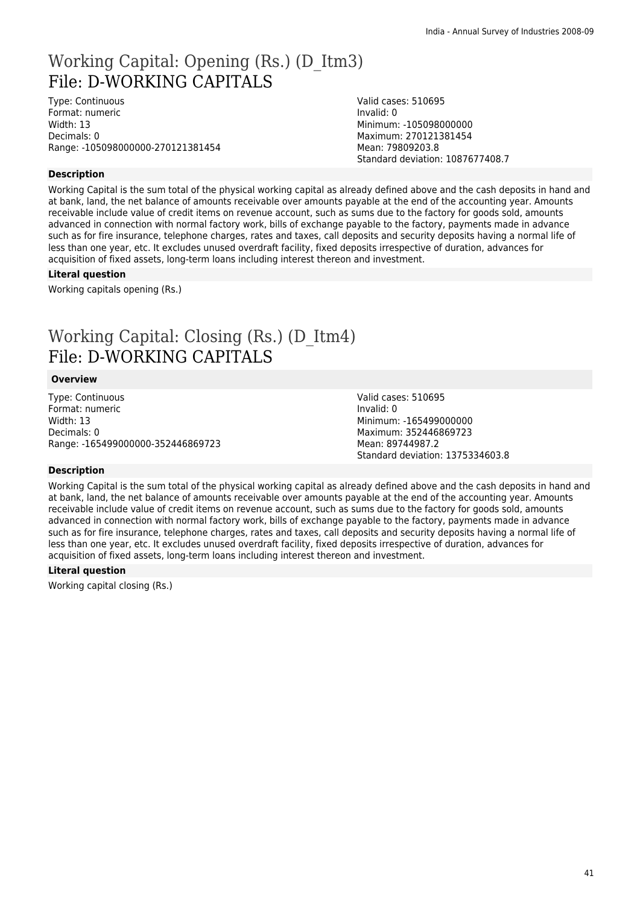### Working Capital: Opening (Rs.) (D\_Itm3) File: D-WORKING CAPITALS

Type: Continuous Format: numeric Width: 13 Decimals: 0 Range: -105098000000-270121381454 Valid cases: 510695 Invalid: 0 Minimum: -105098000000 Maximum: 270121381454 Mean: 79809203.8 Standard deviation: 1087677408.7

### **Description**

Working Capital is the sum total of the physical working capital as already defined above and the cash deposits in hand and at bank, land, the net balance of amounts receivable over amounts payable at the end of the accounting year. Amounts receivable include value of credit items on revenue account, such as sums due to the factory for goods sold, amounts advanced in connection with normal factory work, bills of exchange payable to the factory, payments made in advance such as for fire insurance, telephone charges, rates and taxes, call deposits and security deposits having a normal life of less than one year, etc. It excludes unused overdraft facility, fixed deposits irrespective of duration, advances for acquisition of fixed assets, long-term loans including interest thereon and investment.

#### **Literal question**

Working capitals opening (Rs.)

### Working Capital: Closing (Rs.) (D\_Itm4) File: D-WORKING CAPITALS

### **Overview**

Type: Continuous Format: numeric Width: 13 Decimals: 0 Range: -165499000000-352446869723 Valid cases: 510695 Invalid: 0 Minimum: -165499000000 Maximum: 352446869723 Mean: 89744987.2 Standard deviation: 1375334603.8

#### **Description**

Working Capital is the sum total of the physical working capital as already defined above and the cash deposits in hand and at bank, land, the net balance of amounts receivable over amounts payable at the end of the accounting year. Amounts receivable include value of credit items on revenue account, such as sums due to the factory for goods sold, amounts advanced in connection with normal factory work, bills of exchange payable to the factory, payments made in advance such as for fire insurance, telephone charges, rates and taxes, call deposits and security deposits having a normal life of less than one year, etc. It excludes unused overdraft facility, fixed deposits irrespective of duration, advances for acquisition of fixed assets, long-term loans including interest thereon and investment.

#### **Literal question**

Working capital closing (Rs.)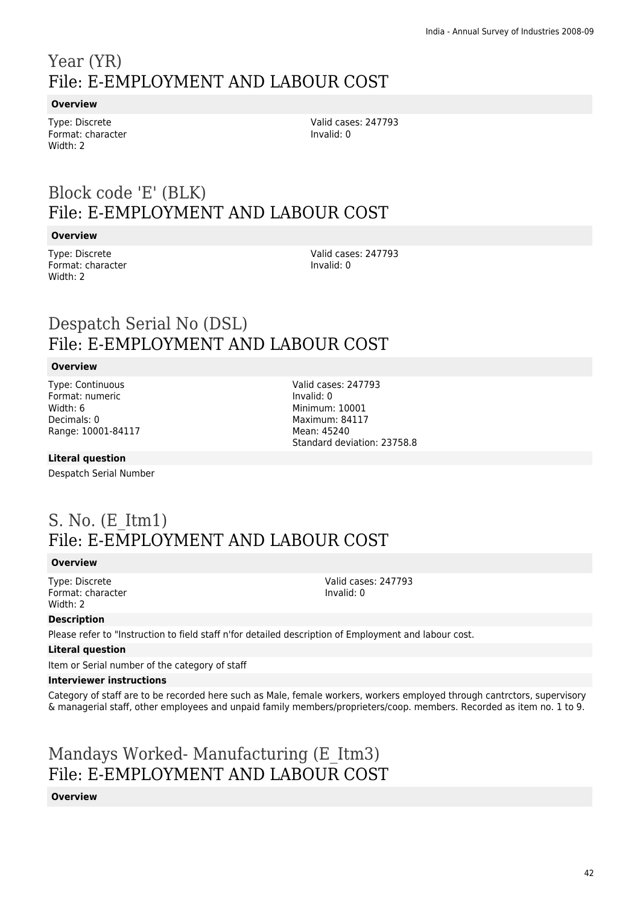## Year (YR) File: E-EMPLOYMENT AND LABOUR COST

### **Overview**

Type: Discrete Format: character Width: 2

Valid cases: 247793 Invalid: 0

## Block code 'E' (BLK) File: E-EMPLOYMENT AND LABOUR COST

### **Overview**

Type: Discrete Format: character Width: 2

Valid cases: 247793 Invalid: 0

### Despatch Serial No (DSL) File: E-EMPLOYMENT AND LABOUR COST

### **Overview**

Type: Continuous Format: numeric Width: 6 Decimals: 0 Range: 10001-84117 Valid cases: 247793 Invalid: 0 Minimum: 10001 Maximum: 84117 Mean: 45240 Standard deviation: 23758.8

Valid cases: 247793

Invalid: 0

### **Literal question**

Despatch Serial Number

### S. No. (E\_Itm1) File: E-EMPLOYMENT AND LABOUR COST

### **Overview**

Type: Discrete Format: character Width: 2

**Description**

Please refer to "Instruction to field staff n'for detailed description of Employment and labour cost.

### **Literal question**

Item or Serial number of the category of staff

### **Interviewer instructions**

Category of staff are to be recorded here such as Male, female workers, workers employed through cantrctors, supervisory & managerial staff, other employees and unpaid family members/proprieters/coop. members. Recorded as item no. 1 to 9.

## Mandays Worked- Manufacturing (E\_Itm3) File: E-EMPLOYMENT AND LABOUR COST

### **Overview**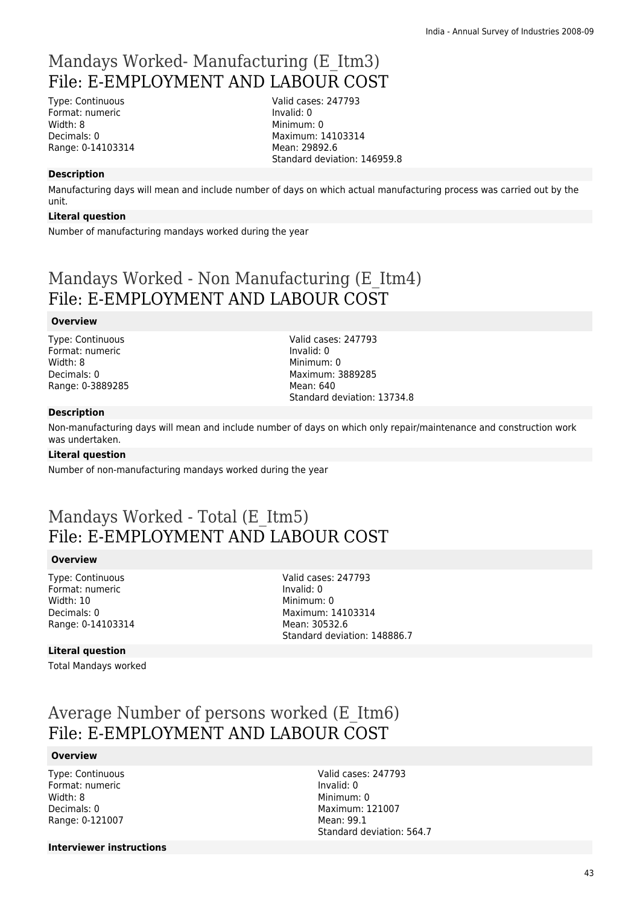## Mandays Worked- Manufacturing (E\_Itm3) File: E-EMPLOYMENT AND LABOUR COST

Type: Continuous Format: numeric Width: 8 Decimals: 0 Range: 0-14103314 Valid cases: 247793 Invalid: 0 Minimum: 0 Maximum: 14103314 Mean: 29892.6 Standard deviation: 146959.8

### **Description**

Manufacturing days will mean and include number of days on which actual manufacturing process was carried out by the unit.

### **Literal question**

Number of manufacturing mandays worked during the year

### Mandays Worked - Non Manufacturing (E\_Itm4) File: E-EMPLOYMENT AND LABOUR COST

#### **Overview**

Type: Continuous Format: numeric Width: 8 Decimals: 0 Range: 0-3889285 Valid cases: 247793 Invalid: 0 Minimum: 0 Maximum: 3889285 Mean: 640 Standard deviation: 13734.8

#### **Description**

Non-manufacturing days will mean and include number of days on which only repair/maintenance and construction work was undertaken.

#### **Literal question**

Number of non-manufacturing mandays worked during the year

### Mandays Worked - Total (E\_Itm5) File: E-EMPLOYMENT AND LABOUR COST

#### **Overview**

Type: Continuous Format: numeric Width: 10 Decimals: 0 Range: 0-14103314 Valid cases: 247793 Invalid: 0 Minimum: 0 Maximum: 14103314 Mean: 30532.6 Standard deviation: 148886.7

### **Literal question**

Total Mandays worked

### Average Number of persons worked (E\_Itm6) File: E-EMPLOYMENT AND LABOUR COST

#### **Overview**

Type: Continuous Format: numeric Width: 8 Decimals: 0 Range: 0-121007

Valid cases: 247793 Invalid: 0 Minimum: 0 Maximum: 121007 Mean: 99.1 Standard deviation: 564.7

**Interviewer instructions**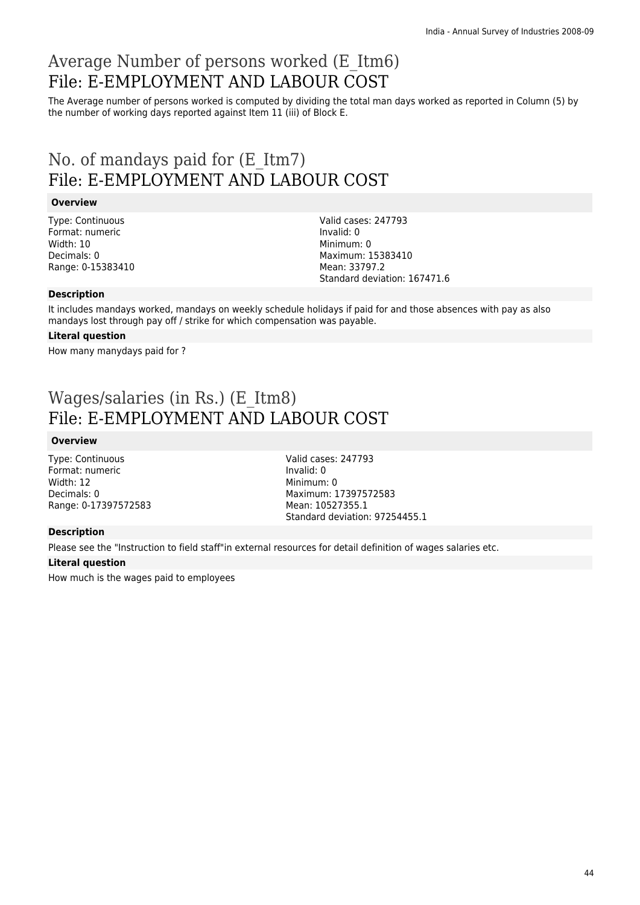## Average Number of persons worked (E\_Itm6) File: E-EMPLOYMENT AND LABOUR COST

The Average number of persons worked is computed by dividing the total man days worked as reported in Column (5) by the number of working days reported against Item 11 (iii) of Block E.

### No. of mandays paid for (E\_Itm7) File: E-EMPLOYMENT AND LABOUR COST

### **Overview**

Type: Continuous Format: numeric Width: 10 Decimals: 0 Range: 0-15383410 Valid cases: 247793 Invalid: 0 Minimum: 0 Maximum: 15383410 Mean: 33797.2 Standard deviation: 167471.6

### **Description**

It includes mandays worked, mandays on weekly schedule holidays if paid for and those absences with pay as also mandays lost through pay off / strike for which compensation was payable.

### **Literal question**

How many manydays paid for ?

### Wages/salaries (in Rs.) (E\_Itm8) File: E-EMPLOYMENT AND LABOUR COST

### **Overview**

Type: Continuous Format: numeric Width: 12 Decimals: 0 Range: 0-17397572583 Valid cases: 247793 Invalid: 0 Minimum: 0 Maximum: 17397572583 Mean: 10527355.1 Standard deviation: 97254455.1

### **Description**

Please see the "Instruction to field staff"in external resources for detail definition of wages salaries etc.

### **Literal question**

How much is the wages paid to employees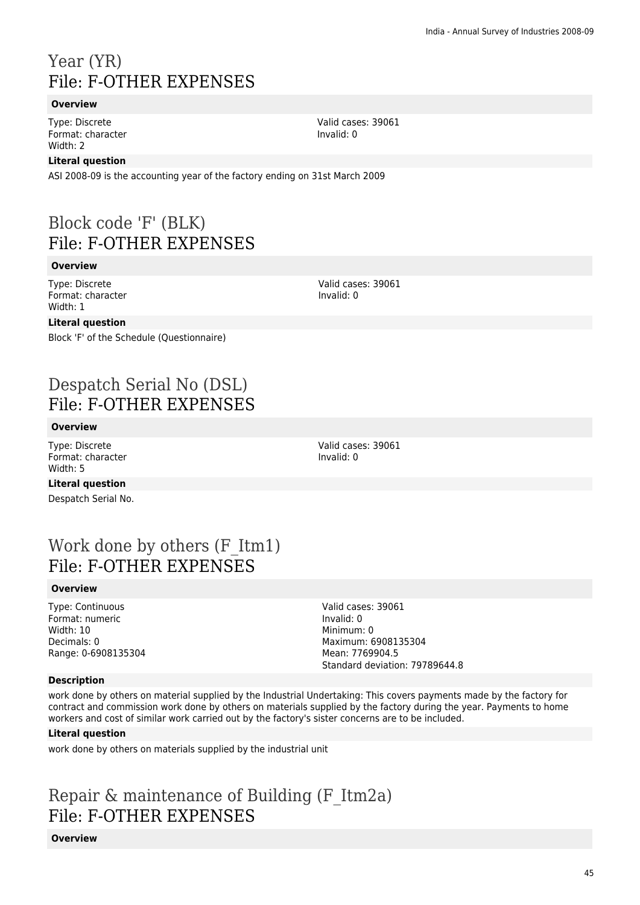## Year (YR) File: F-OTHER EXPENSES

### **Overview**

Type: Discrete Format: character Width: 2

### **Literal question**

ASI 2008-09 is the accounting year of the factory ending on 31st March 2009

## Block code 'F' (BLK) File: F-OTHER EXPENSES

### **Overview**

Type: Discrete Format: character Width: 1

### **Literal question**

Block 'F' of the Schedule (Questionnaire)

## Despatch Serial No (DSL) File: F-OTHER EXPENSES

### **Overview**

Type: Discrete Format: character Width: 5

Valid cases: 39061 Invalid: 0

**Literal question** Despatch Serial No.

## Work done by others (F\_Itm1) File: F-OTHER EXPENSES

### **Overview**

Type: Continuous Format: numeric Width: 10 Decimals: 0 Range: 0-6908135304 Valid cases: 39061 Invalid: 0 Minimum: 0 Maximum: 6908135304 Mean: 7769904.5 Standard deviation: 79789644.8

### **Description**

work done by others on material supplied by the Industrial Undertaking: This covers payments made by the factory for contract and commission work done by others on materials supplied by the factory during the year. Payments to home workers and cost of similar work carried out by the factory's sister concerns are to be included.

### **Literal question**

work done by others on materials supplied by the industrial unit

## Repair & maintenance of Building (F\_Itm2a) File: F-OTHER EXPENSES

**Overview**

Valid cases: 39061 Invalid: 0

Valid cases: 39061

Invalid: 0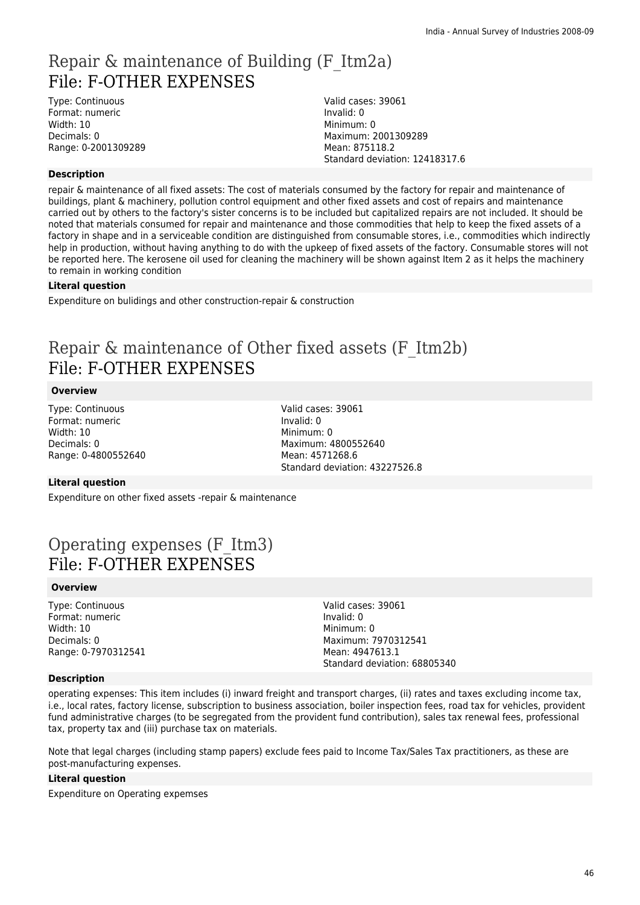## Repair & maintenance of Building (F\_Itm2a) File: F-OTHER EXPENSES

Type: Continuous Format: numeric Width: 10 Decimals: 0 Range: 0-2001309289

#### Valid cases: 39061 Invalid: 0 Minimum: 0 Maximum: 2001309289 Mean: 875118.2 Standard deviation: 12418317.6

### **Description**

repair & maintenance of all fixed assets: The cost of materials consumed by the factory for repair and maintenance of buildings, plant & machinery, pollution control equipment and other fixed assets and cost of repairs and maintenance carried out by others to the factory's sister concerns is to be included but capitalized repairs are not included. It should be noted that materials consumed for repair and maintenance and those commodities that help to keep the fixed assets of a factory in shape and in a serviceable condition are distinguished from consumable stores, i.e., commodities which indirectly help in production, without having anything to do with the upkeep of fixed assets of the factory. Consumable stores will not be reported here. The kerosene oil used for cleaning the machinery will be shown against Item 2 as it helps the machinery to remain in working condition

### **Literal question**

Expenditure on bulidings and other construction-repair & construction

## Repair & maintenance of Other fixed assets (F\_Itm2b) File: F-OTHER EXPENSES

### **Overview**

Type: Continuous Format: numeric Width: 10 Decimals: 0 Range: 0-4800552640

Valid cases: 39061 Invalid: 0 Minimum: 0 Maximum: 4800552640 Mean: 4571268.6 Standard deviation: 43227526.8

### **Literal question**

Expenditure on other fixed assets -repair & maintenance

### Operating expenses (F\_Itm3) File: F-OTHER EXPENSES

### **Overview**

Type: Continuous Format: numeric Width: 10 Decimals: 0 Range: 0-7970312541 Valid cases: 39061 Invalid: 0 Minimum: 0 Maximum: 7970312541 Mean: 4947613.1 Standard deviation: 68805340

### **Description**

operating expenses: This item includes (i) inward freight and transport charges, (ii) rates and taxes excluding income tax, i.e., local rates, factory license, subscription to business association, boiler inspection fees, road tax for vehicles, provident fund administrative charges (to be segregated from the provident fund contribution), sales tax renewal fees, professional tax, property tax and (iii) purchase tax on materials.

Note that legal charges (including stamp papers) exclude fees paid to Income Tax/Sales Tax practitioners, as these are post-manufacturing expenses.

### **Literal question**

Expenditure on Operating expemses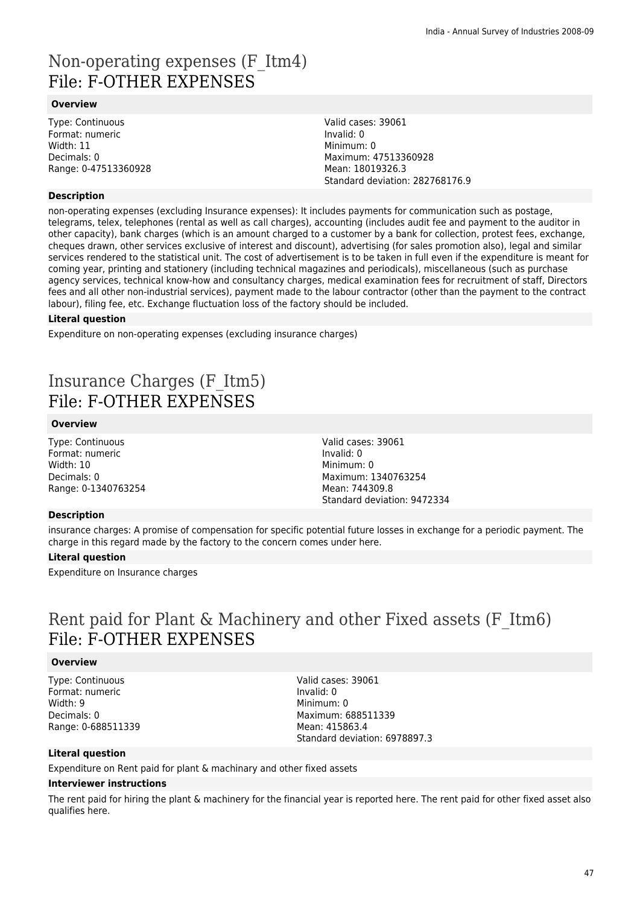### Non-operating expenses (F\_Itm4) File: F-OTHER EXPENSES

### **Overview**

Type: Continuous Format: numeric Width: 11 Decimals: 0 Range: 0-47513360928

### **Description**

Valid cases: 39061 Invalid: 0 Minimum: 0 Maximum: 47513360928 Mean: 18019326.3 Standard deviation: 282768176.9

non-operating expenses (excluding Insurance expenses): It includes payments for communication such as postage, telegrams, telex, telephones (rental as well as call charges), accounting (includes audit fee and payment to the auditor in other capacity), bank charges (which is an amount charged to a customer by a bank for collection, protest fees, exchange, cheques drawn, other services exclusive of interest and discount), advertising (for sales promotion also), legal and similar services rendered to the statistical unit. The cost of advertisement is to be taken in full even if the expenditure is meant for coming year, printing and stationery (including technical magazines and periodicals), miscellaneous (such as purchase agency services, technical know-how and consultancy charges, medical examination fees for recruitment of staff, Directors fees and all other non-industrial services), payment made to the labour contractor (other than the payment to the contract labour), filing fee, etc. Exchange fluctuation loss of the factory should be included.

### **Literal question**

Expenditure on non-operating expenses (excluding insurance charges)

## Insurance Charges (F\_Itm5) File: F-OTHER EXPENSES

### **Overview**

Type: Continuous Format: numeric Width: 10 Decimals: 0 Range: 0-1340763254

### **Description**

insurance charges: A promise of compensation for specific potential future losses in exchange for a periodic payment. The charge in this regard made by the factory to the concern comes under here.

### **Literal question**

Expenditure on Insurance charges

### Rent paid for Plant & Machinery and other Fixed assets (F\_Itm6) File: F-OTHER EXPENSES

### **Overview**

Type: Continuous Format: numeric Width: 9 Decimals: 0 Range: 0-688511339 Valid cases: 39061 Invalid: 0 Minimum: 0 Maximum: 688511339 Mean: 415863.4 Standard deviation: 6978897.3

### **Literal question**

Expenditure on Rent paid for plant & machinary and other fixed assets

### **Interviewer instructions**

The rent paid for hiring the plant & machinery for the financial year is reported here. The rent paid for other fixed asset also qualifies here.

Valid cases: 39061 Invalid: 0 Minimum: 0 Maximum: 1340763254 Mean: 744309.8 Standard deviation: 9472334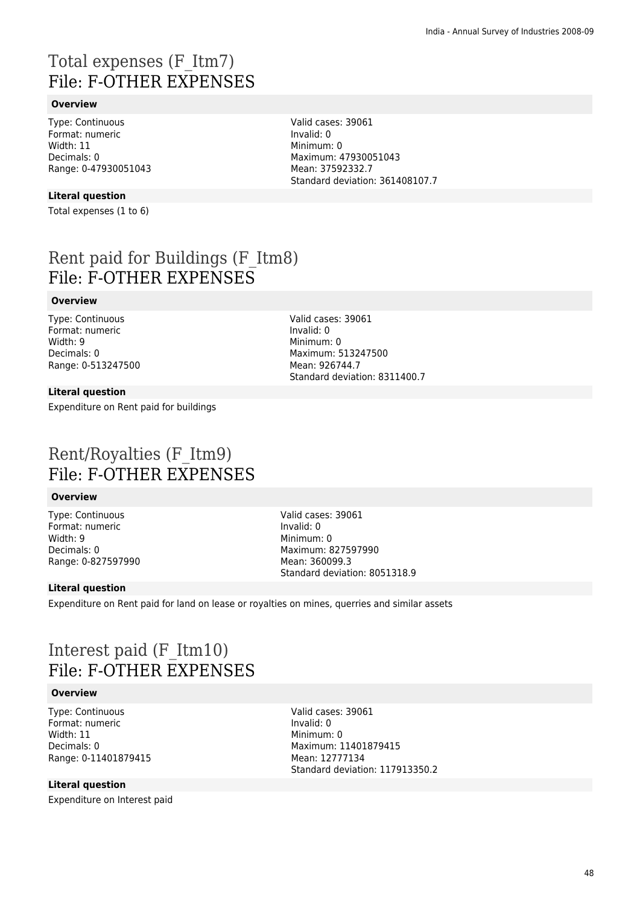## Total expenses (F\_Itm7) File: F-OTHER EXPENSES

### **Overview**

Type: Continuous Format: numeric Width: 11 Decimals: 0 Range: 0-47930051043

### **Literal question**

Total expenses (1 to 6)

Rent paid for Buildings (F\_Itm8) File: F-OTHER EXPENSES

### **Overview**

Type: Continuous Format: numeric Width: 9 Decimals: 0 Range: 0-513247500

### **Literal question**

Expenditure on Rent paid for buildings

Minimum: 0 Maximum: 513247500 Mean: 926744.7 Standard deviation: 8311400.7

Valid cases: 39061

Valid cases: 39061

Invalid: 0

Maximum: 47930051043 Mean: 37592332.7

Standard deviation: 361408107.7

Invalid: 0 Minimum: 0

### Rent/Royalties (F\_Itm9) File: F-OTHER EXPENSES

### **Overview**

Type: Continuous Format: numeric Width: 9 Decimals: 0 Range: 0-827597990 Valid cases: 39061 Invalid: 0 Minimum: 0 Maximum: 827597990 Mean: 360099.3 Standard deviation: 8051318.9

### **Literal question**

Expenditure on Rent paid for land on lease or royalties on mines, querries and similar assets

### Interest paid (F\_Itm10) File: F-OTHER EXPENSES

### **Overview**

Type: Continuous Format: numeric Width: 11 Decimals: 0 Range: 0-11401879415 Valid cases: 39061 Invalid: 0 Minimum: 0 Maximum: 11401879415 Mean: 12777134 Standard deviation: 117913350.2

### **Literal question**

Expenditure on Interest paid

48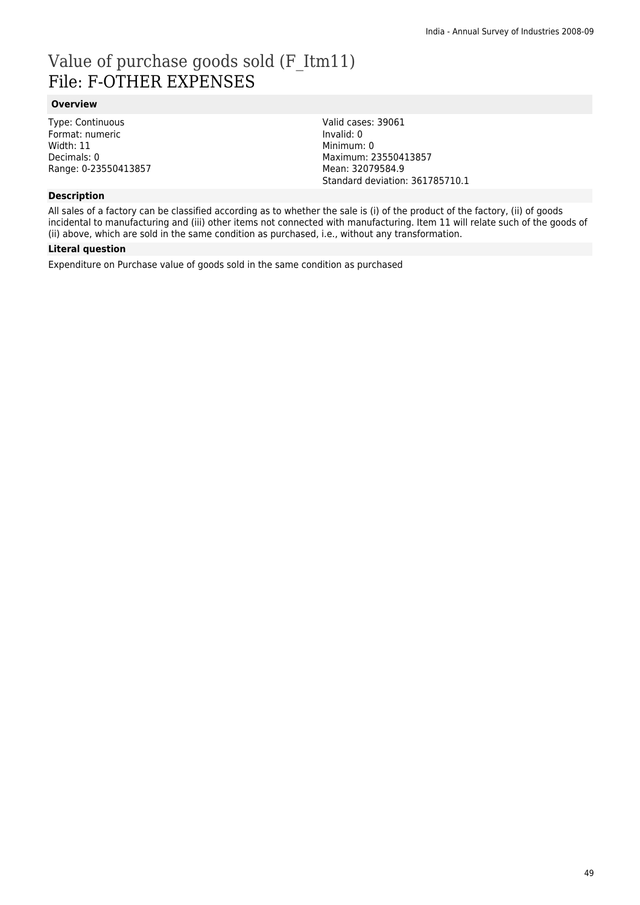## Value of purchase goods sold (F\_Itm11) File: F-OTHER EXPENSES

### **Overview**

Type: Continuous Format: numeric Width: 11 Decimals: 0 Range: 0-23550413857

### **Description**

Valid cases: 39061 Invalid: 0 Minimum: 0 Maximum: 23550413857 Mean: 32079584.9 Standard deviation: 361785710.1

All sales of a factory can be classified according as to whether the sale is (i) of the product of the factory, (ii) of goods incidental to manufacturing and (iii) other items not connected with manufacturing. Item 11 will relate such of the goods of (ii) above, which are sold in the same condition as purchased, i.e., without any transformation.

### **Literal question**

Expenditure on Purchase value of goods sold in the same condition as purchased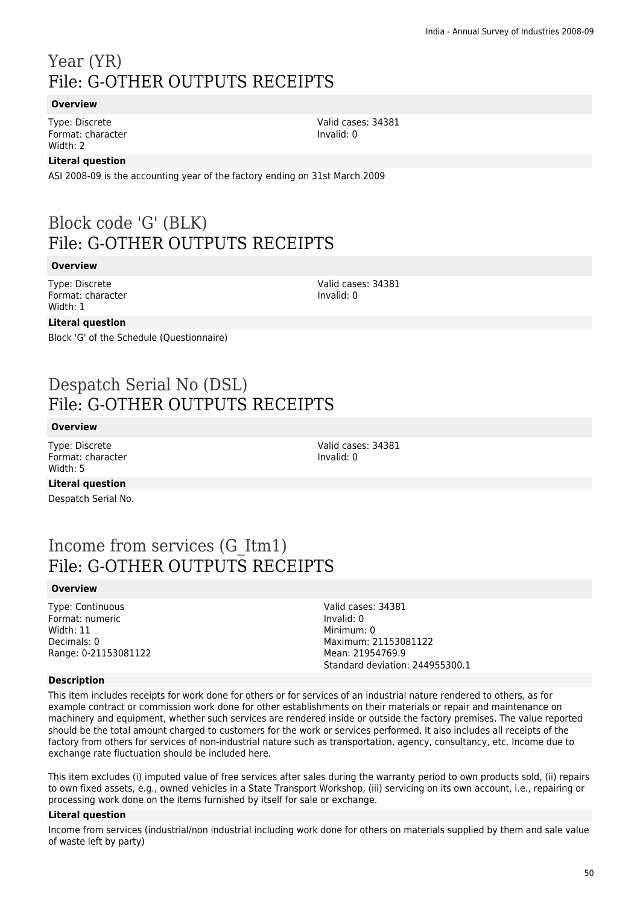## Year (YR) File: G-OTHER OUTPUTS RECEIPTS

### **Overview**

Type: Discrete Format: character Width: 2

### **Literal question**

ASI 2008-09 is the accounting year of the factory ending on 31st March 2009

### Block code 'G' (BLK) File: G-OTHER OUTPUTS RECEIPTS

#### **Overview**

Type: Discrete Format: character Width: 1

Valid cases: 34381 Invalid: 0

Valid cases: 34381

Invalid: 0

### **Literal question**

Block 'G' of the Schedule (Questionnaire)

### Despatch Serial No (DSL) File: G-OTHER OUTPUTS RECEIPTS

### **Overview**

Type: Discrete Format: character Width: 5

Valid cases: 34381 Invalid: 0

**Literal question**

Despatch Serial No.

### Income from services (G\_Itm1) File: G-OTHER OUTPUTS RECEIPTS

### **Overview**

Type: Continuous Format: numeric Width: 11 Decimals: 0 Range: 0-21153081122 Valid cases: 34381 Invalid: 0 Minimum: 0 Maximum: 21153081122 Mean: 21954769.9 Standard deviation: 244955300.1

### **Description**

This item includes receipts for work done for others or for services of an industrial nature rendered to others, as for example contract or commission work done for other establishments on their materials or repair and maintenance on machinery and equipment, whether such services are rendered inside or outside the factory premises. The value reported should be the total amount charged to customers for the work or services performed. It also includes all receipts of the factory from others for services of non-industrial nature such as transportation, agency, consultancy, etc. Income due to exchange rate fluctuation should be included here.

This item excludes (i) imputed value of free services after sales during the warranty period to own products sold, (ii) repairs to own fixed assets, e.g., owned vehicles in a State Transport Workshop, (iii) servicing on its own account, i.e., repairing or processing work done on the items furnished by itself for sale or exchange.

### **Literal question**

Income from services (industrial/non industrial including work done for others on materials supplied by them and sale value of waste left by party)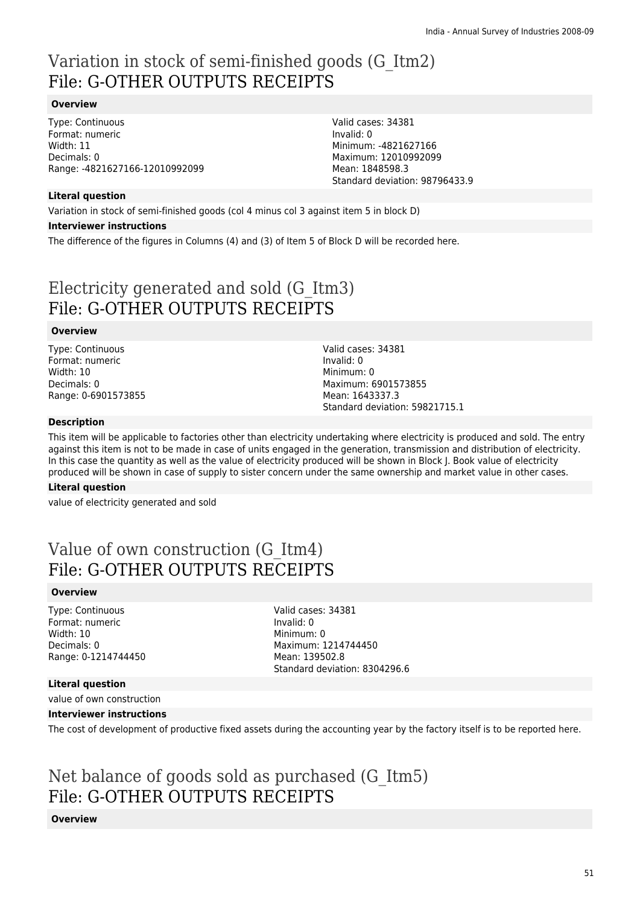## Variation in stock of semi-finished goods (G\_Itm2) File: G-OTHER OUTPUTS RECEIPTS

### **Overview**

Type: Continuous Format: numeric Width: 11 Decimals: 0 Range: -4821627166-12010992099

Valid cases: 34381 Invalid: 0 Minimum: -4821627166 Maximum: 12010992099 Mean: 1848598.3 Standard deviation: 98796433.9

### **Literal question**

Variation in stock of semi-finished goods (col 4 minus col 3 against item 5 in block D)

#### **Interviewer instructions**

The difference of the figures in Columns (4) and (3) of Item 5 of Block D will be recorded here.

## Electricity generated and sold (G\_Itm3) File: G-OTHER OUTPUTS RECEIPTS

### **Overview**

Type: Continuous Format: numeric Width: 10 Decimals: 0 Range: 0-6901573855 Valid cases: 34381 Invalid: 0 Minimum: 0 Maximum: 6901573855 Mean: 1643337.3 Standard deviation: 59821715.1

### **Description**

This item will be applicable to factories other than electricity undertaking where electricity is produced and sold. The entry against this item is not to be made in case of units engaged in the generation, transmission and distribution of electricity. In this case the quantity as well as the value of electricity produced will be shown in Block J. Book value of electricity produced will be shown in case of supply to sister concern under the same ownership and market value in other cases.

### **Literal question**

value of electricity generated and sold

### Value of own construction (G\_Itm4) File: G-OTHER OUTPUTS RECEIPTS

### **Overview**

Type: Continuous Format: numeric Width: 10 Decimals: 0 Range: 0-1214744450 Valid cases: 34381 Invalid: 0 Minimum: 0 Maximum: 1214744450 Mean: 139502.8 Standard deviation: 8304296.6

### **Literal question**

value of own construction

### **Interviewer instructions**

The cost of development of productive fixed assets during the accounting year by the factory itself is to be reported here.

### Net balance of goods sold as purchased (G\_Itm5) File: G-OTHER OUTPUTS RECEIPTS

### **Overview**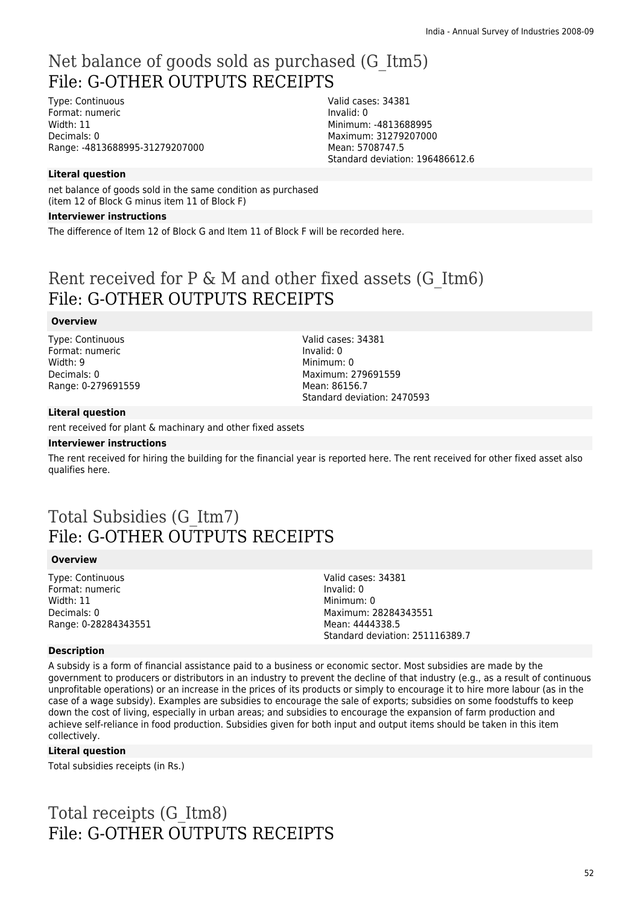## Net balance of goods sold as purchased (G\_Itm5) File: G-OTHER OUTPUTS RECEIPTS

Type: Continuous Format: numeric Width: 11 Decimals: 0 Range: -4813688995-31279207000

Valid cases: 34381 Invalid: 0 Minimum: -4813688995 Maximum: 31279207000 Mean: 5708747.5 Standard deviation: 196486612.6

### **Literal question**

net balance of goods sold in the same condition as purchased (item 12 of Block G minus item 11 of Block F)

### **Interviewer instructions**

The difference of Item 12 of Block G and Item 11 of Block F will be recorded here.

### Rent received for P & M and other fixed assets (G\_Itm6) File: G-OTHER OUTPUTS RECEIPTS

### **Overview**

Type: Continuous Format: numeric Width: 9 Decimals: 0 Range: 0-279691559 Valid cases: 34381 Invalid: 0 Minimum: 0 Maximum: 279691559 Mean: 86156.7 Standard deviation: 2470593

#### **Literal question**

rent received for plant & machinary and other fixed assets

#### **Interviewer instructions**

The rent received for hiring the building for the financial year is reported here. The rent received for other fixed asset also qualifies here.

### Total Subsidies (G\_Itm7) File: G-OTHER OUTPUTS RECEIPTS

### **Overview**

Type: Continuous Format: numeric Width: 11 Decimals: 0 Range: 0-28284343551 Valid cases: 34381 Invalid: 0 Minimum: 0 Maximum: 28284343551 Mean: 4444338.5 Standard deviation: 251116389.7

### **Description**

A subsidy is a form of financial assistance paid to a business or economic sector. Most subsidies are made by the government to producers or distributors in an industry to prevent the decline of that industry (e.g., as a result of continuous unprofitable operations) or an increase in the prices of its products or simply to encourage it to hire more labour (as in the case of a wage subsidy). Examples are subsidies to encourage the sale of exports; subsidies on some foodstuffs to keep down the cost of living, especially in urban areas; and subsidies to encourage the expansion of farm production and achieve self-reliance in food production. Subsidies given for both input and output items should be taken in this item collectively.

### **Literal question**

Total subsidies receipts (in Rs.)

Total receipts (G\_Itm8) File: G-OTHER OUTPUTS RECEIPTS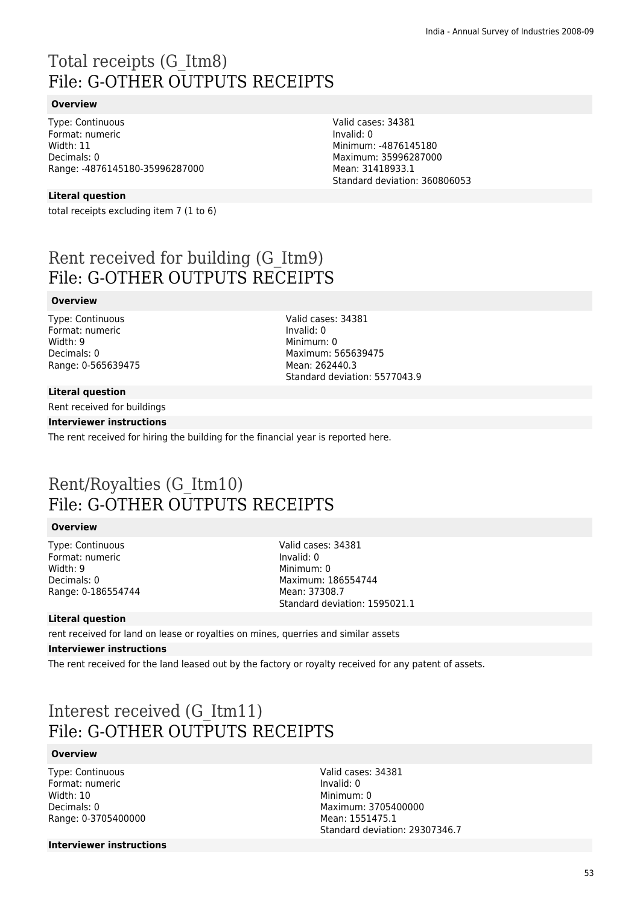## Total receipts (G\_Itm8) File: G-OTHER OUTPUTS RECEIPTS

### **Overview**

Type: Continuous Format: numeric Width: 11 Decimals: 0 Range: -4876145180-35996287000

### **Literal question**

total receipts excluding item 7 (1 to 6)

Rent received for building (G\_Itm9) File: G-OTHER OUTPUTS RECEIPTS

### **Overview**

Type: Continuous Format: numeric Width: 9 Decimals: 0 Range: 0-565639475 Valid cases: 34381 Invalid: 0 Minimum: 0 Maximum: 565639475 Mean: 262440.3 Standard deviation: 5577043.9

Valid cases: 34381

Minimum: -4876145180 Maximum: 35996287000 Mean: 31418933.1

Standard deviation: 360806053

Invalid: 0

#### **Literal question**

Rent received for buildings

#### **Interviewer instructions**

The rent received for hiring the building for the financial year is reported here.

### Rent/Royalties (G\_Itm10) File: G-OTHER OUTPUTS RECEIPTS

### **Overview**

Type: Continuous Format: numeric Width: 9 Decimals: 0 Range: 0-186554744 Valid cases: 34381 Invalid: 0 Minimum: 0 Maximum: 186554744 Mean: 37308.7 Standard deviation: 1595021.1

### **Literal question**

rent received for land on lease or royalties on mines, querries and similar assets

#### **Interviewer instructions**

The rent received for the land leased out by the factory or royalty received for any patent of assets.

### Interest received (G\_Itm11) File: G-OTHER OUTPUTS RECEIPTS

### **Overview**

Type: Continuous Format: numeric Width: 10 Decimals: 0 Range: 0-3705400000 Valid cases: 34381 Invalid: 0 Minimum: 0 Maximum: 3705400000 Mean: 1551475.1 Standard deviation: 29307346.7

**Interviewer instructions**

53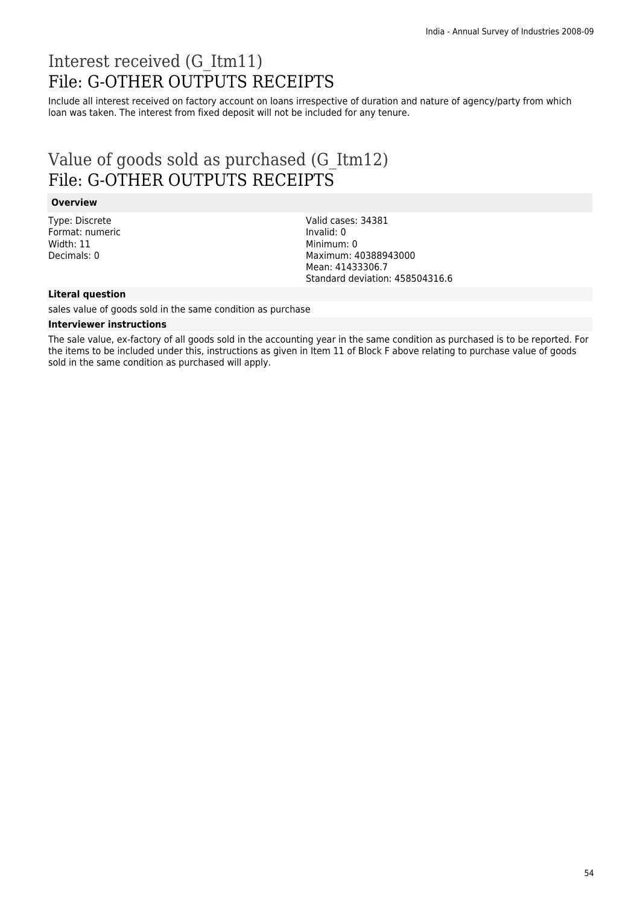## Interest received (G\_Itm11) File: G-OTHER OUTPUTS RECEIPTS

Include all interest received on factory account on loans irrespective of duration and nature of agency/party from which loan was taken. The interest from fixed deposit will not be included for any tenure.

### Value of goods sold as purchased (G\_Itm12) File: G-OTHER OUTPUTS RECEIPTS

#### **Overview**

Type: Discrete Format: numeric Width: 11 Decimals: 0

Valid cases: 34381 Invalid: 0 Minimum: 0 Maximum: 40388943000 Mean: 41433306.7 Standard deviation: 458504316.6

### **Literal question**

sales value of goods sold in the same condition as purchase

#### **Interviewer instructions**

The sale value, ex-factory of all goods sold in the accounting year in the same condition as purchased is to be reported. For the items to be included under this, instructions as given in Item 11 of Block F above relating to purchase value of goods sold in the same condition as purchased will apply.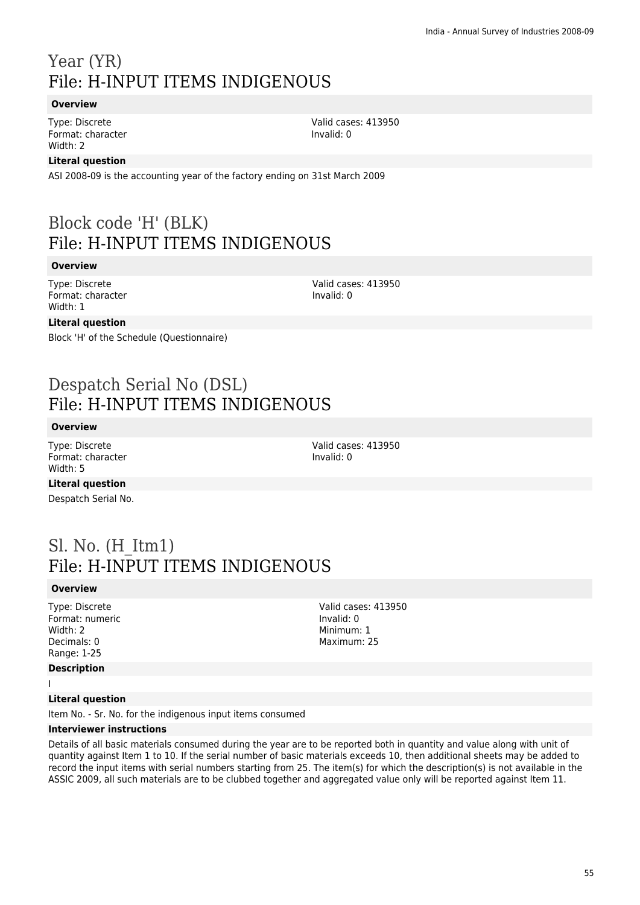## Year (YR) File: H-INPUT ITEMS INDIGENOUS

### **Overview**

Type: Discrete Format: character Width: 2

Valid cases: 413950 Invalid: 0

### **Literal question**

ASI 2008-09 is the accounting year of the factory ending on 31st March 2009

### Block code 'H' (BLK) File: H-INPUT ITEMS INDIGENOUS

#### **Overview**

Type: Discrete Format: character Width: 1

Valid cases: 413950 Invalid: 0

### **Literal question**

Block 'H' of the Schedule (Questionnaire)

### Despatch Serial No (DSL) File: H-INPUT ITEMS INDIGENOUS

#### **Overview**

Type: Discrete Format: character Width: 5

Valid cases: 413950 Invalid: 0

**Literal question**

Despatch Serial No.

### Sl. No. (H\_Itm1) File: H-INPUT ITEMS INDIGENOUS

### **Overview**

Type: Discrete Format: numeric Width: 2 Decimals: 0 Range: 1-25

#### **Description**

I

### **Literal question**

Item No. - Sr. No. for the indigenous input items consumed

#### **Interviewer instructions**

Details of all basic materials consumed during the year are to be reported both in quantity and value along with unit of quantity against Item 1 to 10. If the serial number of basic materials exceeds 10, then additional sheets may be added to record the input items with serial numbers starting from 25. The item(s) for which the description(s) is not available in the ASSIC 2009, all such materials are to be clubbed together and aggregated value only will be reported against Item 11.

Valid cases: 413950 Invalid: 0 Minimum: 1 Maximum: 25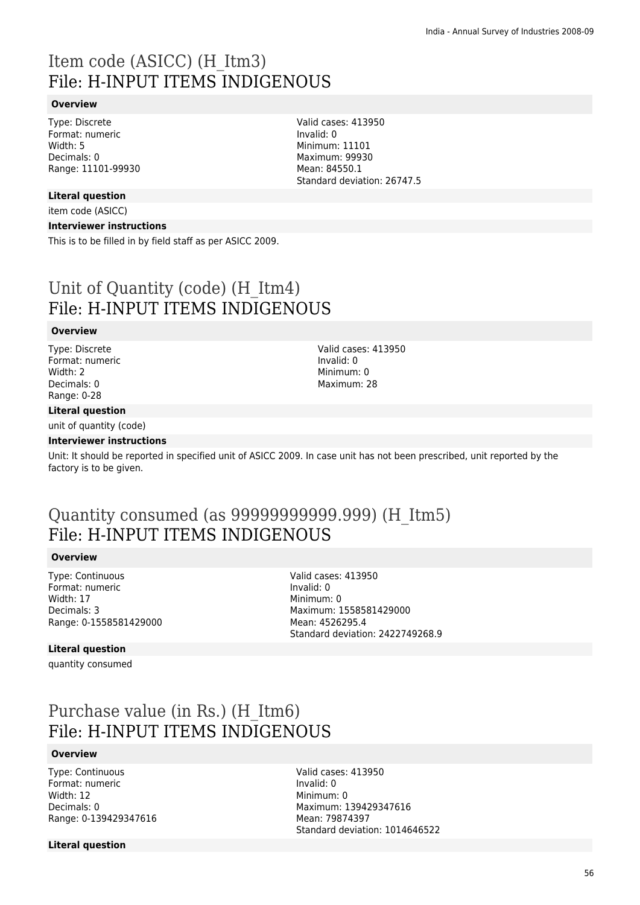## Item code (ASICC) (H\_Itm3) File: H-INPUT ITEMS INDIGENOUS

### **Overview**

Type: Discrete Format: numeric Width: 5 Decimals: 0 Range: 11101-99930

### **Literal question**

item code (ASICC)

### **Interviewer instructions**

This is to be filled in by field staff as per ASICC 2009.

## Unit of Quantity (code) (H\_Itm4) File: H-INPUT ITEMS INDIGENOUS

#### **Overview**

Type: Discrete Format: numeric Width: 2 Decimals: 0 Range: 0-28

### **Literal question**

unit of quantity (code)

#### **Interviewer instructions**

Unit: It should be reported in specified unit of ASICC 2009. In case unit has not been prescribed, unit reported by the factory is to be given.

### Quantity consumed (as 99999999999.999) (H\_Itm5) File: H-INPUT ITEMS INDIGENOUS

#### **Overview**

Type: Continuous Format: numeric Width: 17 Decimals: 3 Range: 0-1558581429000 Valid cases: 413950 Invalid: 0 Minimum: 0 Maximum: 1558581429000 Mean: 4526295.4 Standard deviation: 2422749268.9

#### **Literal question**

quantity consumed

### Purchase value (in Rs.) (H\_Itm6) File: H-INPUT ITEMS INDIGENOUS

### **Overview**

Type: Continuous Format: numeric Width: 12 Decimals: 0 Range: 0-139429347616 Valid cases: 413950 Invalid: 0 Minimum: 0 Maximum: 139429347616 Mean: 79874397 Standard deviation: 1014646522

**Literal question**

Valid cases: 413950 Invalid: 0 Minimum: 0 Maximum: 28

Valid cases: 413950 Invalid: 0 Minimum: 11101 Maximum: 99930 Mean: 84550.1 Standard deviation: 26747.5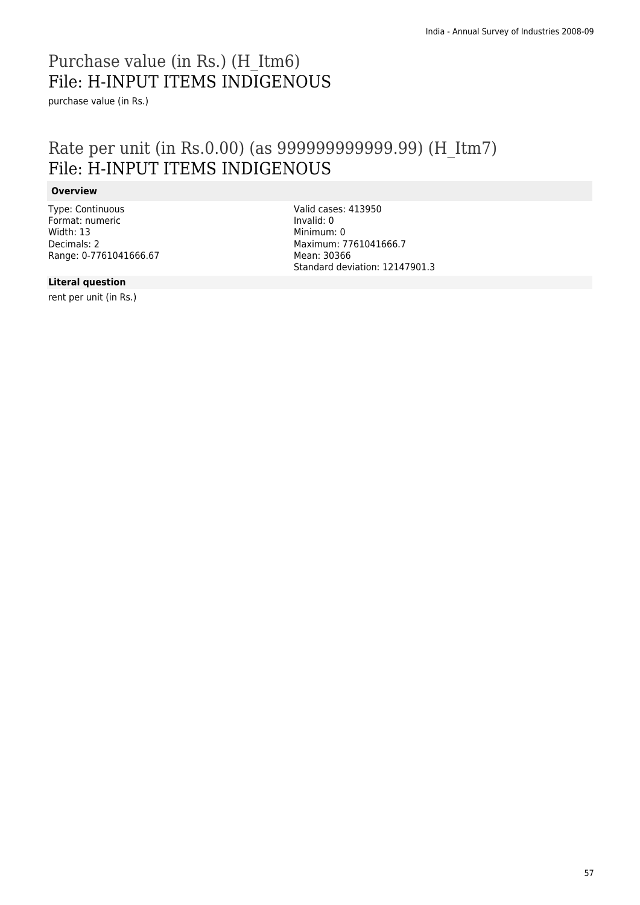## Purchase value (in Rs.) (H\_Itm6) File: H-INPUT ITEMS INDIGENOUS

purchase value (in Rs.)

### Rate per unit (in Rs.0.00) (as 999999999999.99) (H\_Itm7) File: H-INPUT ITEMS INDIGENOUS

### **Overview**

Type: Continuous Format: numeric Width: 13 Decimals: 2 Range: 0-7761041666.67 Valid cases: 413950 Invalid: 0 Minimum: 0 Maximum: 7761041666.7 Mean: 30366 Standard deviation: 12147901.3

### **Literal question**

rent per unit (in Rs.)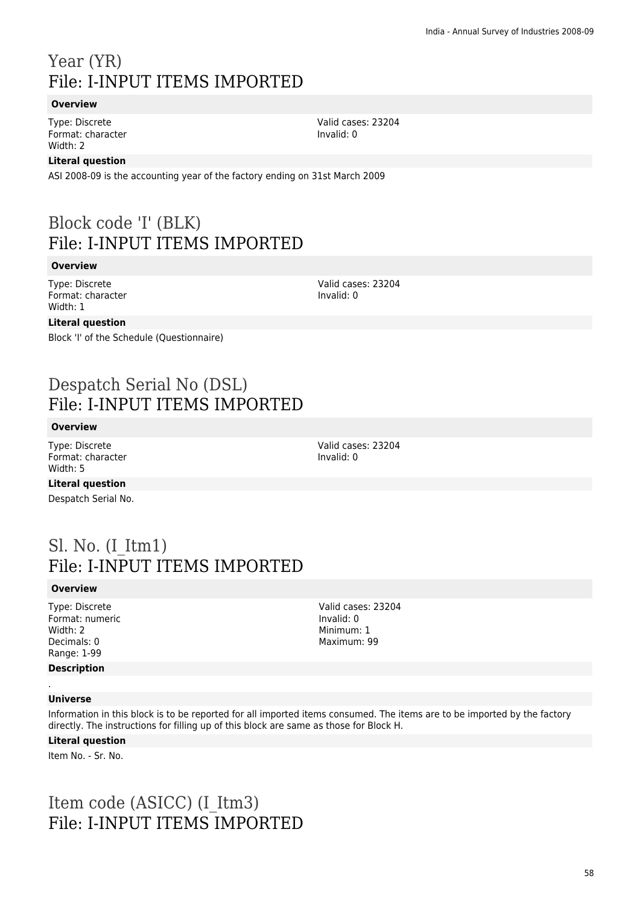## Year (YR) File: I-INPUT ITEMS IMPORTED

### **Overview**

Type: Discrete Format: character Width: 2

### **Literal question**

ASI 2008-09 is the accounting year of the factory ending on 31st March 2009

### Block code 'I' (BLK) File: I-INPUT ITEMS IMPORTED

### **Overview**

Type: Discrete Format: character Width: 1

Valid cases: 23204 Invalid: 0

### **Literal question**

Block 'I' of the Schedule (Questionnaire)

### Despatch Serial No (DSL) File: I-INPUT ITEMS IMPORTED

### **Overview**

Type: Discrete Format: character Width: 5

Valid cases: 23204 Invalid: 0

**Literal question**

Despatch Serial No.

### Sl. No. (I\_Itm1) File: I-INPUT ITEMS IMPORTED

### **Overview**

Type: Discrete Format: numeric Width: 2 Decimals: 0 Range: 1-99 **Description**

Valid cases: 23204 Invalid: 0 Minimum: 1 Maximum: 99

#### . **Universe**

Information in this block is to be reported for all imported items consumed. The items are to be imported by the factory directly. The instructions for filling up of this block are same as those for Block H.

#### **Literal question**

Item No. - Sr. No.

### Item code (ASICC) (I\_Itm3) File: I-INPUT ITEMS IMPORTED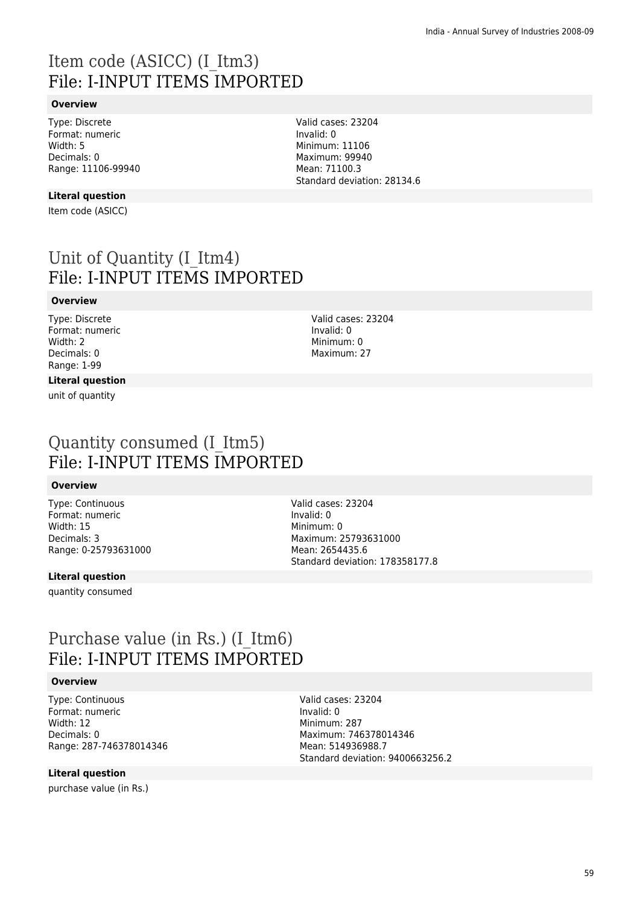## Item code (ASICC) (I\_Itm3) File: I-INPUT ITEMS IMPORTED

### **Overview**

Type: Discrete Format: numeric Width: 5 Decimals: 0 Range: 11106-99940

### **Literal question**

Item code (ASICC)

### Unit of Quantity (I\_Itm4) File: I-INPUT ITEMS IMPORTED

### **Overview**

Type: Discrete Format: numeric Width: 2 Decimals: 0 Range: 1-99

### **Literal question**

unit of quantity

Valid cases: 23204 Invalid: 0 Minimum: 11106 Maximum: 99940 Mean: 71100.3 Standard deviation: 28134.6

> Valid cases: 23204 Invalid: 0 Minimum: 0 Maximum: 27

### Quantity consumed (I\_Itm5) File: I-INPUT ITEMS IMPORTED

#### **Overview**

Type: Continuous Format: numeric Width: 15 Decimals: 3 Range: 0-25793631000 Valid cases: 23204 Invalid: 0 Minimum: 0 Maximum: 25793631000 Mean: 2654435.6 Standard deviation: 178358177.8

### **Literal question**

quantity consumed

### Purchase value (in Rs.) (I\_Itm6) File: I-INPUT ITEMS IMPORTED

#### **Overview**

Type: Continuous Format: numeric Width: 12 Decimals: 0 Range: 287-746378014346

### **Literal question**

purchase value (in Rs.)

Valid cases: 23204 Invalid: 0 Minimum: 287 Maximum: 746378014346 Mean: 514936988.7 Standard deviation: 9400663256.2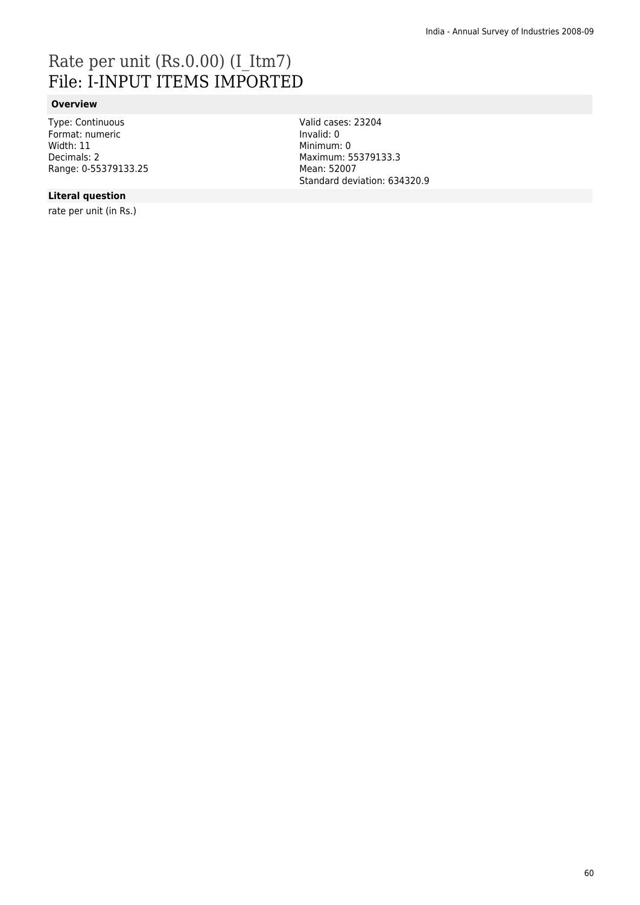## Rate per unit (Rs.0.00) (I\_Itm7) File: I-INPUT ITEMS IMPORTED

### **Overview**

Type: Continuous Format: numeric Width: 11 Decimals: 2 Range: 0-55379133.25 Valid cases: 23204 Invalid: 0 Minimum: 0 Maximum: 55379133.3 Mean: 52007 Standard deviation: 634320.9

### **Literal question**

rate per unit (in Rs.)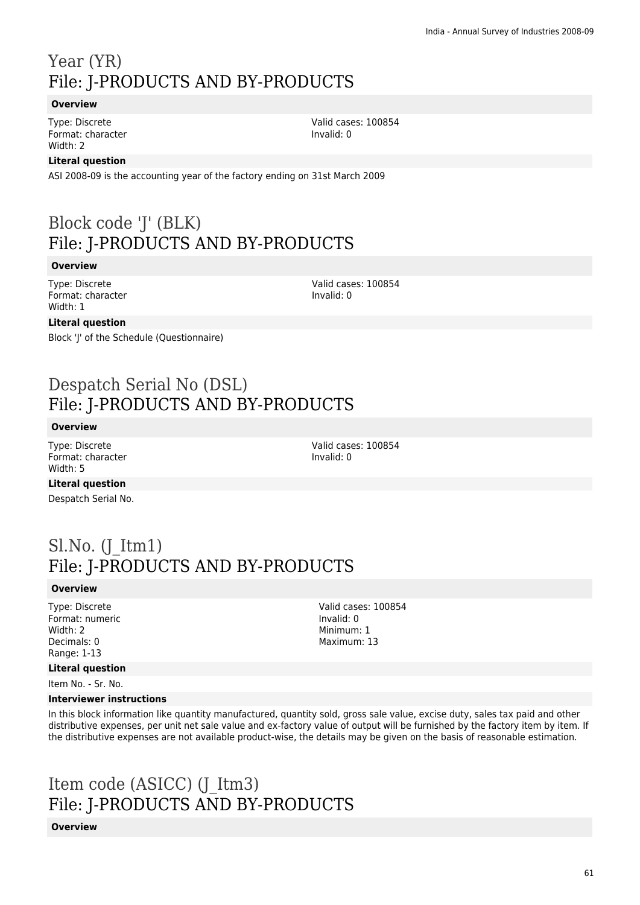## Year (YR) File: J-PRODUCTS AND BY-PRODUCTS

### **Overview**

Type: Discrete Format: character Width: 2

Valid cases: 100854 Invalid: 0

### **Literal question**

ASI 2008-09 is the accounting year of the factory ending on 31st March 2009

## Block code 'J' (BLK) File: J-PRODUCTS AND BY-PRODUCTS

### **Overview**

Type: Discrete Format: character Width: 1

Valid cases: 100854 Invalid: 0

### **Literal question**

Block 'J' of the Schedule (Questionnaire)

### Despatch Serial No (DSL) File: J-PRODUCTS AND BY-PRODUCTS

### **Overview**

Type: Discrete Format: character Width: 5

Valid cases: 100854 Invalid: 0

### **Literal question**

Despatch Serial No.

### $Sl.No.$  (J Itm1) File: J-PRODUCTS AND BY-PRODUCTS

### **Overview**

Type: Discrete Format: numeric Width: 2 Decimals: 0 Range: 1-13

### **Literal question**

Item No. - Sr. No.

#### **Interviewer instructions**

In this block information like quantity manufactured, quantity sold, gross sale value, excise duty, sales tax paid and other distributive expenses, per unit net sale value and ex-factory value of output will be furnished by the factory item by item. If the distributive expenses are not available product-wise, the details may be given on the basis of reasonable estimation.

## Item code (ASICC) (J\_Itm3) File: J-PRODUCTS AND BY-PRODUCTS

**Overview**

Valid cases: 100854 Invalid: 0 Minimum: 1 Maximum: 13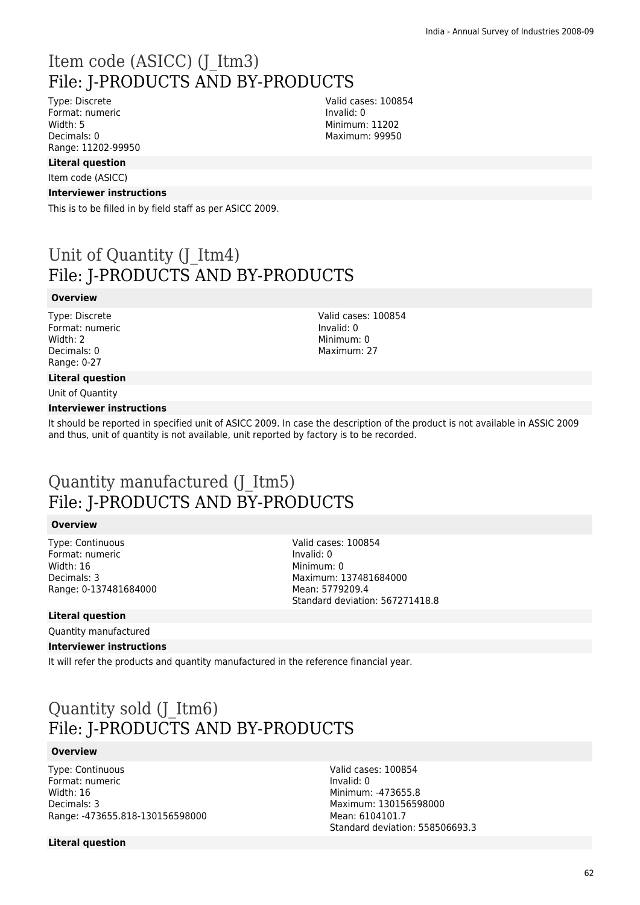### Item code (ASICC) (J\_Itm3) File: J-PRODUCTS AND BY-PRODUCTS

Type: Discrete Format: numeric Width: 5 Decimals: 0 Range: 11202-99950

### **Literal question**

Item code (ASICC)

#### **Interviewer instructions**

This is to be filled in by field staff as per ASICC 2009.

### Unit of Quantity (J\_Itm4) File: J-PRODUCTS AND BY-PRODUCTS

#### **Overview**

Type: Discrete Format: numeric Width: 2 Decimals: 0 Range: 0-27

### **Literal question**

Unit of Quantity

#### **Interviewer instructions**

It should be reported in specified unit of ASICC 2009. In case the description of the product is not available in ASSIC 2009 and thus, unit of quantity is not available, unit reported by factory is to be recorded.

### Quantity manufactured (J\_Itm5) File: J-PRODUCTS AND BY-PRODUCTS

#### **Overview**

Type: Continuous Format: numeric Width: 16 Decimals: 3 Range: 0-137481684000 Valid cases: 100854 Invalid: 0 Minimum: 0 Maximum: 137481684000 Mean: 5779209.4 Standard deviation: 567271418.8

### **Literal question**

Quantity manufactured

### **Interviewer instructions**

It will refer the products and quantity manufactured in the reference financial year.

### Quantity sold (J\_Itm6) File: J-PRODUCTS AND BY-PRODUCTS

#### **Overview**

Type: Continuous Format: numeric Width: 16 Decimals: 3 Range: -473655.818-130156598000

**Literal question**

Valid cases: 100854 Invalid: 0 Minimum: -473655.8 Maximum: 130156598000 Mean: 6104101.7 Standard deviation: 558506693.3

Valid cases: 100854 Invalid: 0 Minimum: 11202 Maximum: 99950

Valid cases: 100854 Invalid: 0 Minimum: 0 Maximum: 27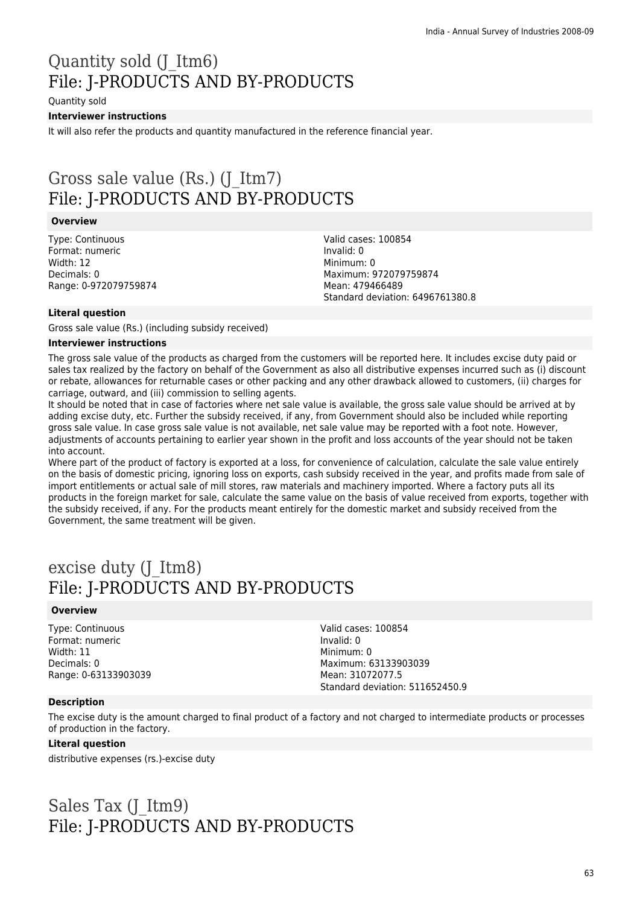## Quantity sold (J\_Itm6) File: J-PRODUCTS AND BY-PRODUCTS

Quantity sold

### **Interviewer instructions**

It will also refer the products and quantity manufactured in the reference financial year.

### Gross sale value (Rs.) (J\_Itm7) File: J-PRODUCTS AND BY-PRODUCTS

### **Overview**

Type: Continuous Format: numeric Width: 12 Decimals: 0 Range: 0-972079759874 Valid cases: 100854 Invalid: 0 Minimum: 0 Maximum: 972079759874 Mean: 479466489 Standard deviation: 6496761380.8

### **Literal question**

Gross sale value (Rs.) (including subsidy received)

#### **Interviewer instructions**

The gross sale value of the products as charged from the customers will be reported here. It includes excise duty paid or sales tax realized by the factory on behalf of the Government as also all distributive expenses incurred such as (i) discount or rebate, allowances for returnable cases or other packing and any other drawback allowed to customers, (ii) charges for carriage, outward, and (iii) commission to selling agents.

It should be noted that in case of factories where net sale value is available, the gross sale value should be arrived at by adding excise duty, etc. Further the subsidy received, if any, from Government should also be included while reporting gross sale value. In case gross sale value is not available, net sale value may be reported with a foot note. However, adjustments of accounts pertaining to earlier year shown in the profit and loss accounts of the year should not be taken into account.

Where part of the product of factory is exported at a loss, for convenience of calculation, calculate the sale value entirely on the basis of domestic pricing, ignoring loss on exports, cash subsidy received in the year, and profits made from sale of import entitlements or actual sale of mill stores, raw materials and machinery imported. Where a factory puts all its products in the foreign market for sale, calculate the same value on the basis of value received from exports, together with the subsidy received, if any. For the products meant entirely for the domestic market and subsidy received from the Government, the same treatment will be given.

### excise duty (J\_Itm8) File: J-PRODUCTS AND BY-PRODUCTS

### **Overview**

Type: Continuous Format: numeric Width: 11 Decimals: 0 Range: 0-63133903039 Valid cases: 100854 Invalid: 0 Minimum: 0 Maximum: 63133903039 Mean: 31072077.5 Standard deviation: 511652450.9

### **Description**

The excise duty is the amount charged to final product of a factory and not charged to intermediate products or processes of production in the factory.

### **Literal question**

distributive expenses (rs.)-excise duty

## Sales Tax (J\_Itm9) File: J-PRODUCTS AND BY-PRODUCTS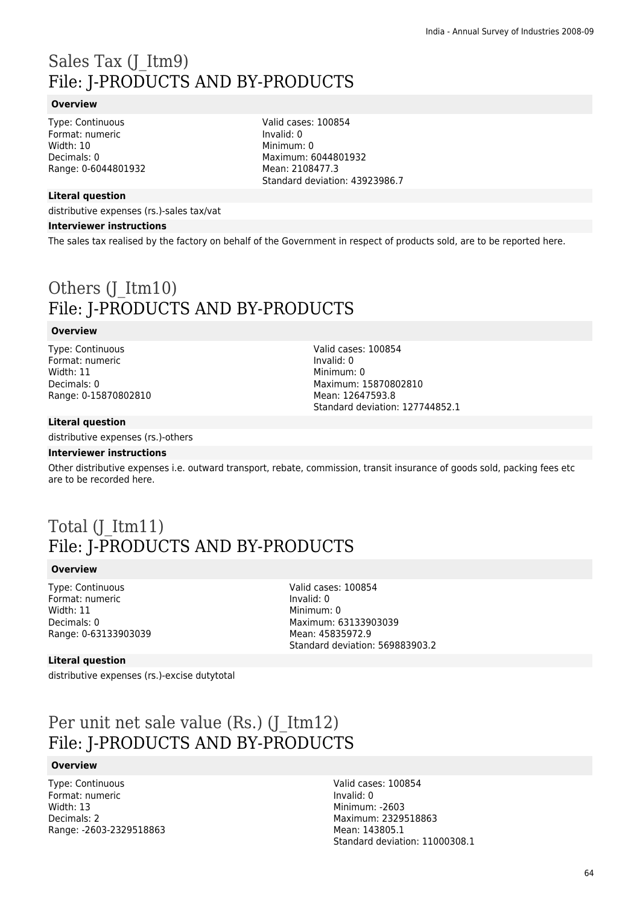## Sales Tax (J\_Itm9) File: J-PRODUCTS AND BY-PRODUCTS

### **Overview**

Type: Continuous Format: numeric Width: 10 Decimals: 0 Range: 0-6044801932

### **Literal question**

distributive expenses (rs.)-sales tax/vat

#### **Interviewer instructions**

The sales tax realised by the factory on behalf of the Government in respect of products sold, are to be reported here.

Valid cases: 100854

Maximum: 6044801932 Mean: 2108477.3

Standard deviation: 43923986.7

Invalid: 0 Minimum: 0

## Others (J\_Itm10) File: J-PRODUCTS AND BY-PRODUCTS

#### **Overview**

Type: Continuous Format: numeric Width: 11 Decimals: 0 Range: 0-15870802810

Valid cases: 100854 Invalid: 0 Minimum: 0 Maximum: 15870802810 Mean: 12647593.8 Standard deviation: 127744852.1

#### **Literal question**

distributive expenses (rs.)-others

#### **Interviewer instructions**

Other distributive expenses i.e. outward transport, rebate, commission, transit insurance of goods sold, packing fees etc are to be recorded here.

### Total (J\_Itm11) File: J-PRODUCTS AND BY-PRODUCTS

#### **Overview**

Type: Continuous Format: numeric Width: 11 Decimals: 0 Range: 0-63133903039

Valid cases: 100854 Invalid: 0 Minimum: 0 Maximum: 63133903039 Mean: 45835972.9 Standard deviation: 569883903.2

#### **Literal question**

distributive expenses (rs.)-excise dutytotal

### Per unit net sale value (Rs.) (J\_Itm12) File: J-PRODUCTS AND BY-PRODUCTS

#### **Overview**

Type: Continuous Format: numeric Width: 13 Decimals: 2 Range: -2603-2329518863 Valid cases: 100854 Invalid: 0 Minimum: -2603 Maximum: 2329518863 Mean: 143805.1 Standard deviation: 11000308.1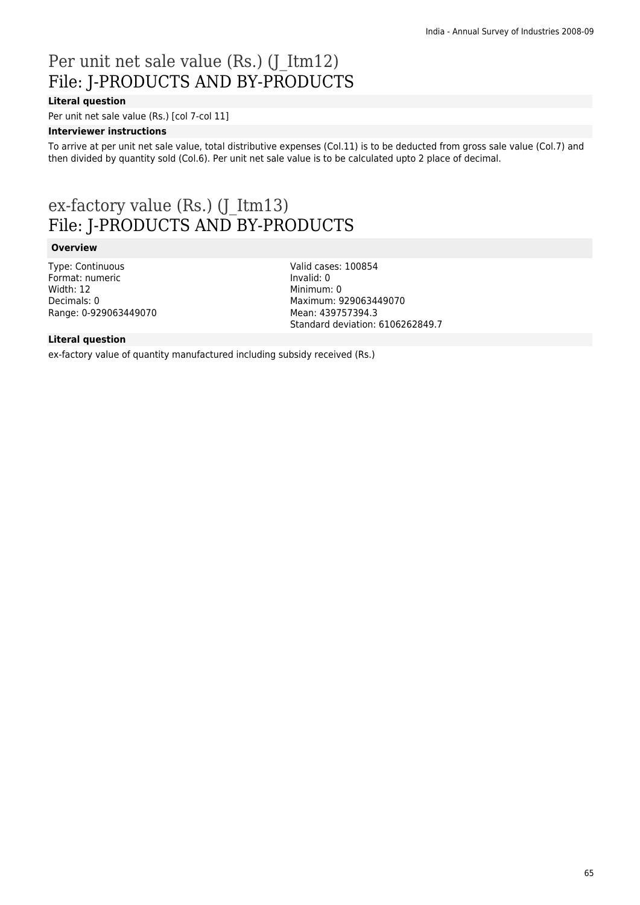## Per unit net sale value (Rs.) (J\_Itm12) File: J-PRODUCTS AND BY-PRODUCTS

### **Literal question**

Per unit net sale value (Rs.) [col 7-col 11]

### **Interviewer instructions**

To arrive at per unit net sale value, total distributive expenses (Col.11) is to be deducted from gross sale value (Col.7) and then divided by quantity sold (Col.6). Per unit net sale value is to be calculated upto 2 place of decimal.

### ex-factory value (Rs.) (J\_Itm13) File: J-PRODUCTS AND BY-PRODUCTS

### **Overview**

Type: Continuous Format: numeric Width: 12 Decimals: 0 Range: 0-929063449070 Valid cases: 100854 Invalid: 0 Minimum: 0 Maximum: 929063449070 Mean: 439757394.3 Standard deviation: 6106262849.7

### **Literal question**

ex-factory value of quantity manufactured including subsidy received (Rs.)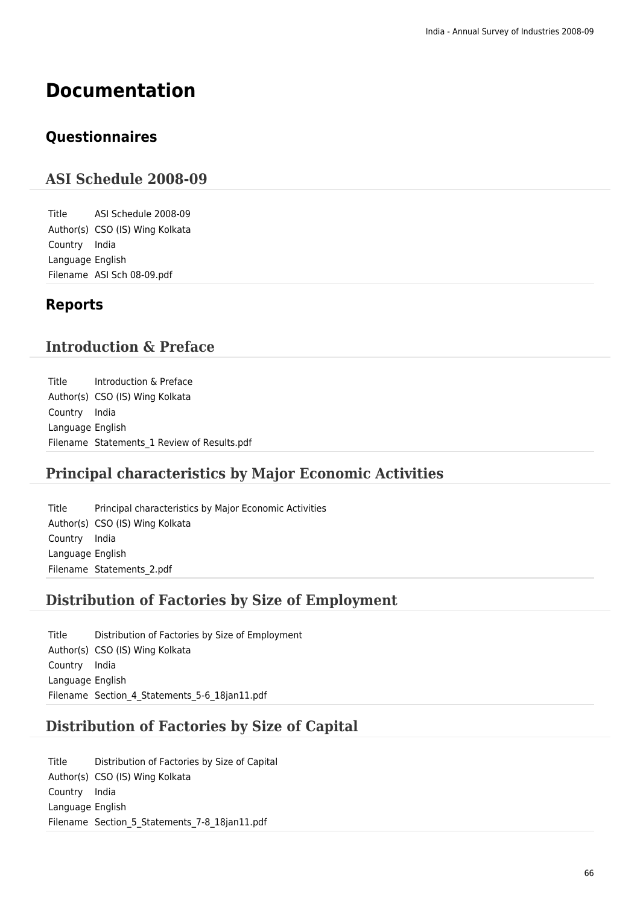## **Documentation**

### **Questionnaires**

### **ASI Schedule 2008-09**

Title ASI Schedule 2008-09 Author(s) CSO (IS) Wing Kolkata Country India Language English Filename ASI Sch 08-09.pdf

### **Reports**

### **Introduction & Preface**

Title Introduction & Preface Author(s) CSO (IS) Wing Kolkata Country India Language English Filename Statements 1 Review of Results.pdf

### **Principal characteristics by Major Economic Activities**

Title Principal characteristics by Major Economic Activities Author(s) CSO (IS) Wing Kolkata Country India Language English Filename Statements\_2.pdf

### **Distribution of Factories by Size of Employment**

Title Distribution of Factories by Size of Employment Author(s) CSO (IS) Wing Kolkata Country India Language English Filename Section 4 Statements 5-6 18jan11.pdf

### **Distribution of Factories by Size of Capital**

Title Distribution of Factories by Size of Capital Author(s) CSO (IS) Wing Kolkata Country India Language English Filename Section\_5\_Statements\_7-8\_18jan11.pdf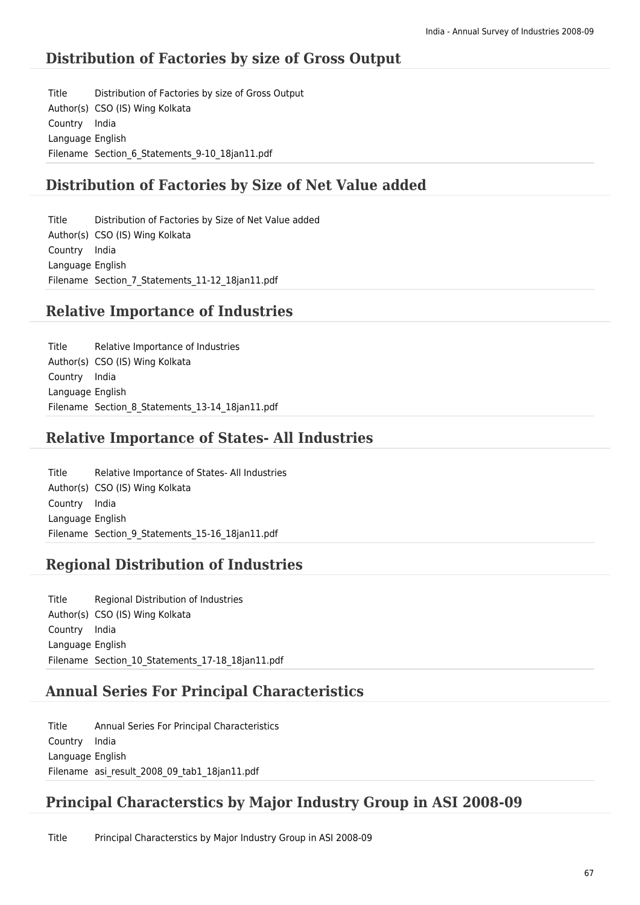### **Distribution of Factories by size of Gross Output**

Title Distribution of Factories by size of Gross Output Author(s) CSO (IS) Wing Kolkata Country India Language English Filename Section 6 Statements 9-10 18jan11.pdf

### **Distribution of Factories by Size of Net Value added**

Title Distribution of Factories by Size of Net Value added Author(s) CSO (IS) Wing Kolkata Country India Language English Filename Section 7 Statements 11-12 18jan11.pdf

### **Relative Importance of Industries**

Title Relative Importance of Industries Author(s) CSO (IS) Wing Kolkata Country India Language English Filename Section 8 Statements 13-14 18ian11.pdf

### **Relative Importance of States- All Industries**

Title Relative Importance of States- All Industries Author(s) CSO (IS) Wing Kolkata Country India Language English Filename Section 9 Statements 15-16 18jan11.pdf

### **Regional Distribution of Industries**

Title Regional Distribution of Industries Author(s) CSO (IS) Wing Kolkata Country India Language English Filename Section\_10\_Statements\_17-18\_18jan11.pdf

### **Annual Series For Principal Characteristics**

Title Annual Series For Principal Characteristics Country India Language English Filename asi result 2008 09 tab1 18jan11.pdf

### **Principal Characterstics by Major Industry Group in ASI 2008-09**

Title Principal Characterstics by Major Industry Group in ASI 2008-09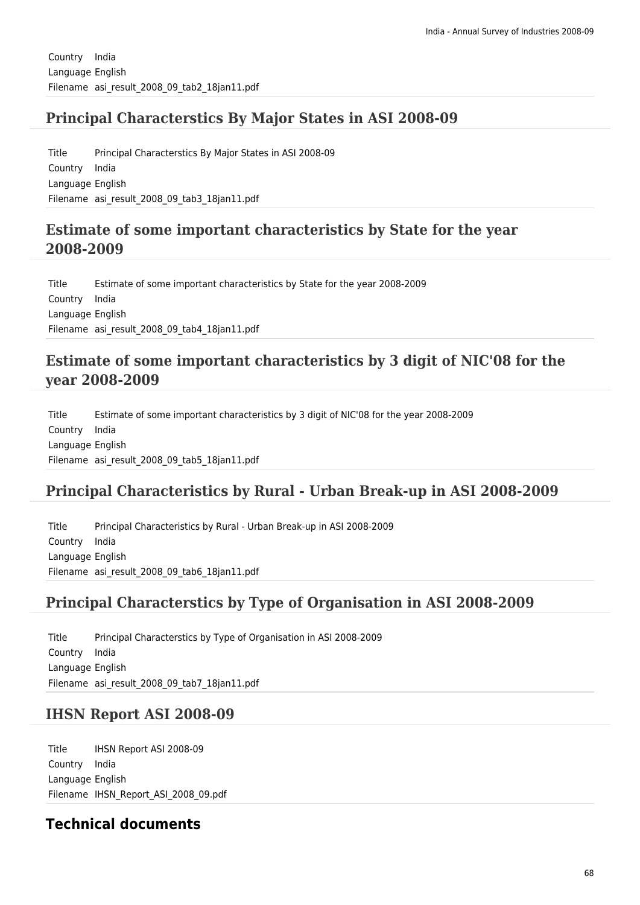### **Principal Characterstics By Major States in ASI 2008-09**

Title Principal Characterstics By Major States in ASI 2008-09 Country India Language English Filename asi result 2008 09 tab3 18jan11.pdf

### **Estimate of some important characteristics by State for the year 2008-2009**

Title Estimate of some important characteristics by State for the year 2008-2009 Country India Language English Filename asi result 2008 09 tab4 18jan11.pdf

### **Estimate of some important characteristics by 3 digit of NIC'08 for the year 2008-2009**

Title Estimate of some important characteristics by 3 digit of NIC'08 for the year 2008-2009 Country India Language English Filename asi\_result\_2008\_09\_tab5\_18jan11.pdf

### **Principal Characteristics by Rural - Urban Break-up in ASI 2008-2009**

Title Principal Characteristics by Rural - Urban Break-up in ASI 2008-2009 Country India Language English Filename asi result 2008 09 tab6 18jan11.pdf

### **Principal Characterstics by Type of Organisation in ASI 2008-2009**

Title Principal Characterstics by Type of Organisation in ASI 2008-2009 Country India Language English Filename asi result 2008 09 tab7 18jan11.pdf

### **IHSN Report ASI 2008-09**

Title IHSN Report ASI 2008-09 Country India Language English Filename IHSN\_Report\_ASI\_2008\_09.pdf

### **Technical documents**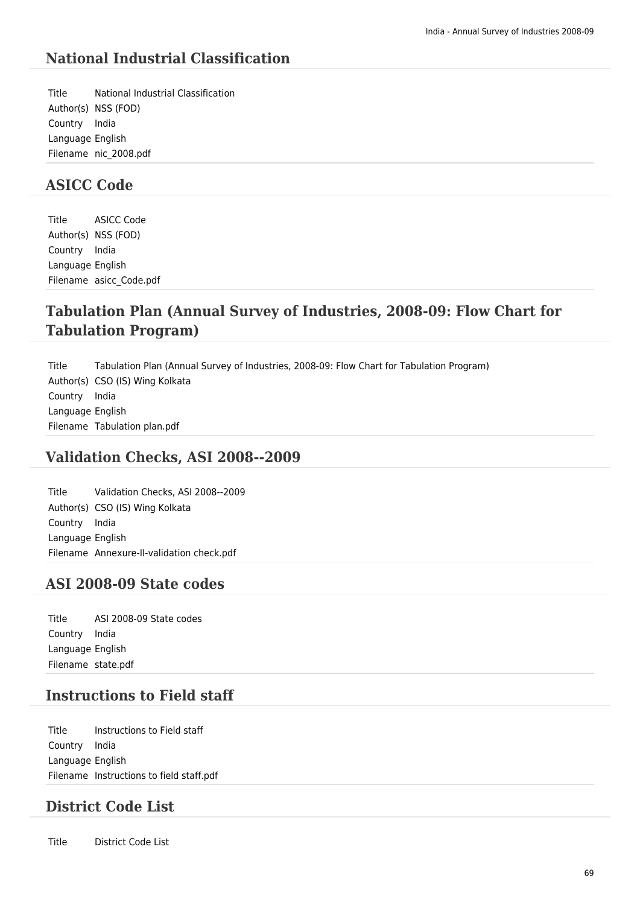### **National Industrial Classification**

Title National Industrial Classification Author(s) NSS (FOD) Country India Language English Filename nic\_2008.pdf

### **ASICC Code**

Title ASICC Code Author(s) NSS (FOD) Country India Language English Filename asicc\_Code.pdf

### **Tabulation Plan (Annual Survey of Industries, 2008-09: Flow Chart for Tabulation Program)**

Title Tabulation Plan (Annual Survey of Industries, 2008-09: Flow Chart for Tabulation Program) Author(s) CSO (IS) Wing Kolkata Country India Language English Filename Tabulation plan.pdf

### **Validation Checks, ASI 2008--2009**

Title Validation Checks, ASI 2008--2009 Author(s) CSO (IS) Wing Kolkata Country India Language English Filename Annexure-II-validation check.pdf

### **ASI 2008-09 State codes**

Title ASI 2008-09 State codes Country India Language English Filename state.pdf

### **Instructions to Field staff**

Title Instructions to Field staff Country India Language English Filename Instructions to field staff.pdf

### **District Code List**

Title District Code List